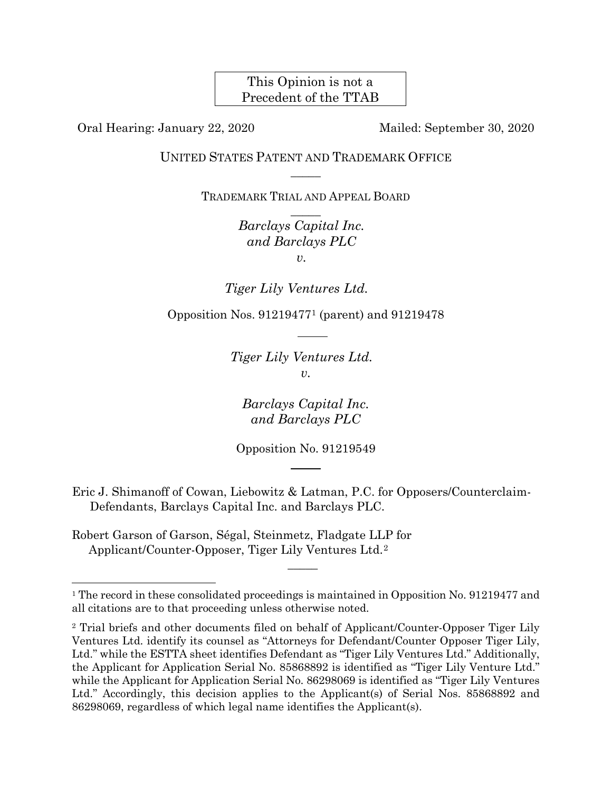This Opinion is not a Precedent of the TTAB

Oral Hearing: January 22, 2020 Mailed: September 30, 2020

UNITED STATES PATENT AND TRADEMARK OFFICE  $\overline{\phantom{a}}$ 

TRADEMARK TRIAL AND APPEAL BOARD

 $\overline{\phantom{a}}$ *Barclays Capital Inc. and Barclays PLC v.*

*Tiger Lily Ventures Ltd.*

Opposition Nos. 91219477[1](#page-0-0) (parent) and 91219478

*Tiger Lily Ventures Ltd. v.*

*Barclays Capital Inc. and Barclays PLC* 

Opposition No. 91219549

Eric J. Shimanoff of Cowan, Liebowitz & Latman, P.C. for Opposers/Counterclaim-Defendants, Barclays Capital Inc. and Barclays PLC.

Robert Garson of Garson, Ségal, Steinmetz, Fladgate LLP for Applicant/Counter-Opposer, Tiger Lily Ventures Ltd.[2](#page-0-1)

 $\overline{\phantom{a}}$ 

<span id="page-0-0"></span><sup>&</sup>lt;sup>1</sup> The record in these consolidated proceedings is maintained in Opposition No. 91219477 and all citations are to that proceeding unless otherwise noted.

<span id="page-0-1"></span><sup>2</sup> Trial briefs and other documents filed on behalf of Applicant/Counter-Opposer Tiger Lily Ventures Ltd. identify its counsel as "Attorneys for Defendant/Counter Opposer Tiger Lily, Ltd." while the ESTTA sheet identifies Defendant as "Tiger Lily Ventures Ltd." Additionally, the Applicant for Application Serial No. 85868892 is identified as "Tiger Lily Venture Ltd." while the Applicant for Application Serial No. 86298069 is identified as "Tiger Lily Ventures Ltd." Accordingly, this decision applies to the Applicant(s) of Serial Nos. 85868892 and 86298069, regardless of which legal name identifies the Applicant(s).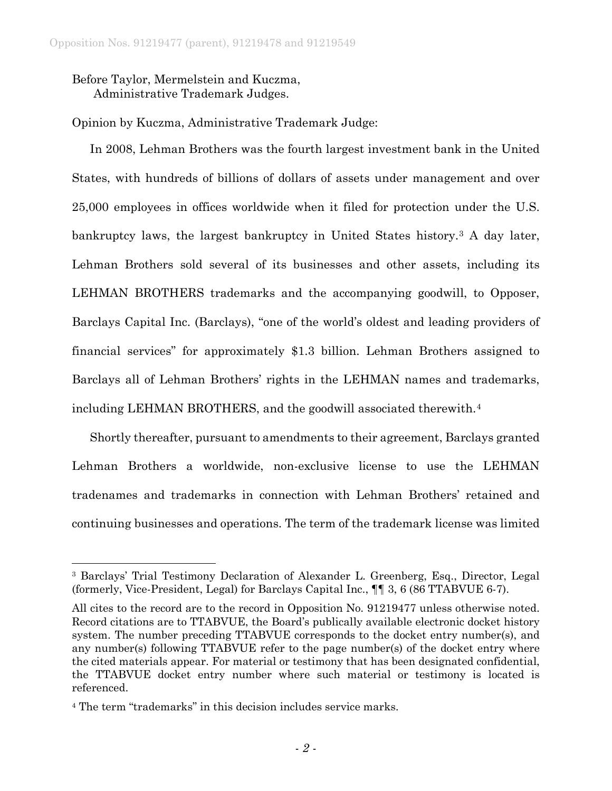Before Taylor, Mermelstein and Kuczma, Administrative Trademark Judges.

Opinion by Kuczma, Administrative Trademark Judge:

In 2008, Lehman Brothers was the fourth largest investment bank in the United States, with hundreds of billions of dollars of assets under management and over 25,000 employees in offices worldwide when it filed for protection under the U.S. bankruptcy laws, the largest bankruptcy in United States history.[3](#page-1-0) A day later, Lehman Brothers sold several of its businesses and other assets, including its LEHMAN BROTHERS trademarks and the accompanying goodwill, to Opposer, Barclays Capital Inc. (Barclays), "one of the world's oldest and leading providers of financial services" for approximately \$1.3 billion. Lehman Brothers assigned to Barclays all of Lehman Brothers' rights in the LEHMAN names and trademarks, including LEHMAN BROTHERS, and the goodwill associated therewith.[4](#page-1-1)

Shortly thereafter, pursuant to amendments to their agreement, Barclays granted Lehman Brothers a worldwide, non-exclusive license to use the LEHMAN tradenames and trademarks in connection with Lehman Brothers' retained and continuing businesses and operations. The term of the trademark license was limited

<span id="page-1-0"></span> <sup>3</sup> Barclays' Trial Testimony Declaration of Alexander L. Greenberg, Esq., Director, Legal (formerly, Vice-President, Legal) for Barclays Capital Inc., ¶¶ 3, 6 (86 TTABVUE 6-7).

All cites to the record are to the record in Opposition No. 91219477 unless otherwise noted. Record citations are to TTABVUE, the Board's publically available electronic docket history system. The number preceding TTABVUE corresponds to the docket entry number(s), and any number(s) following TTABVUE refer to the page number(s) of the docket entry where the cited materials appear. For material or testimony that has been designated confidential, the TTABVUE docket entry number where such material or testimony is located is referenced.

<span id="page-1-1"></span><sup>4</sup> The term "trademarks" in this decision includes service marks.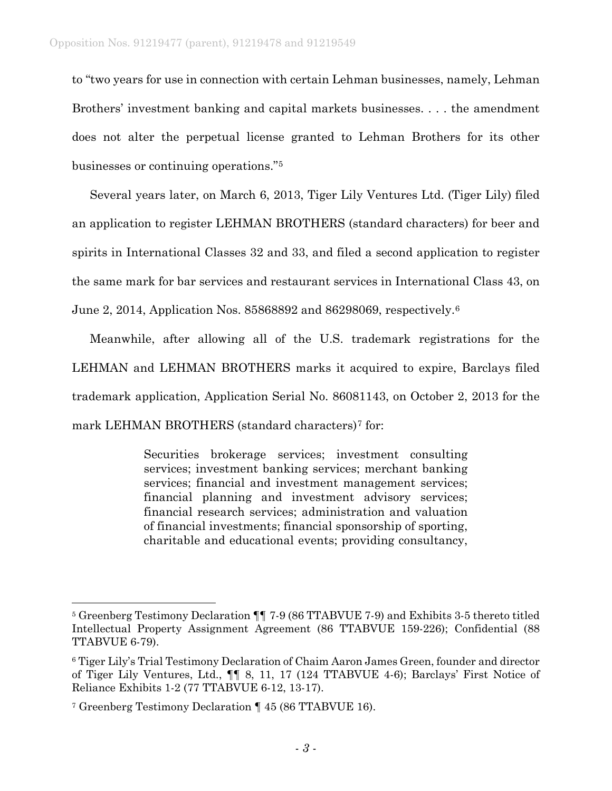to "two years for use in connection with certain Lehman businesses, namely, Lehman Brothers' investment banking and capital markets businesses. . . . the amendment does not alter the perpetual license granted to Lehman Brothers for its other businesses or continuing operations."[5](#page-2-0)

Several years later, on March 6, 2013, Tiger Lily Ventures Ltd. (Tiger Lily) filed an application to register LEHMAN BROTHERS (standard characters) for beer and spirits in International Classes 32 and 33, and filed a second application to register the same mark for bar services and restaurant services in International Class 43, on June 2, 2014, Application Nos. 85868892 and 86298069, respectively.[6](#page-2-1)

Meanwhile, after allowing all of the U.S. trademark registrations for the LEHMAN and LEHMAN BROTHERS marks it acquired to expire, Barclays filed trademark application, Application Serial No. 86081143, on October 2, 2013 for the mark LEHMAN BROTHERS (standard characters)[7](#page-2-2) for:

> Securities brokerage services; investment consulting services; investment banking services; merchant banking services; financial and investment management services; financial planning and investment advisory services; financial research services; administration and valuation of financial investments; financial sponsorship of sporting, charitable and educational events; providing consultancy,

<span id="page-2-0"></span> <sup>5</sup> Greenberg Testimony Declaration ¶¶ 7-9 (86 TTABVUE 7-9) and Exhibits 3-5 thereto titled Intellectual Property Assignment Agreement (86 TTABVUE 159-226); Confidential (88 TTABVUE 6-79).

<span id="page-2-1"></span><sup>6</sup> Tiger Lily's Trial Testimony Declaration of Chaim Aaron James Green, founder and director of Tiger Lily Ventures, Ltd., ¶¶ 8, 11, 17 (124 TTABVUE 4-6); Barclays' First Notice of Reliance Exhibits 1-2 (77 TTABVUE 6-12, 13-17).

<span id="page-2-2"></span><sup>7</sup> Greenberg Testimony Declaration ¶ 45 (86 TTABVUE 16).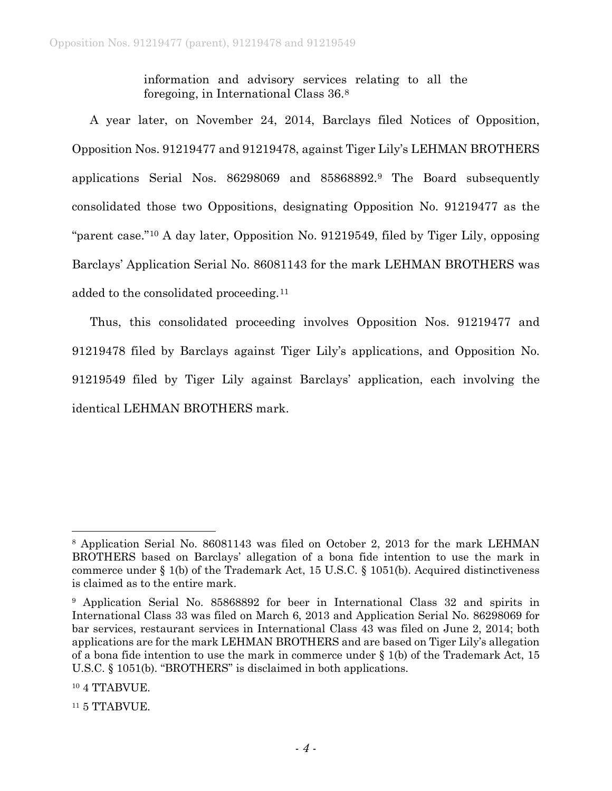information and advisory services relating to all the foregoing, in International Class 36.[8](#page-3-0)

A year later, on November 24, 2014, Barclays filed Notices of Opposition, Opposition Nos. 91219477 and 91219478, against Tiger Lily's LEHMAN BROTHERS applications Serial Nos. 86298069 and 85868892.[9](#page-3-1) The Board subsequently consolidated those two Oppositions, designating Opposition No. 91219477 as the "parent case."[10](#page-3-2) A day later, Opposition No. 91219549, filed by Tiger Lily, opposing Barclays' Application Serial No. 86081143 for the mark LEHMAN BROTHERS was added to the consolidated proceeding.[11](#page-3-3)

Thus, this consolidated proceeding involves Opposition Nos. 91219477 and 91219478 filed by Barclays against Tiger Lily's applications, and Opposition No. 91219549 filed by Tiger Lily against Barclays' application, each involving the identical LEHMAN BROTHERS mark.

<span id="page-3-0"></span> <sup>8</sup> Application Serial No. 86081143 was filed on October 2, 2013 for the mark LEHMAN BROTHERS based on Barclays' allegation of a bona fide intention to use the mark in commerce under § 1(b) of the Trademark Act, 15 U.S.C. § 1051(b). Acquired distinctiveness is claimed as to the entire mark.

<span id="page-3-1"></span><sup>9</sup> Application Serial No. 85868892 for beer in International Class 32 and spirits in International Class 33 was filed on March 6, 2013 and Application Serial No. 86298069 for bar services, restaurant services in International Class 43 was filed on June 2, 2014; both applications are for the mark LEHMAN BROTHERS and are based on Tiger Lily's allegation of a bona fide intention to use the mark in commerce under  $\S$  1(b) of the Trademark Act, 15 U.S.C. § 1051(b). "BROTHERS" is disclaimed in both applications.

<span id="page-3-2"></span><sup>10</sup> 4 TTABVUE.

<span id="page-3-3"></span><sup>&</sup>lt;sup>11</sup> 5 TTABVUE.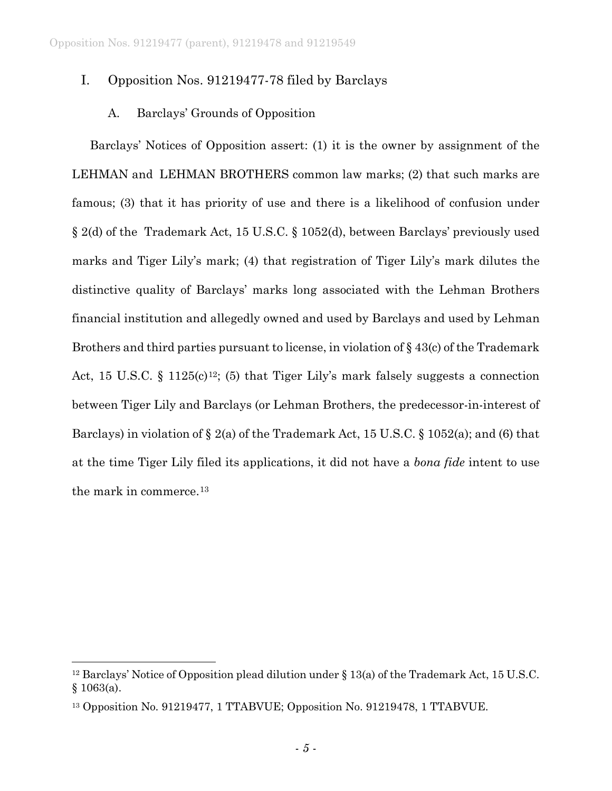## I. Opposition Nos. 91219477-78 filed by Barclays

A. Barclays' Grounds of Opposition

Barclays' Notices of Opposition assert: (1) it is the owner by assignment of the LEHMAN and LEHMAN BROTHERS common law marks; (2) that such marks are famous; (3) that it has priority of use and there is a likelihood of confusion under § 2(d) of the Trademark Act, 15 U.S.C. § 1052(d), between Barclays' previously used marks and Tiger Lily's mark; (4) that registration of Tiger Lily's mark dilutes the distinctive quality of Barclays' marks long associated with the Lehman Brothers financial institution and allegedly owned and used by Barclays and used by Lehman Brothers and third parties pursuant to license, in violation of § 43(c) of the Trademark Act, 15 U.S.C. § 1[12](#page-4-0)5(c)<sup>12</sup>; (5) that Tiger Lily's mark falsely suggests a connection between Tiger Lily and Barclays (or Lehman Brothers, the predecessor-in-interest of Barclays) in violation of § 2(a) of the Trademark Act, 15 U.S.C. § 1052(a); and (6) that at the time Tiger Lily filed its applications, it did not have a *bona fide* intent to use the mark in commerce.[13](#page-4-1)

<span id="page-4-0"></span><sup>&</sup>lt;sup>12</sup> Barclays' Notice of Opposition plead dilution under § 13(a) of the Trademark Act, 15 U.S.C. § 1063(a).

<span id="page-4-1"></span><sup>13</sup> Opposition No. 91219477, 1 TTABVUE; Opposition No. 91219478, 1 TTABVUE.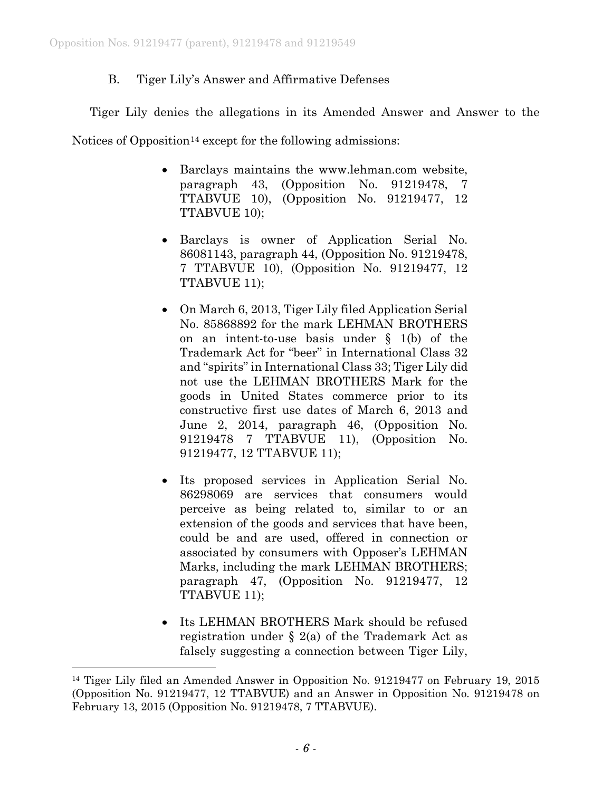# B. Tiger Lily's Answer and Affirmative Defenses

Tiger Lily denies the allegations in its Amended Answer and Answer to the

Notices of Opposition<sup>[14](#page-5-0)</sup> except for the following admissions:

- Barclays maintains the www.lehman.com website, paragraph 43, (Opposition No. 91219478, 7 TTABVUE 10), (Opposition No. 91219477, 12 TTABVUE 10);
- Barclays is owner of Application Serial No. 86081143, paragraph 44, (Opposition No. 91219478, 7 TTABVUE 10), (Opposition No. 91219477, 12 TTABVUE 11);
- On March 6, 2013, Tiger Lily filed Application Serial No. 85868892 for the mark LEHMAN BROTHERS on an intent-to-use basis under § 1(b) of the Trademark Act for "beer" in International Class 32 and "spirits" in International Class 33; Tiger Lily did not use the LEHMAN BROTHERS Mark for the goods in United States commerce prior to its constructive first use dates of March 6, 2013 and June 2, 2014, paragraph 46, (Opposition No. 91219478 7 TTABVUE 11), (Opposition No. 91219477, 12 TTABVUE 11);
- Its proposed services in Application Serial No. 86298069 are services that consumers would perceive as being related to, similar to or an extension of the goods and services that have been, could be and are used, offered in connection or associated by consumers with Opposer's LEHMAN Marks, including the mark LEHMAN BROTHERS; paragraph 47, (Opposition No. 91219477, 12 TTABVUE 11);
- Its LEHMAN BROTHERS Mark should be refused registration under  $\S$  2(a) of the Trademark Act as falsely suggesting a connection between Tiger Lily,

<span id="page-5-0"></span> <sup>14</sup> Tiger Lily filed an Amended Answer in Opposition No. 91219477 on February 19, 2015 (Opposition No. 91219477, 12 TTABVUE) and an Answer in Opposition No. 91219478 on February 13, 2015 (Opposition No. 91219478, 7 TTABVUE).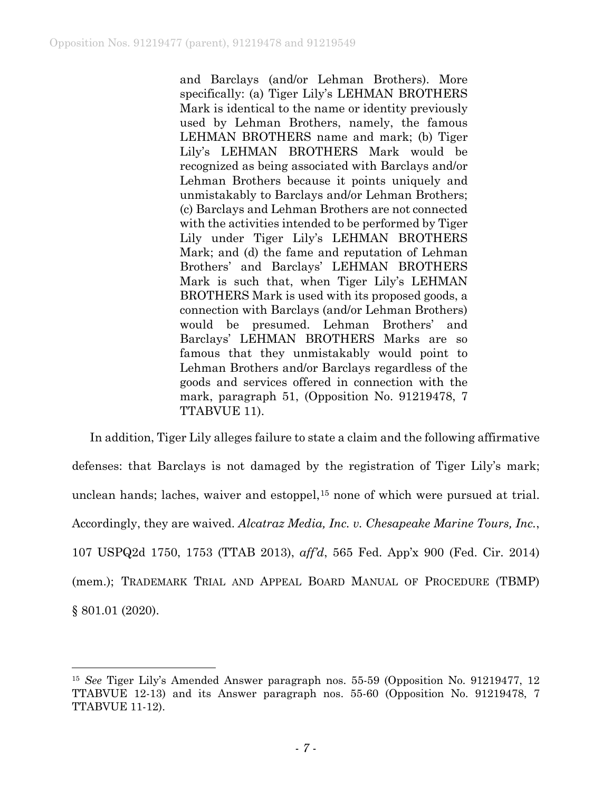and Barclays (and/or Lehman Brothers). More specifically: (a) Tiger Lily's LEHMAN BROTHERS Mark is identical to the name or identity previously used by Lehman Brothers, namely, the famous LEHMAN BROTHERS name and mark; (b) Tiger Lily's LEHMAN BROTHERS Mark would be recognized as being associated with Barclays and/or Lehman Brothers because it points uniquely and unmistakably to Barclays and/or Lehman Brothers; (c) Barclays and Lehman Brothers are not connected with the activities intended to be performed by Tiger Lily under Tiger Lily's LEHMAN BROTHERS Mark; and (d) the fame and reputation of Lehman Brothers' and Barclays' LEHMAN BROTHERS Mark is such that, when Tiger Lily's LEHMAN BROTHERS Mark is used with its proposed goods, a connection with Barclays (and/or Lehman Brothers) would be presumed. Lehman Brothers' and Barclays' LEHMAN BROTHERS Marks are so famous that they unmistakably would point to Lehman Brothers and/or Barclays regardless of the goods and services offered in connection with the mark, paragraph 51, (Opposition No. 91219478, 7 TTABVUE 11).

In addition, Tiger Lily alleges failure to state a claim and the following affirmative defenses: that Barclays is not damaged by the registration of Tiger Lily's mark; unclean hands; laches, waiver and estoppel,[15](#page-6-0) none of which were pursued at trial. Accordingly, they are waived. *Alcatraz Media, Inc. v. Chesapeake Marine Tours, Inc.*, 107 USPQ2d 1750, 1753 (TTAB 2013), *aff'd*, 565 Fed. App'x 900 (Fed. Cir. 2014) (mem.); TRADEMARK TRIAL AND APPEAL BOARD MANUAL OF PROCEDURE (TBMP) § 801.01 (2020).

<span id="page-6-0"></span> <sup>15</sup> *See* Tiger Lily's Amended Answer paragraph nos. 55-59 (Opposition No. 91219477, 12 TTABVUE 12-13) and its Answer paragraph nos. 55-60 (Opposition No. 91219478, 7 TTABVUE 11-12).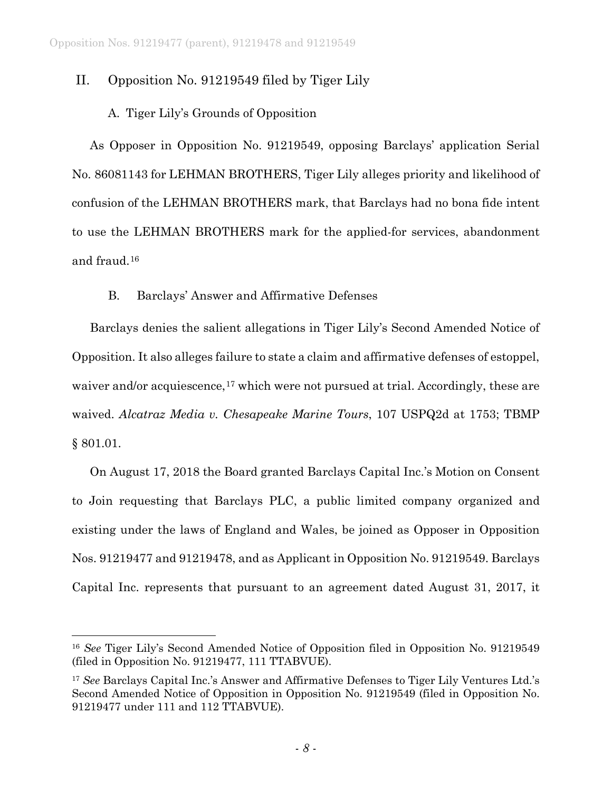# II. Opposition No. 91219549 filed by Tiger Lily

## A. Tiger Lily's Grounds of Opposition

As Opposer in Opposition No. 91219549, opposing Barclays' application Serial No. 86081143 for LEHMAN BROTHERS, Tiger Lily alleges priority and likelihood of confusion of the LEHMAN BROTHERS mark, that Barclays had no bona fide intent to use the LEHMAN BROTHERS mark for the applied-for services, abandonment and fraud.[16](#page-7-0)

## B. Barclays' Answer and Affirmative Defenses

Barclays denies the salient allegations in Tiger Lily's Second Amended Notice of Opposition. It also alleges failure to state a claim and affirmative defenses of estoppel, waiver and/or acquiescence,<sup>[17](#page-7-1)</sup> which were not pursued at trial. Accordingly, these are waived. *Alcatraz Media v. Chesapeake Marine Tours*, 107 USPQ2d at 1753; TBMP § 801.01.

On August 17, 2018 the Board granted Barclays Capital Inc.'s Motion on Consent to Join requesting that Barclays PLC, a public limited company organized and existing under the laws of England and Wales, be joined as Opposer in Opposition Nos. 91219477 and 91219478, and as Applicant in Opposition No. 91219549. Barclays Capital Inc. represents that pursuant to an agreement dated August 31, 2017, it

<span id="page-7-0"></span> <sup>16</sup> *See* Tiger Lily's Second Amended Notice of Opposition filed in Opposition No. 91219549 (filed in Opposition No. 91219477, 111 TTABVUE).

<span id="page-7-1"></span><sup>17</sup> *See* Barclays Capital Inc.'s Answer and Affirmative Defenses to Tiger Lily Ventures Ltd.'s Second Amended Notice of Opposition in Opposition No. 91219549 (filed in Opposition No. 91219477 under 111 and 112 TTABVUE).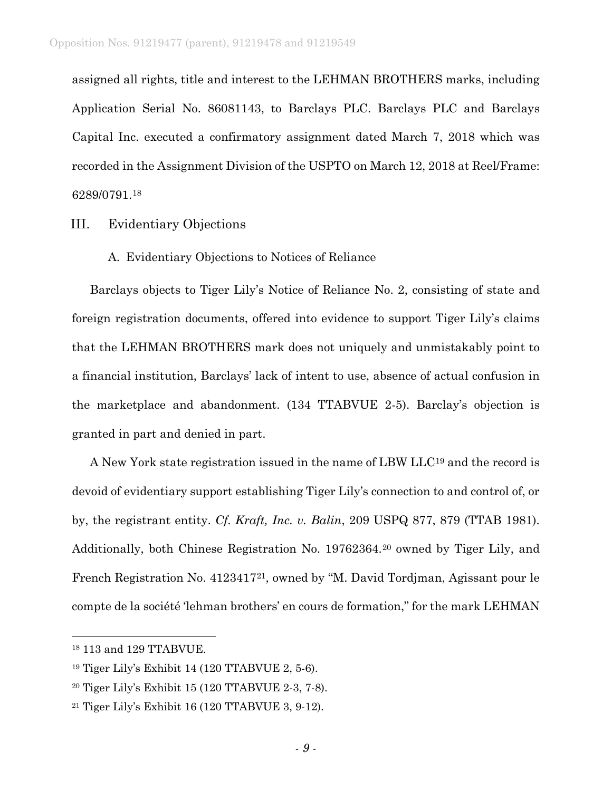assigned all rights, title and interest to the LEHMAN BROTHERS marks, including Application Serial No. 86081143, to Barclays PLC. Barclays PLC and Barclays Capital Inc. executed a confirmatory assignment dated March 7, 2018 which was recorded in the Assignment Division of the USPTO on March 12, 2018 at Reel/Frame: 6289/0791.[18](#page-8-0)

- III. Evidentiary Objections
	- A. Evidentiary Objections to Notices of Reliance

Barclays objects to Tiger Lily's Notice of Reliance No. 2, consisting of state and foreign registration documents, offered into evidence to support Tiger Lily's claims that the LEHMAN BROTHERS mark does not uniquely and unmistakably point to a financial institution, Barclays' lack of intent to use, absence of actual confusion in the marketplace and abandonment. (134 TTABVUE 2-5). Barclay's objection is granted in part and denied in part.

A New York state registration issued in the name of LBW LLC[19](#page-8-1) and the record is devoid of evidentiary support establishing Tiger Lily's connection to and control of, or by, the registrant entity. *Cf. Kraft, Inc. v. Balin*, 209 USPQ 877, 879 (TTAB 1981). Additionally, both Chinese Registration No. 19762364.[20](#page-8-2) owned by Tiger Lily, and French Registration No. 4123417[21,](#page-8-3) owned by "M. David Tordjman, Agissant pour le compte de la société 'lehman brothers' en cours de formation," for the mark LEHMAN

<span id="page-8-0"></span> <sup>18</sup> 113 and 129 TTABVUE.

<span id="page-8-1"></span><sup>19</sup> Tiger Lily's Exhibit 14 (120 TTABVUE 2, 5-6).

<span id="page-8-2"></span><sup>20</sup> Tiger Lily's Exhibit 15 (120 TTABVUE 2-3, 7-8).

<span id="page-8-3"></span><sup>21</sup> Tiger Lily's Exhibit 16 (120 TTABVUE 3, 9-12).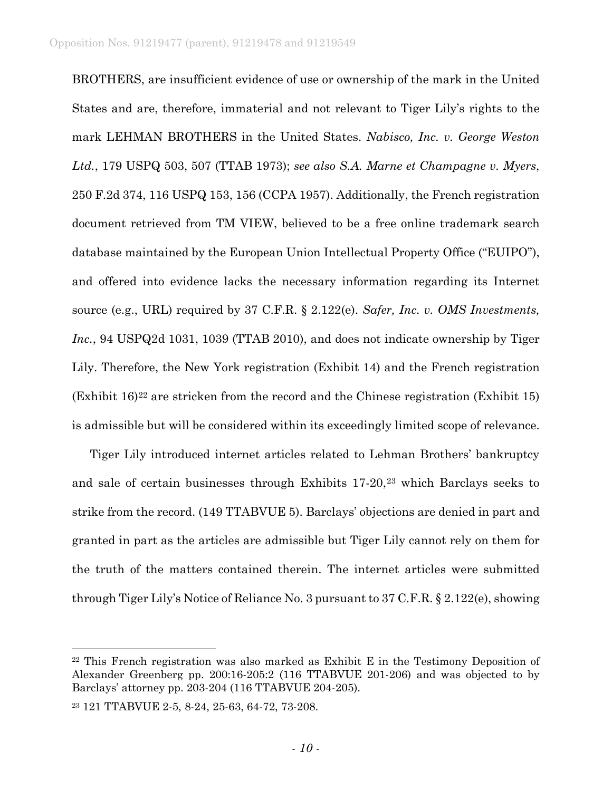BROTHERS, are insufficient evidence of use or ownership of the mark in the United States and are, therefore, immaterial and not relevant to Tiger Lily's rights to the mark LEHMAN BROTHERS in the United States. *Nabisco, Inc. v. George Weston Ltd.*, 179 USPQ 503, 507 (TTAB 1973); *see also S.A. Marne et Champagne v. Myers*, 250 F.2d 374, 116 USPQ 153, 156 (CCPA 1957). Additionally, the French registration document retrieved from TM VIEW, believed to be a free online trademark search database maintained by the European Union Intellectual Property Office ("EUIPO"), and offered into evidence lacks the necessary information regarding its Internet source (e.g., URL) required by 37 C.F.R. § 2.122(e). *Safer, Inc. v. OMS Investments, Inc.*, 94 USPQ2d 1031, 1039 (TTAB 2010), and does not indicate ownership by Tiger Lily. Therefore, the New York registration (Exhibit 14) and the French registration  $(Exhibit 16)<sup>22</sup>$  $(Exhibit 16)<sup>22</sup>$  $(Exhibit 16)<sup>22</sup>$  are stricken from the record and the Chinese registration (Exhibit 15) is admissible but will be considered within its exceedingly limited scope of relevance.

Tiger Lily introduced internet articles related to Lehman Brothers' bankruptcy and sale of certain businesses through Exhibits 17-20,[23](#page-9-1) which Barclays seeks to strike from the record. (149 TTABVUE 5). Barclays' objections are denied in part and granted in part as the articles are admissible but Tiger Lily cannot rely on them for the truth of the matters contained therein. The internet articles were submitted through Tiger Lily's Notice of Reliance No. 3 pursuant to 37 C.F.R. § 2.122(e), showing

<span id="page-9-0"></span> $22$  This French registration was also marked as Exhibit E in the Testimony Deposition of Alexander Greenberg pp. 200:16-205:2 (116 TTABVUE 201-206) and was objected to by Barclays' attorney pp. 203-204 (116 TTABVUE 204-205).

<span id="page-9-1"></span><sup>23</sup> 121 TTABVUE 2-5, 8-24, 25-63, 64-72, 73-208.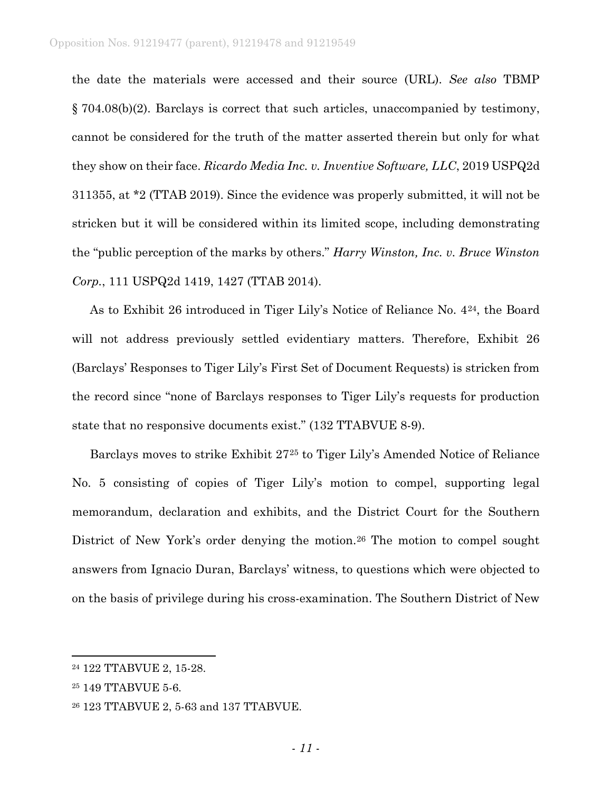the date the materials were accessed and their source (URL). *See also* TBMP § 704.08(b)(2). Barclays is correct that such articles, unaccompanied by testimony, cannot be considered for the truth of the matter asserted therein but only for what they show on their face. *Ricardo Media Inc. v. Inventive Software, LLC*, 2019 USPQ2d 311355, at \*2 (TTAB 2019). Since the evidence was properly submitted, it will not be stricken but it will be considered within its limited scope, including demonstrating the "public perception of the marks by others." *Harry Winston, Inc. v. Bruce Winston Corp.*, 111 USPQ2d 1419, 1427 (TTAB 2014).

As to Exhibit 26 introduced in Tiger Lily's Notice of Reliance No. 4[24](#page-10-0), the Board will not address previously settled evidentiary matters. Therefore, Exhibit 26 (Barclays' Responses to Tiger Lily's First Set of Document Requests) is stricken from the record since "none of Barclays responses to Tiger Lily's requests for production state that no responsive documents exist." (132 TTABVUE 8-9).

Barclays moves to strike Exhibit 27[25](#page-10-1) to Tiger Lily's Amended Notice of Reliance No. 5 consisting of copies of Tiger Lily's motion to compel, supporting legal memorandum, declaration and exhibits, and the District Court for the Southern District of New York's order denying the motion.<sup>[26](#page-10-2)</sup> The motion to compel sought answers from Ignacio Duran, Barclays' witness, to questions which were objected to on the basis of privilege during his cross-examination. The Southern District of New

<span id="page-10-0"></span> <sup>24</sup> 122 TTABVUE 2, 15-28.

<span id="page-10-1"></span><sup>25</sup> 149 TTABVUE 5-6.

<span id="page-10-2"></span><sup>26</sup> 123 TTABVUE 2, 5-63 and 137 TTABVUE.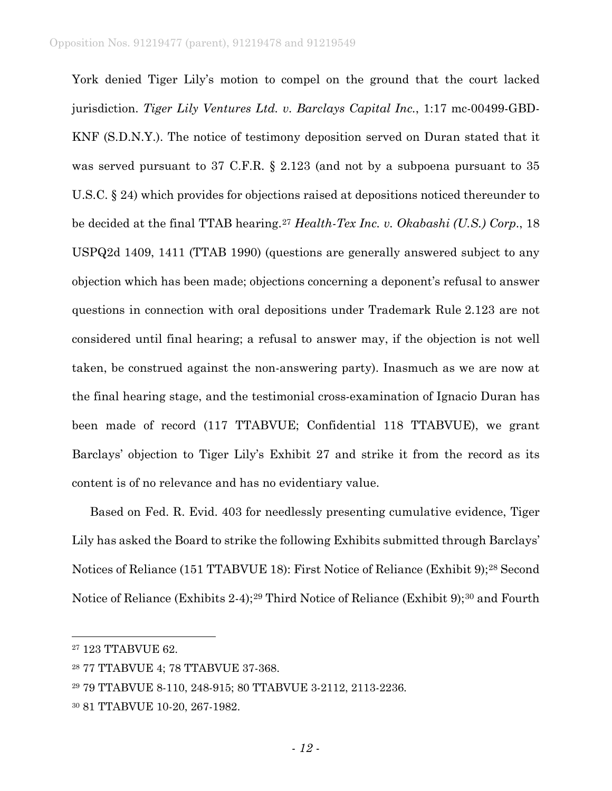York denied Tiger Lily's motion to compel on the ground that the court lacked jurisdiction. *Tiger Lily Ventures Ltd. v. Barclays Capital Inc.*, 1:17 mc-00499-GBD-KNF (S.D.N.Y.). The notice of testimony deposition served on Duran stated that it was served pursuant to 37 C.F.R. § 2.123 (and not by a subpoena pursuant to 35 U.S.C. § 24) which provides for objections raised at depositions noticed thereunder to be decided at the final TTAB hearing.[27](#page-11-0) *Health-Tex Inc. v. Okabashi (U.S.) Corp*., 18 USPQ2d 1409, 1411 (TTAB 1990) (questions are generally answered subject to any objection which has been made; objections concerning a deponent's refusal to answer questions in connection with oral depositions under Trademark Rule 2.123 are not considered until final hearing; a refusal to answer may, if the objection is not well taken, be construed against the non-answering party). Inasmuch as we are now at the final hearing stage, and the testimonial cross-examination of Ignacio Duran has been made of record (117 TTABVUE; Confidential 118 TTABVUE), we grant Barclays' objection to Tiger Lily's Exhibit 27 and strike it from the record as its content is of no relevance and has no evidentiary value.

Based on Fed. R. Evid. 403 for needlessly presenting cumulative evidence, Tiger Lily has asked the Board to strike the following Exhibits submitted through Barclays' Notices of Reliance (151 TTABVUE 18): First Notice of Reliance (Exhibit 9);<sup>[28](#page-11-1)</sup> Second Notice of Reliance (Exhibits 2-4);<sup>[29](#page-11-2)</sup> Third Notice of Reliance (Exhibit 9);<sup>[30](#page-11-3)</sup> and Fourth

<span id="page-11-0"></span> <sup>27</sup> 123 TTABVUE 62.

<span id="page-11-1"></span><sup>28</sup> 77 TTABVUE 4; 78 TTABVUE 37-368.

<span id="page-11-2"></span><sup>29</sup> 79 TTABVUE 8-110, 248-915; 80 TTABVUE 3-2112, 2113-2236.

<span id="page-11-3"></span><sup>30</sup> 81 TTABVUE 10-20, 267-1982.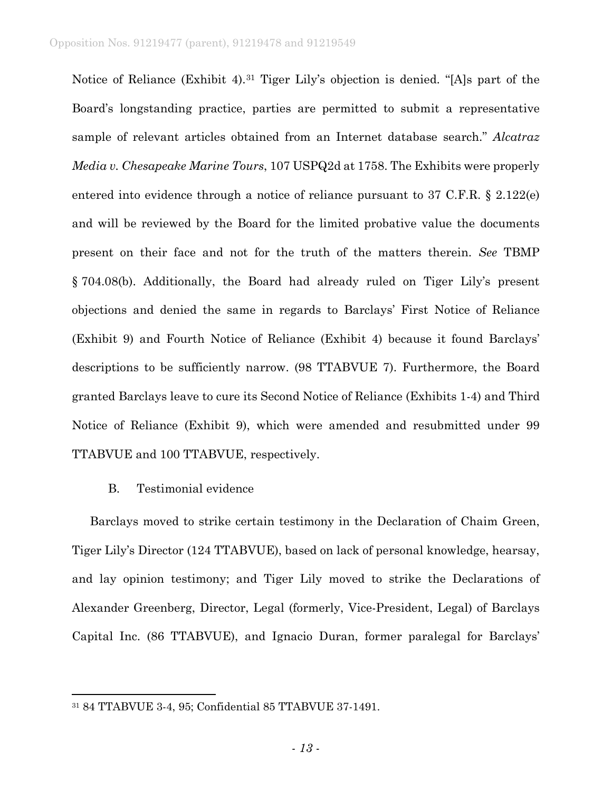Notice of Reliance (Exhibit 4).[31](#page-12-0) Tiger Lily's objection is denied. "[A]s part of the Board's longstanding practice, parties are permitted to submit a representative sample of relevant articles obtained from an Internet database search." *Alcatraz Media v. Chesapeake Marine Tours*, 107 USPQ2d at 1758. The Exhibits were properly entered into evidence through a notice of reliance pursuant to 37 C.F.R. § 2.122(e) and will be reviewed by the Board for the limited probative value the documents present on their face and not for the truth of the matters therein. *See* TBMP § 704.08(b). Additionally, the Board had already ruled on Tiger Lily's present objections and denied the same in regards to Barclays' First Notice of Reliance (Exhibit 9) and Fourth Notice of Reliance (Exhibit 4) because it found Barclays' descriptions to be sufficiently narrow. (98 TTABVUE 7). Furthermore, the Board granted Barclays leave to cure its Second Notice of Reliance (Exhibits 1-4) and Third Notice of Reliance (Exhibit 9), which were amended and resubmitted under 99 TTABVUE and 100 TTABVUE, respectively.

### B. Testimonial evidence

Barclays moved to strike certain testimony in the Declaration of Chaim Green, Tiger Lily's Director (124 TTABVUE), based on lack of personal knowledge, hearsay, and lay opinion testimony; and Tiger Lily moved to strike the Declarations of Alexander Greenberg, Director, Legal (formerly, Vice-President, Legal) of Barclays Capital Inc. (86 TTABVUE), and Ignacio Duran, former paralegal for Barclays'

<span id="page-12-0"></span> <sup>31</sup> 84 TTABVUE 3-4, 95; Confidential 85 TTABVUE 37-1491.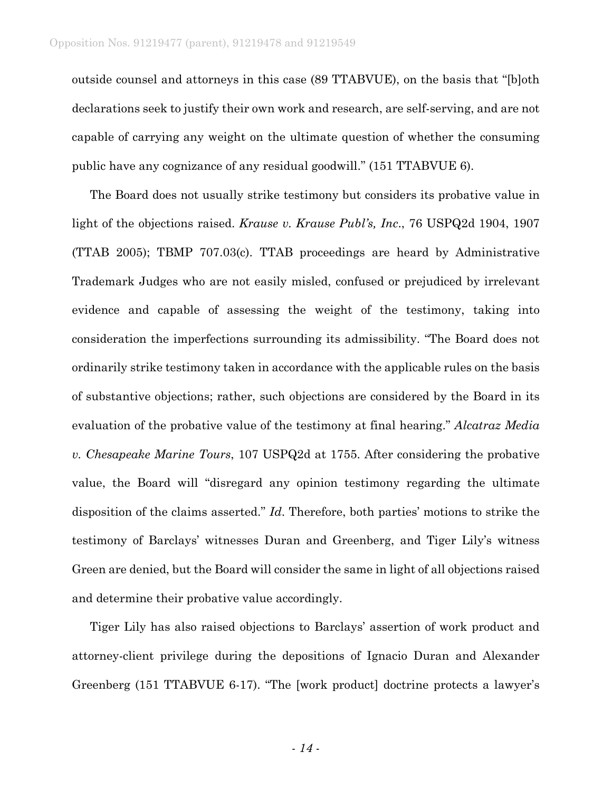outside counsel and attorneys in this case (89 TTABVUE), on the basis that "[b]oth declarations seek to justify their own work and research, are self-serving, and are not capable of carrying any weight on the ultimate question of whether the consuming public have any cognizance of any residual goodwill." (151 TTABVUE 6).

The Board does not usually strike testimony but considers its probative value in light of the objections raised. *Krause v. Krause Publ's, Inc*., 76 USPQ2d 1904, 1907 (TTAB 2005); TBMP 707.03(c). TTAB proceedings are heard by Administrative Trademark Judges who are not easily misled, confused or prejudiced by irrelevant evidence and capable of assessing the weight of the testimony, taking into consideration the imperfections surrounding its admissibility. "The Board does not ordinarily strike testimony taken in accordance with the applicable rules on the basis of substantive objections; rather, such objections are considered by the Board in its evaluation of the probative value of the testimony at final hearing." *Alcatraz Media v. Chesapeake Marine Tours*, 107 USPQ2d at 1755. After considering the probative value, the Board will "disregard any opinion testimony regarding the ultimate disposition of the claims asserted." *Id*. Therefore, both parties' motions to strike the testimony of Barclays' witnesses Duran and Greenberg, and Tiger Lily's witness Green are denied, but the Board will consider the same in light of all objections raised and determine their probative value accordingly.

Tiger Lily has also raised objections to Barclays' assertion of work product and attorney-client privilege during the depositions of Ignacio Duran and Alexander Greenberg (151 TTABVUE 6-17). "The [work product] doctrine protects a lawyer's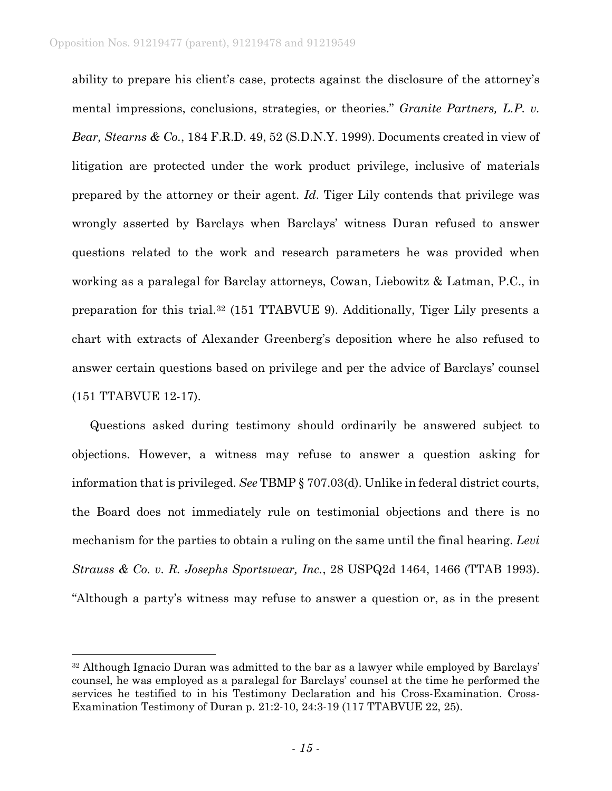ability to prepare his client's case, protects against the disclosure of the attorney's mental impressions, conclusions, strategies, or theories." *Granite Partners, L.P. v. Bear, Stearns & Co.*, 184 F.R.D. 49, 52 (S.D.N.Y. 1999). Documents created in view of litigation are protected under the work product privilege, inclusive of materials prepared by the attorney or their agent. *Id*. Tiger Lily contends that privilege was wrongly asserted by Barclays when Barclays' witness Duran refused to answer questions related to the work and research parameters he was provided when working as a paralegal for Barclay attorneys, Cowan, Liebowitz & Latman, P.C., in preparation for this trial.[32](#page-14-0) (151 TTABVUE 9). Additionally, Tiger Lily presents a chart with extracts of Alexander Greenberg's deposition where he also refused to answer certain questions based on privilege and per the advice of Barclays' counsel (151 TTABVUE 12-17).

Questions asked during testimony should ordinarily be answered subject to objections. However, a witness may refuse to answer a question asking for information that is privileged. *See* TBMP § 707.03(d). Unlike in federal district courts, the Board does not immediately rule on testimonial objections and there is no mechanism for the parties to obtain a ruling on the same until the final hearing. *Levi Strauss & Co. v. R. Josephs Sportswear, Inc.*, 28 USPQ2d 1464, 1466 (TTAB 1993). "Although a party's witness may refuse to answer a question or, as in the present

<span id="page-14-0"></span> <sup>32</sup> Although Ignacio Duran was admitted to the bar as a lawyer while employed by Barclays' counsel, he was employed as a paralegal for Barclays' counsel at the time he performed the services he testified to in his Testimony Declaration and his Cross-Examination. Cross-Examination Testimony of Duran p. 21:2-10, 24:3-19 (117 TTABVUE 22, 25).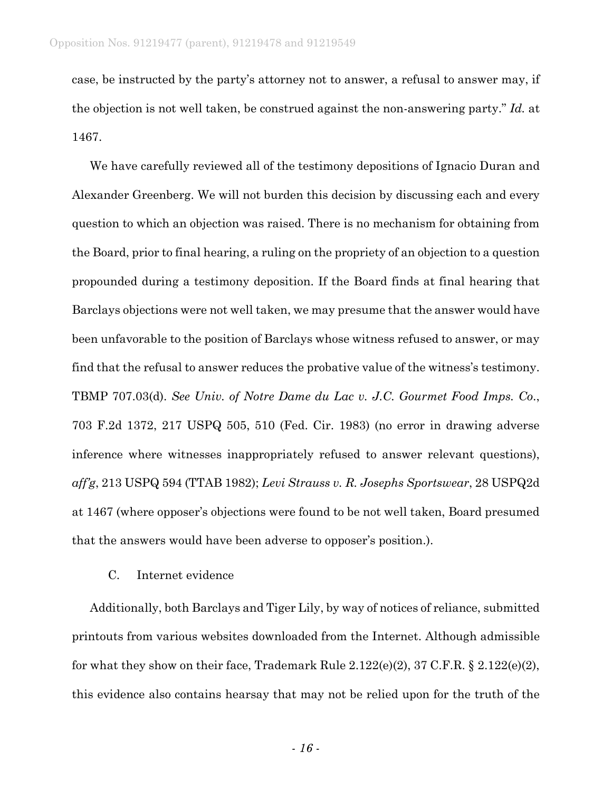case, be instructed by the party's attorney not to answer, a refusal to answer may, if the objection is not well taken, be construed against the non-answering party." *Id.* at 1467.

We have carefully reviewed all of the testimony depositions of Ignacio Duran and Alexander Greenberg. We will not burden this decision by discussing each and every question to which an objection was raised. There is no mechanism for obtaining from the Board, prior to final hearing, a ruling on the propriety of an objection to a question propounded during a testimony deposition. If the Board finds at final hearing that Barclays objections were not well taken, we may presume that the answer would have been unfavorable to the position of Barclays whose witness refused to answer, or may find that the refusal to answer reduces the probative value of the witness's testimony. TBMP 707.03(d). *See Univ. of Notre Dame du Lac v. J.C. Gourmet Food Imps. Co*., 703 F.2d 1372, 217 USPQ 505, 510 (Fed. Cir. 1983) (no error in drawing adverse inference where witnesses inappropriately refused to answer relevant questions), *aff'g*, 213 USPQ 594 (TTAB 1982); *Levi Strauss v. R. Josephs Sportswear*, 28 USPQ2d at 1467 (where opposer's objections were found to be not well taken, Board presumed that the answers would have been adverse to opposer's position.).

#### C. Internet evidence

Additionally, both Barclays and Tiger Lily, by way of notices of reliance, submitted printouts from various websites downloaded from the Internet. Although admissible for what they show on their face, Trademark Rule  $2.122(e)(2)$ ,  $37$  C.F.R. §  $2.122(e)(2)$ , this evidence also contains hearsay that may not be relied upon for the truth of the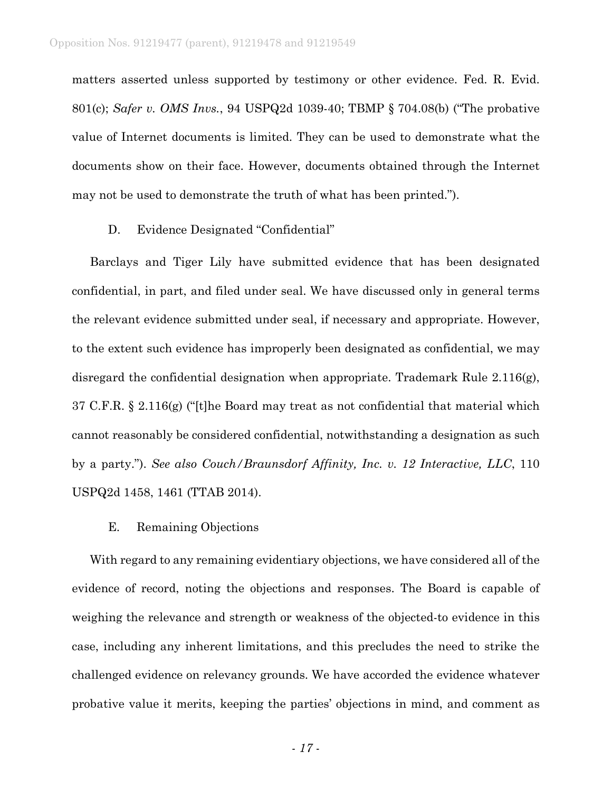matters asserted unless supported by testimony or other evidence. Fed. R. Evid. 801(c); *Safer v. OMS Invs.*, 94 USPQ2d 1039-40; TBMP § 704.08(b) ("The probative value of Internet documents is limited. They can be used to demonstrate what the documents show on their face. However, documents obtained through the Internet may not be used to demonstrate the truth of what has been printed.").

#### D. Evidence Designated "Confidential"

Barclays and Tiger Lily have submitted evidence that has been designated confidential, in part, and filed under seal. We have discussed only in general terms the relevant evidence submitted under seal, if necessary and appropriate. However, to the extent such evidence has improperly been designated as confidential, we may disregard the confidential designation when appropriate. Trademark Rule  $2.116(g)$ , 37 C.F.R. § 2.116(g) ("[t]he Board may treat as not confidential that material which cannot reasonably be considered confidential, notwithstanding a designation as such by a party."). *See also Couch/Braunsdorf Affinity, Inc. v. 12 Interactive, LLC*, 110 USPQ2d 1458, 1461 (TTAB 2014).

### E. Remaining Objections

With regard to any remaining evidentiary objections, we have considered all of the evidence of record, noting the objections and responses. The Board is capable of weighing the relevance and strength or weakness of the objected-to evidence in this case, including any inherent limitations, and this precludes the need to strike the challenged evidence on relevancy grounds. We have accorded the evidence whatever probative value it merits, keeping the parties' objections in mind, and comment as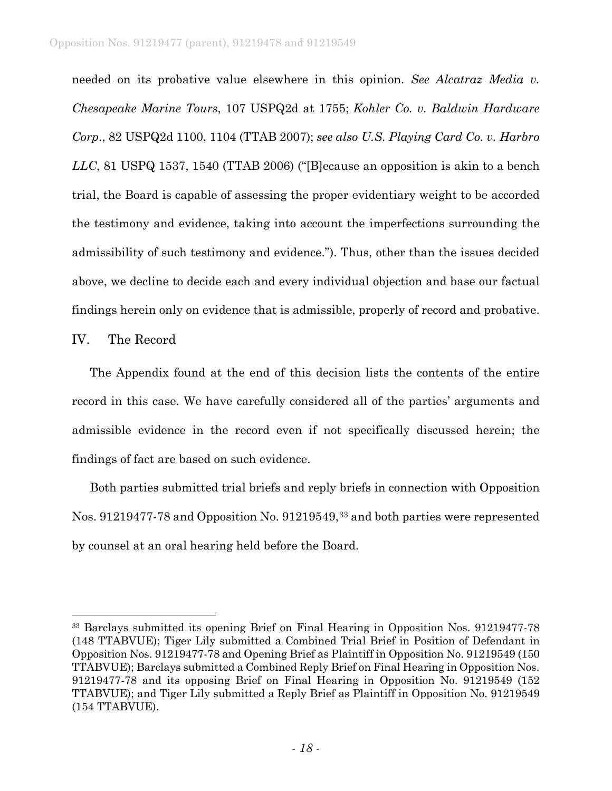needed on its probative value elsewhere in this opinion. *See Alcatraz Media v. Chesapeake Marine Tours*, 107 USPQ2d at 1755; *Kohler Co. v. Baldwin Hardware Corp*., 82 USPQ2d 1100, 1104 (TTAB 2007); *see also U.S. Playing Card Co. v. Harbro LLC*, 81 USPQ 1537, 1540 (TTAB 2006) ("[B]ecause an opposition is akin to a bench trial, the Board is capable of assessing the proper evidentiary weight to be accorded the testimony and evidence, taking into account the imperfections surrounding the admissibility of such testimony and evidence."). Thus, other than the issues decided above, we decline to decide each and every individual objection and base our factual findings herein only on evidence that is admissible, properly of record and probative.

IV. The Record

The Appendix found at the end of this decision lists the contents of the entire record in this case. We have carefully considered all of the parties' arguments and admissible evidence in the record even if not specifically discussed herein; the findings of fact are based on such evidence.

Both parties submitted trial briefs and reply briefs in connection with Opposition Nos. 91219477-78 and Opposition No. 91219549[,33](#page-17-0) and both parties were represented by counsel at an oral hearing held before the Board.

<span id="page-17-0"></span> <sup>33</sup> Barclays submitted its opening Brief on Final Hearing in Opposition Nos. 91219477-78 (148 TTABVUE); Tiger Lily submitted a Combined Trial Brief in Position of Defendant in Opposition Nos. 91219477-78 and Opening Brief as Plaintiff in Opposition No. 91219549 (150 TTABVUE); Barclays submitted a Combined Reply Brief on Final Hearing in Opposition Nos. 91219477-78 and its opposing Brief on Final Hearing in Opposition No. 91219549 (152 TTABVUE); and Tiger Lily submitted a Reply Brief as Plaintiff in Opposition No. 91219549 (154 TTABVUE).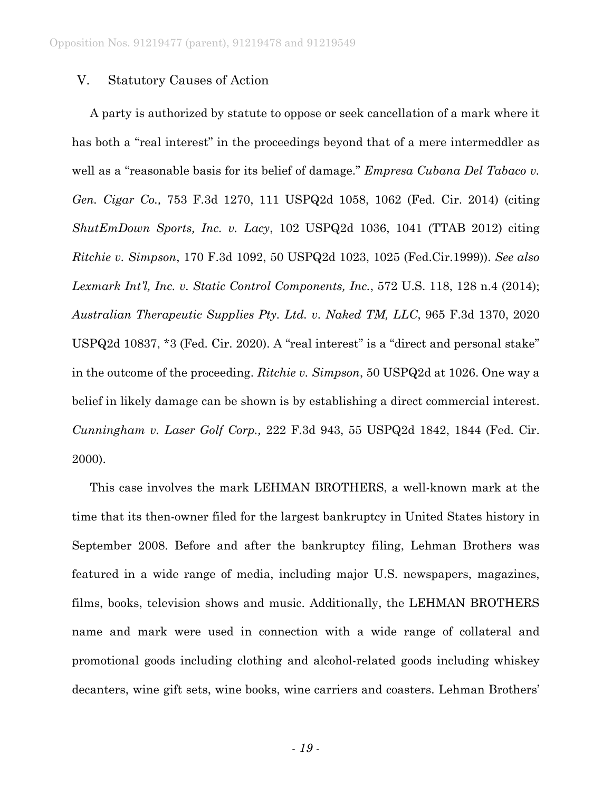### V. Statutory Causes of Action

A party is authorized by statute to oppose or seek cancellation of a mark where it has both a "real interest" in the proceedings beyond that of a mere intermeddler as well as a "reasonable basis for its belief of damage." *Empresa Cubana Del Tabaco v. Gen. Cigar Co.,* 753 F.3d 1270, 111 USPQ2d 1058, 1062 (Fed. Cir. 2014) (citing *ShutEmDown Sports, Inc. v. Lacy*, 102 USPQ2d 1036, 1041 (TTAB 2012) citing *Ritchie v. Simpson*, 170 F.3d 1092, 50 USPQ2d 1023, 1025 (Fed.Cir.1999)). *See also Lexmark Int'l, Inc. v. Static Control Components, Inc.*, 572 U.S. 118, 128 n.4 (2014); *Australian Therapeutic Supplies Pty. Ltd. v. Naked TM, LLC*, 965 F.3d 1370, 2020 USPQ2d 10837, \*3 (Fed. Cir. 2020). A "real interest" is a "direct and personal stake" in the outcome of the proceeding. *Ritchie v. Simpson*, 50 USPQ2d at 1026. One way a belief in likely damage can be shown is by establishing a direct commercial interest. *Cunningham v. Laser Golf Corp.,* 222 F.3d 943, 55 USPQ2d 1842, 1844 (Fed. Cir. 2000).

This case involves the mark LEHMAN BROTHERS, a well-known mark at the time that its then-owner filed for the largest bankruptcy in United States history in September 2008. Before and after the bankruptcy filing, Lehman Brothers was featured in a wide range of media, including major U.S. newspapers, magazines, films, books, television shows and music. Additionally, the LEHMAN BROTHERS name and mark were used in connection with a wide range of collateral and promotional goods including clothing and alcohol-related goods including whiskey decanters, wine gift sets, wine books, wine carriers and coasters. Lehman Brothers'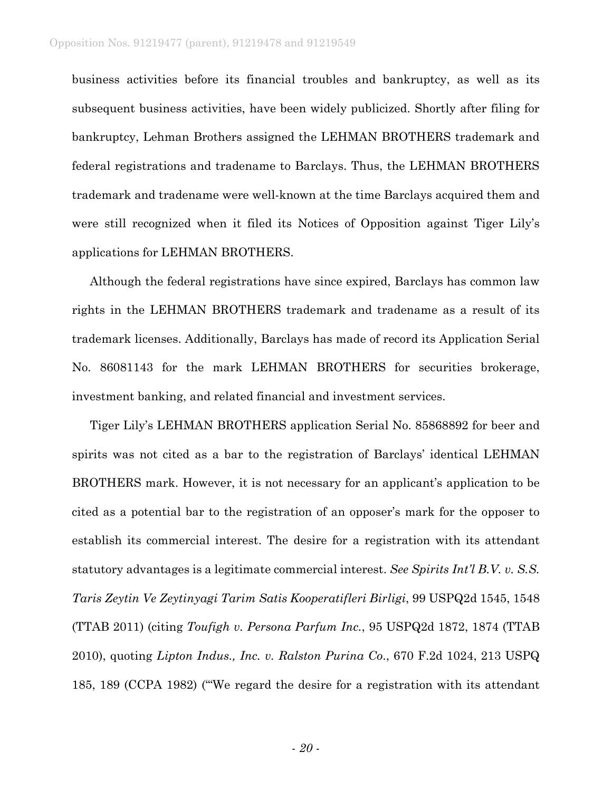business activities before its financial troubles and bankruptcy, as well as its subsequent business activities, have been widely publicized. Shortly after filing for bankruptcy, Lehman Brothers assigned the LEHMAN BROTHERS trademark and federal registrations and tradename to Barclays. Thus, the LEHMAN BROTHERS trademark and tradename were well-known at the time Barclays acquired them and were still recognized when it filed its Notices of Opposition against Tiger Lily's applications for LEHMAN BROTHERS.

Although the federal registrations have since expired, Barclays has common law rights in the LEHMAN BROTHERS trademark and tradename as a result of its trademark licenses. Additionally, Barclays has made of record its Application Serial No. 86081143 for the mark LEHMAN BROTHERS for securities brokerage, investment banking, and related financial and investment services.

Tiger Lily's LEHMAN BROTHERS application Serial No. 85868892 for beer and spirits was not cited as a bar to the registration of Barclays' identical LEHMAN BROTHERS mark. However, it is not necessary for an applicant's application to be cited as a potential bar to the registration of an opposer's mark for the opposer to establish its commercial interest. The desire for a registration with its attendant statutory advantages is a legitimate commercial interest. *See Spirits Int'l B.V. v. S.S. Taris Zeytin Ve Zeytinyagi Tarim Satis Kooperatifleri Birligi*, 99 USPQ2d 1545, 1548 (TTAB 2011) (citing *Toufigh v. Persona Parfum Inc.*, 95 USPQ2d 1872, 1874 (TTAB 2010), quoting *Lipton Indus., Inc. v. Ralston Purina Co*., 670 F.2d 1024, 213 USPQ 185, 189 (CCPA 1982) ('"We regard the desire for a registration with its attendant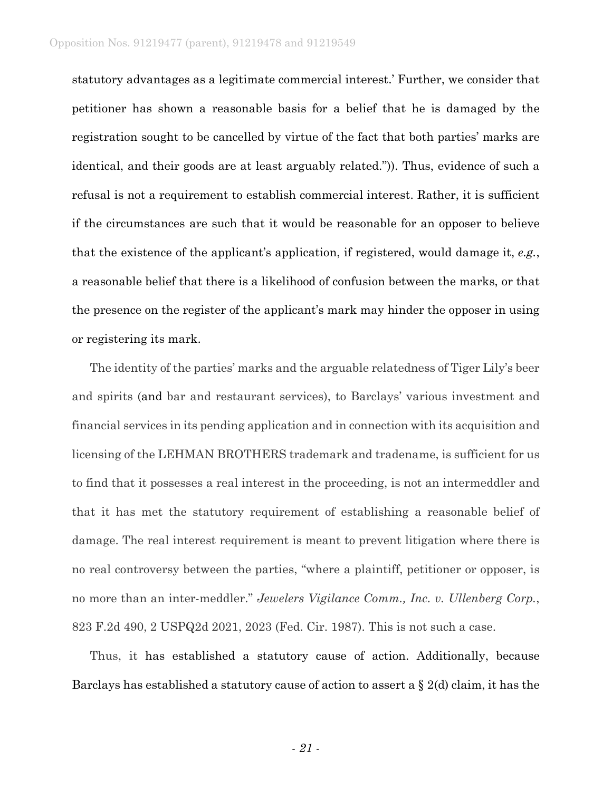statutory advantages as a legitimate commercial interest.' Further, we consider that petitioner has shown a reasonable basis for a belief that he is damaged by the registration sought to be cancelled by virtue of the fact that both parties' marks are identical, and their goods are at least arguably related.")). Thus, evidence of such a refusal is not a requirement to establish commercial interest. Rather, it is sufficient if the circumstances are such that it would be reasonable for an opposer to believe that the existence of the applicant's application, if registered, would damage it, *e.g.*, a reasonable belief that there is a likelihood of confusion between the marks, or that the presence on the register of the applicant's mark may hinder the opposer in using or registering its mark.

The identity of the parties' marks and the arguable relatedness of Tiger Lily's beer and spirits (and bar and restaurant services), to Barclays' various investment and financial services in its pending application and in connection with its acquisition and licensing of the LEHMAN BROTHERS trademark and tradename, is sufficient for us to find that it possesses a real interest in the proceeding, is not an intermeddler and that it has met the statutory requirement of establishing a reasonable belief of damage. The real interest requirement is meant to prevent litigation where there is no real controversy between the parties, "where a plaintiff, petitioner or opposer, is no more than an inter-meddler." *Jewelers Vigilance Comm., Inc. v. Ullenberg Corp.*, 823 F.2d 490, 2 USPQ2d 2021, 2023 (Fed. Cir. 1987). This is not such a case.

Thus, it has established a statutory cause of action. Additionally, because Barclays has established a statutory cause of action to assert a  $\S$  2(d) claim, it has the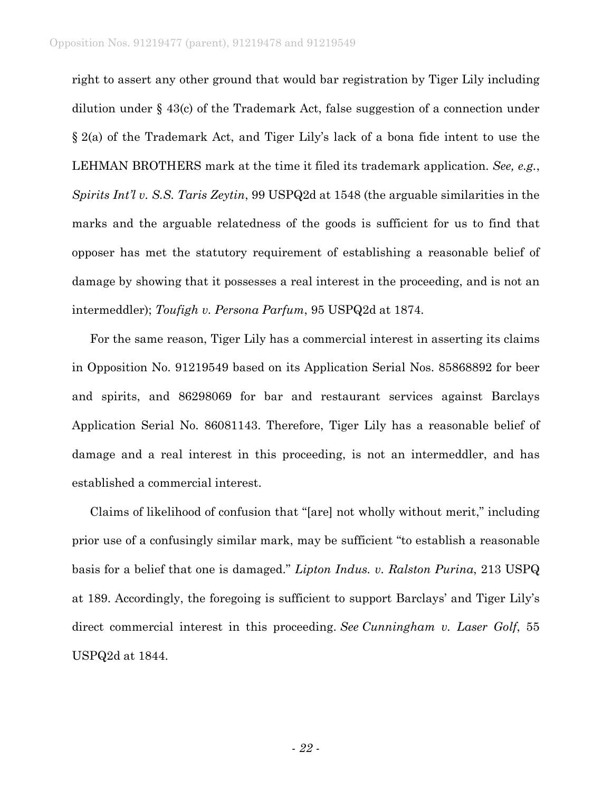right to assert any other ground that would bar registration by Tiger Lily including dilution under § 43(c) of the Trademark Act, false suggestion of a connection under § 2(a) of the Trademark Act, and Tiger Lily's lack of a bona fide intent to use the LEHMAN BROTHERS mark at the time it filed its trademark application. *See, e.g.*, *Spirits Int'l v. S.S. Taris Zeytin*, 99 USPQ2d at 1548 (the arguable similarities in the marks and the arguable relatedness of the goods is sufficient for us to find that opposer has met the statutory requirement of establishing a reasonable belief of damage by showing that it possesses a real interest in the proceeding, and is not an intermeddler); *Toufigh v. Persona Parfum*, 95 USPQ2d at 1874.

For the same reason, Tiger Lily has a commercial interest in asserting its claims in Opposition No. 91219549 based on its Application Serial Nos. 85868892 for beer and spirits, and 86298069 for bar and restaurant services against Barclays Application Serial No. 86081143. Therefore, Tiger Lily has a reasonable belief of damage and a real interest in this proceeding, is not an intermeddler, and has established a commercial interest.

Claims of likelihood of confusion that "[are] not wholly without merit," including prior use of a confusingly similar mark, may be sufficient "to establish a reasonable basis for a belief that one is damaged." *Lipton Indus. v. Ralston Purina*, 213 USPQ at 189. Accordingly, the foregoing is sufficient to support Barclays' and Tiger Lily's direct commercial interest in this proceeding. *See Cunningham v. Laser Golf*, 55 USPQ2d at 1844.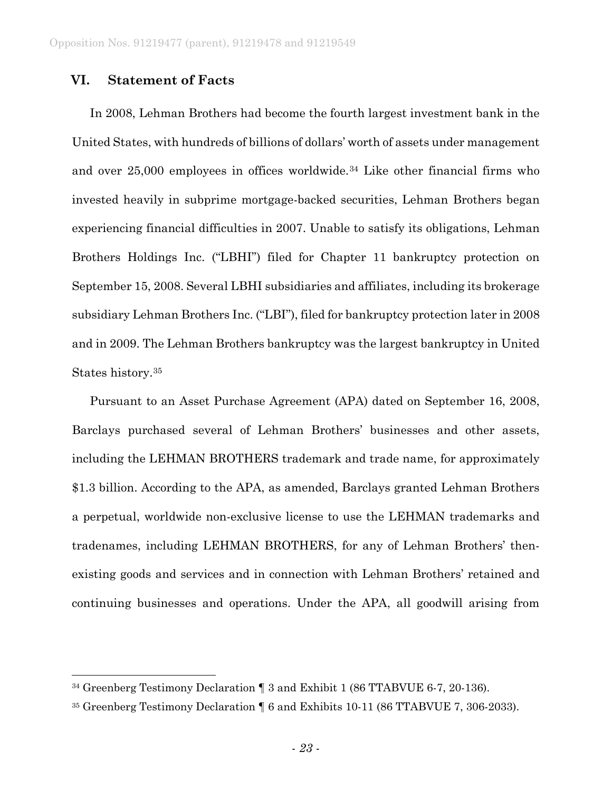## **VI. Statement of Facts**

In 2008, Lehman Brothers had become the fourth largest investment bank in the United States, with hundreds of billions of dollars' worth of assets under management and over 25,000 employees in offices worldwide.[34](#page-22-0) Like other financial firms who invested heavily in subprime mortgage-backed securities, Lehman Brothers began experiencing financial difficulties in 2007. Unable to satisfy its obligations, Lehman Brothers Holdings Inc. ("LBHI") filed for Chapter 11 bankruptcy protection on September 15, 2008. Several LBHI subsidiaries and affiliates, including its brokerage subsidiary Lehman Brothers Inc. ("LBI"), filed for bankruptcy protection later in 2008 and in 2009. The Lehman Brothers bankruptcy was the largest bankruptcy in United States history.[35](#page-22-1)

Pursuant to an Asset Purchase Agreement (APA) dated on September 16, 2008, Barclays purchased several of Lehman Brothers' businesses and other assets, including the LEHMAN BROTHERS trademark and trade name, for approximately \$1.3 billion. According to the APA, as amended, Barclays granted Lehman Brothers a perpetual, worldwide non-exclusive license to use the LEHMAN trademarks and tradenames, including LEHMAN BROTHERS, for any of Lehman Brothers' thenexisting goods and services and in connection with Lehman Brothers' retained and continuing businesses and operations. Under the APA, all goodwill arising from

<span id="page-22-0"></span> <sup>34</sup> Greenberg Testimony Declaration ¶ 3 and Exhibit 1 (86 TTABVUE 6-7, 20-136).

<span id="page-22-1"></span><sup>35</sup> Greenberg Testimony Declaration ¶ 6 and Exhibits 10-11 (86 TTABVUE 7, 306-2033).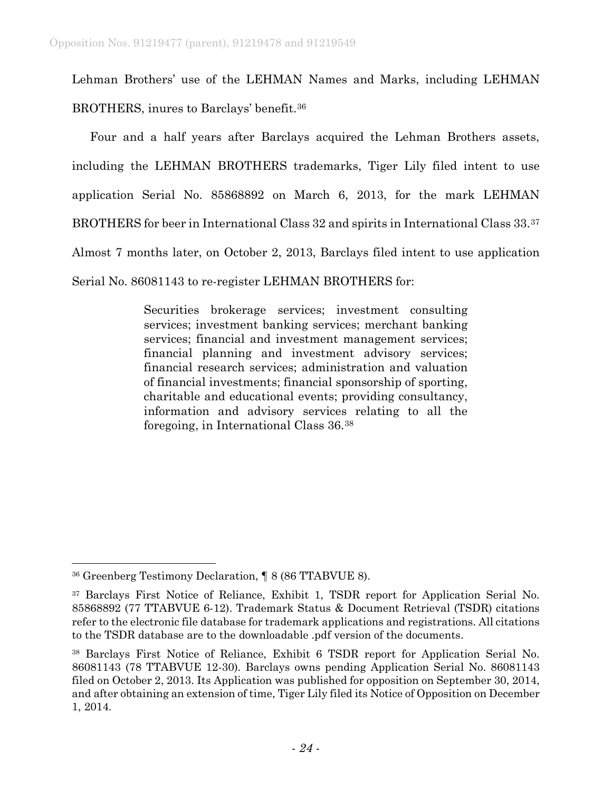Lehman Brothers' use of the LEHMAN Names and Marks, including LEHMAN BROTHERS, inures to Barclays' benefit.[36](#page-23-0)

Four and a half years after Barclays acquired the Lehman Brothers assets, including the LEHMAN BROTHERS trademarks, Tiger Lily filed intent to use application Serial No. 85868892 on March 6, 2013, for the mark LEHMAN BROTHERS for beer in International Class 32 and spirits in International Class 33.[37](#page-23-1) Almost 7 months later, on October 2, 2013, Barclays filed intent to use application Serial No. 86081143 to re-register LEHMAN BROTHERS for:

> Securities brokerage services; investment consulting services; investment banking services; merchant banking services; financial and investment management services; financial planning and investment advisory services; financial research services; administration and valuation of financial investments; financial sponsorship of sporting, charitable and educational events; providing consultancy, information and advisory services relating to all the foregoing, in International Class 36.[38](#page-23-2)

<span id="page-23-0"></span> <sup>36</sup> Greenberg Testimony Declaration, ¶ 8 (86 TTABVUE 8).

<span id="page-23-1"></span><sup>&</sup>lt;sup>37</sup> Barclays First Notice of Reliance, Exhibit 1, TSDR report for Application Serial No. 85868892 (77 TTABVUE 6-12). Trademark Status & Document Retrieval (TSDR) citations refer to the electronic file database for trademark applications and registrations. All citations to the TSDR database are to the downloadable .pdf version of the documents.

<span id="page-23-2"></span><sup>38</sup> Barclays First Notice of Reliance, Exhibit 6 TSDR report for Application Serial No. 86081143 (78 TTABVUE 12-30). Barclays owns pending Application Serial No. 86081143 filed on October 2, 2013. Its Application was published for opposition on September 30, 2014, and after obtaining an extension of time, Tiger Lily filed its Notice of Opposition on December 1, 2014.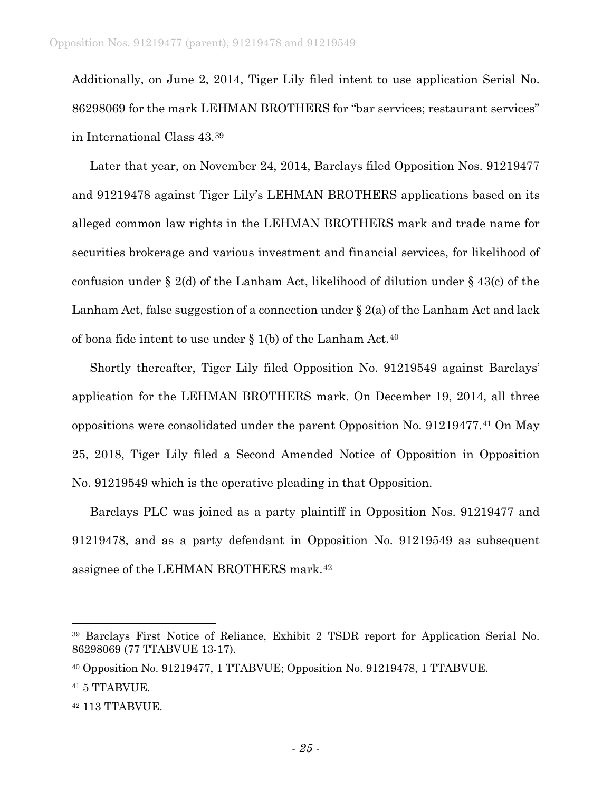Additionally, on June 2, 2014, Tiger Lily filed intent to use application Serial No. 86298069 for the mark LEHMAN BROTHERS for "bar services; restaurant services" in International Class 43.[39](#page-24-0)

Later that year, on November 24, 2014, Barclays filed Opposition Nos. 91219477 and 91219478 against Tiger Lily's LEHMAN BROTHERS applications based on its alleged common law rights in the LEHMAN BROTHERS mark and trade name for securities brokerage and various investment and financial services, for likelihood of confusion under § 2(d) of the Lanham Act, likelihood of dilution under § 43(c) of the Lanham Act, false suggestion of a connection under  $\S 2(a)$  of the Lanham Act and lack of bona fide intent to use under § 1(b) of the Lanham Act.[40](#page-24-1)

Shortly thereafter, Tiger Lily filed Opposition No. 91219549 against Barclays' application for the LEHMAN BROTHERS mark. On December 19, 2014, all three oppositions were consolidated under the parent Opposition No. 91219477.[41](#page-24-2) On May 25, 2018, Tiger Lily filed a Second Amended Notice of Opposition in Opposition No. 91219549 which is the operative pleading in that Opposition.

Barclays PLC was joined as a party plaintiff in Opposition Nos. 91219477 and 91219478, and as a party defendant in Opposition No. 91219549 as subsequent assignee of the LEHMAN BROTHERS mark.[42](#page-24-3)

<span id="page-24-0"></span> <sup>39</sup> Barclays First Notice of Reliance, Exhibit 2 TSDR report for Application Serial No. 86298069 (77 TTABVUE 13-17).

<span id="page-24-1"></span><sup>40</sup> Opposition No. 91219477, 1 TTABVUE; Opposition No. 91219478, 1 TTABVUE.

<span id="page-24-2"></span><sup>41</sup> 5 TTABVUE.

<span id="page-24-3"></span><sup>42</sup> 113 TTABVUE.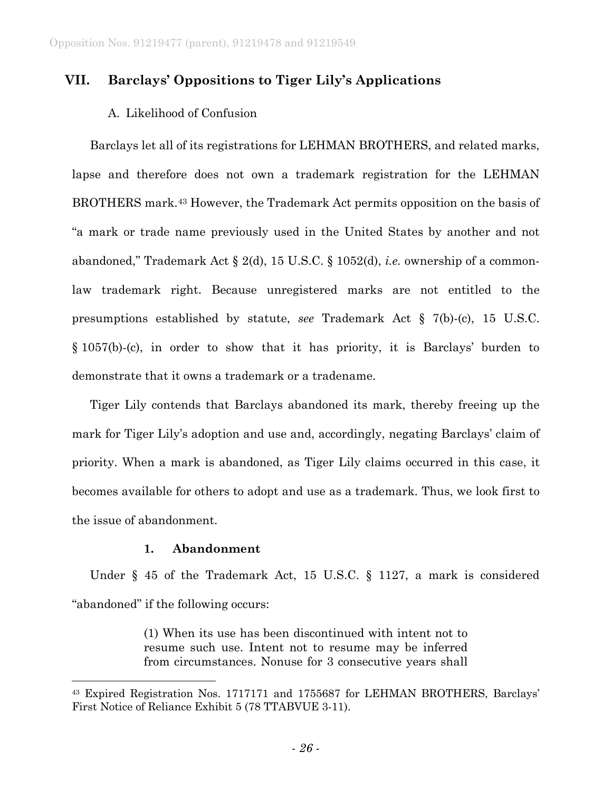# **VII. Barclays' Oppositions to Tiger Lily's Applications**

## A. Likelihood of Confusion

Barclays let all of its registrations for LEHMAN BROTHERS, and related marks, lapse and therefore does not own a trademark registration for the LEHMAN BROTHERS mark.[43](#page-25-0) However, the Trademark Act permits opposition on the basis of "a mark or trade name previously used in the United States by another and not abandoned," Trademark Act § 2(d), 15 U.S.C. § 1052(d), *i.e.* ownership of a commonlaw trademark right. Because unregistered marks are not entitled to the presumptions established by statute, *see* Trademark Act § 7(b)-(c), 15 U.S.C. § 1057(b)-(c), in order to show that it has priority, it is Barclays' burden to demonstrate that it owns a trademark or a tradename.

Tiger Lily contends that Barclays abandoned its mark, thereby freeing up the mark for Tiger Lily's adoption and use and, accordingly, negating Barclays' claim of priority. When a mark is abandoned, as Tiger Lily claims occurred in this case, it becomes available for others to adopt and use as a trademark. Thus, we look first to the issue of abandonment.

### **1. Abandonment**

Under § 45 of the Trademark Act, 15 U.S.C. § 1127, a mark is considered "abandoned" if the following occurs:

> (1) When its use has been discontinued with intent not to resume such use. Intent not to resume may be inferred from circumstances. Nonuse for 3 consecutive years shall

<span id="page-25-0"></span> <sup>43</sup> Expired Registration Nos. 1717171 and 1755687 for LEHMAN BROTHERS, Barclays' First Notice of Reliance Exhibit 5 (78 TTABVUE 3-11).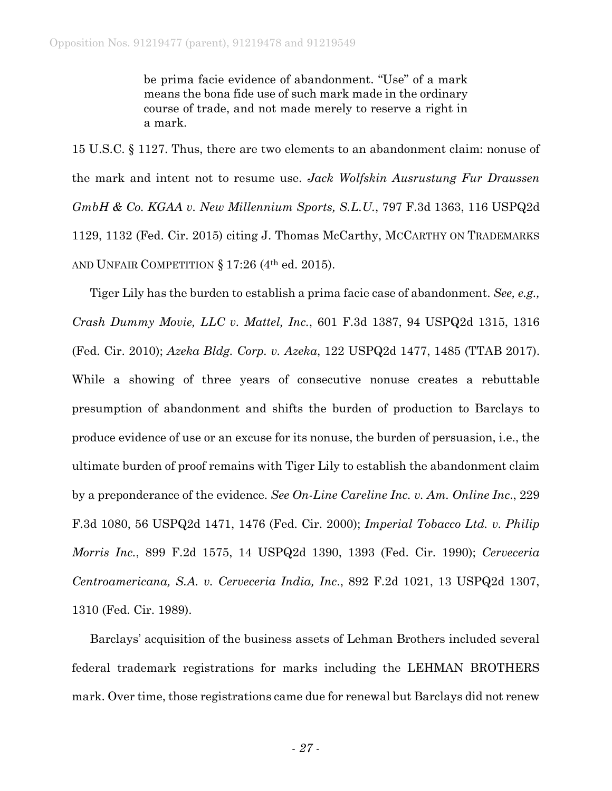be prima facie evidence of abandonment. "Use" of a mark means the bona fide use of such mark made in the ordinary course of trade, and not made merely to reserve a right in a mark.

15 U.S.C. § 1127. Thus, there are two elements to an abandonment claim: nonuse of the mark and intent not to resume use. *Jack Wolfskin Ausrustung Fur Draussen GmbH & Co. KGAA v. New Millennium Sports, S.L.U.*, 797 F.3d 1363, 116 USPQ2d 1129, 1132 (Fed. Cir. 2015) citing J. Thomas McCarthy, MCCARTHY ON TRADEMARKS AND UNFAIR COMPETITION § 17:26 (4th ed. 2015).

Tiger Lily has the burden to establish a prima facie case of abandonment. *See, e.g., Crash Dummy Movie, LLC v. Mattel, Inc.*, 601 F.3d 1387, 94 USPQ2d 1315, 1316 (Fed. Cir. 2010); *Azeka Bldg. Corp. v. Azeka*, 122 USPQ2d 1477, 1485 (TTAB 2017). While a showing of three years of consecutive nonuse creates a rebuttable presumption of abandonment and shifts the burden of production to Barclays to produce evidence of use or an excuse for its nonuse, the burden of persuasion, i.e., the ultimate burden of proof remains with Tiger Lily to establish the abandonment claim by a preponderance of the evidence. *See On-Line Careline Inc. v. Am. Online Inc*., 229 F.3d 1080, 56 USPQ2d 1471, 1476 (Fed. Cir. 2000); *Imperial Tobacco Ltd. v. Philip Morris Inc.*, 899 F.2d 1575, 14 USPQ2d 1390, 1393 (Fed. Cir. 1990); *Cerveceria Centroamericana, S.A. v. Cerveceria India, Inc*., 892 F.2d 1021, 13 USPQ2d 1307, 1310 (Fed. Cir. 1989).

Barclays' acquisition of the business assets of Lehman Brothers included several federal trademark registrations for marks including the LEHMAN BROTHERS mark. Over time, those registrations came due for renewal but Barclays did not renew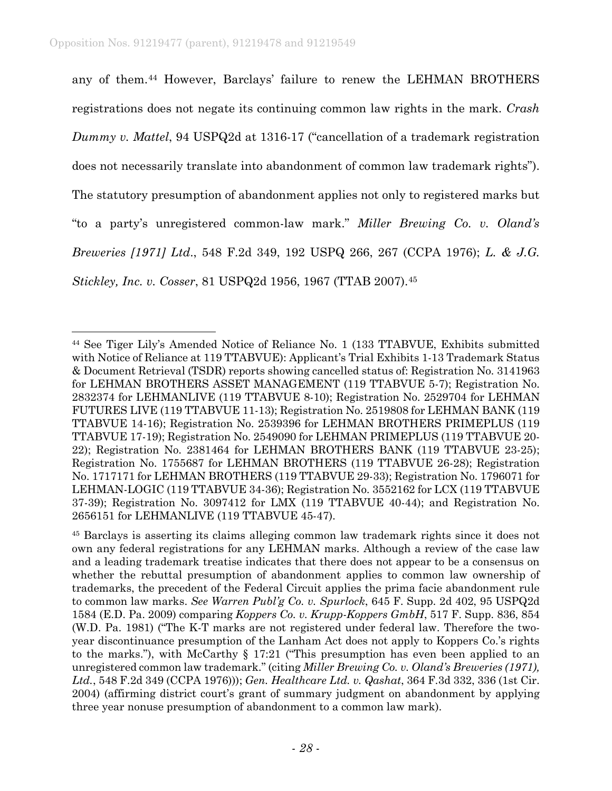any of them.[44](#page-27-0) However, Barclays' failure to renew the LEHMAN BROTHERS registrations does not negate its continuing common law rights in the mark. *Crash Dummy v. Mattel*, 94 USPQ2d at 1316-17 ("cancellation of a trademark registration does not necessarily translate into abandonment of common law trademark rights"). The statutory presumption of abandonment applies not only to registered marks but "to a party's unregistered common-law mark." *Miller Brewing Co. v. Oland's Breweries [1971] Ltd*., 548 F.2d 349, 192 USPQ 266, 267 (CCPA 1976); *L. & J.G. Stickley, Inc. v. Cosser*, 81 USPQ2d 1956, 1967 (TTAB 2007).[45](#page-27-1)

<span id="page-27-0"></span> <sup>44</sup> See Tiger Lily's Amended Notice of Reliance No. 1 (133 TTABVUE, Exhibits submitted with Notice of Reliance at 119 TTABVUE): Applicant's Trial Exhibits 1-13 Trademark Status & Document Retrieval (TSDR) reports showing cancelled status of: Registration No. 3141963 for LEHMAN BROTHERS ASSET MANAGEMENT (119 TTABVUE 5-7); Registration No. 2832374 for LEHMANLIVE (119 TTABVUE 8-10); Registration No. 2529704 for LEHMAN FUTURES LIVE (119 TTABVUE 11-13); Registration No. 2519808 for LEHMAN BANK (119 TTABVUE 14-16); Registration No. 2539396 for LEHMAN BROTHERS PRIMEPLUS (119 TTABVUE 17-19); Registration No. 2549090 for LEHMAN PRIMEPLUS (119 TTABVUE 20- 22); Registration No. 2381464 for LEHMAN BROTHERS BANK (119 TTABVUE 23-25); Registration No. 1755687 for LEHMAN BROTHERS (119 TTABVUE 26-28); Registration No. 1717171 for LEHMAN BROTHERS (119 TTABVUE 29-33); Registration No. 1796071 for LEHMAN-LOGIC (119 TTABVUE 34-36); Registration No. 3552162 for LCX (119 TTABVUE 37-39); Registration No. 3097412 for LMX (119 TTABVUE 40-44); and Registration No. 2656151 for LEHMANLIVE (119 TTABVUE 45-47).

<span id="page-27-1"></span><sup>45</sup> Barclays is asserting its claims alleging common law trademark rights since it does not own any federal registrations for any LEHMAN marks. Although a review of the case law and a leading trademark treatise indicates that there does not appear to be a consensus on whether the rebuttal presumption of abandonment applies to common law ownership of trademarks, the precedent of the Federal Circuit applies the prima facie abandonment rule to common law marks. *See Warren Publ'g Co. v. Spurlock*, 645 F. Supp. 2d 402, 95 USPQ2d 1584 (E.D. Pa. 2009) comparing *Koppers Co. v. Krupp-Koppers GmbH*, 517 F. Supp. 836, 854 (W.D. Pa. 1981) ("The K-T marks are not registered under federal law. Therefore the twoyear discontinuance presumption of the Lanham Act does not apply to Koppers Co.'s rights to the marks."), with McCarthy § 17:21 ("This presumption has even been applied to an unregistered common law trademark." (citing *Miller Brewing Co. v. Oland's Breweries (1971), Ltd.*, 548 F.2d 349 (CCPA 1976))); *Gen. Healthcare Ltd. v. Qashat*, 364 F.3d 332, 336 (1st Cir. 2004) (affirming district court's grant of summary judgment on abandonment by applying three year nonuse presumption of abandonment to a common law mark).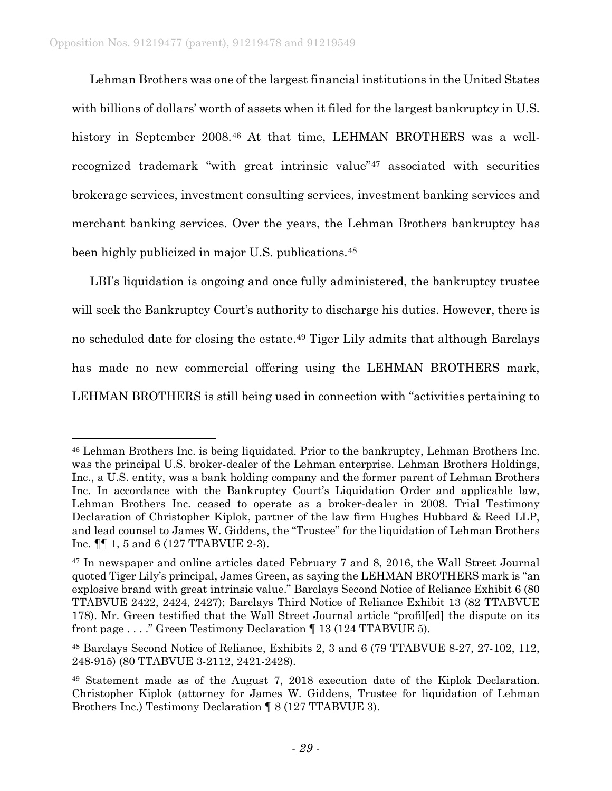Lehman Brothers was one of the largest financial institutions in the United States with billions of dollars' worth of assets when it filed for the largest bankruptcy in U.S. history in September 2008.<sup>[46](#page-28-0)</sup> At that time, LEHMAN BROTHERS was a wellrecognized trademark "with great intrinsic value"[47](#page-28-1) associated with securities brokerage services, investment consulting services, investment banking services and merchant banking services. Over the years, the Lehman Brothers bankruptcy has been highly publicized in major U.S. publications.<sup>[48](#page-28-2)</sup>

LBI's liquidation is ongoing and once fully administered, the bankruptcy trustee will seek the Bankruptcy Court's authority to discharge his duties. However, there is no scheduled date for closing the estate.[49](#page-28-3) Tiger Lily admits that although Barclays has made no new commercial offering using the LEHMAN BROTHERS mark, LEHMAN BROTHERS is still being used in connection with "activities pertaining to

<span id="page-28-0"></span> <sup>46</sup> Lehman Brothers Inc. is being liquidated. Prior to the bankruptcy, Lehman Brothers Inc. was the principal U.S. broker-dealer of the Lehman enterprise. Lehman Brothers Holdings, Inc., a U.S. entity, was a bank holding company and the former parent of Lehman Brothers Inc. In accordance with the Bankruptcy Court's Liquidation Order and applicable law, Lehman Brothers Inc. ceased to operate as a broker-dealer in 2008. Trial Testimony Declaration of Christopher Kiplok, partner of the law firm Hughes Hubbard & Reed LLP, and lead counsel to James W. Giddens, the "Trustee" for the liquidation of Lehman Brothers Inc. ¶¶ 1, 5 and 6 (127 TTABVUE 2-3).

<span id="page-28-1"></span><sup>&</sup>lt;sup>47</sup> In newspaper and online articles dated February 7 and 8, 2016, the Wall Street Journal quoted Tiger Lily's principal, James Green, as saying the LEHMAN BROTHERS mark is "an explosive brand with great intrinsic value." Barclays Second Notice of Reliance Exhibit 6 (80 TTABVUE 2422, 2424, 2427); Barclays Third Notice of Reliance Exhibit 13 (82 TTABVUE 178). Mr. Green testified that the Wall Street Journal article "profil[ed] the dispute on its front page . . . ." Green Testimony Declaration ¶ 13 (124 TTABVUE 5).

<span id="page-28-2"></span><sup>48</sup> Barclays Second Notice of Reliance, Exhibits 2, 3 and 6 (79 TTABVUE 8-27, 27-102, 112, 248-915) (80 TTABVUE 3-2112, 2421-2428).

<span id="page-28-3"></span><sup>49</sup> Statement made as of the August 7, 2018 execution date of the Kiplok Declaration. Christopher Kiplok (attorney for James W. Giddens, Trustee for liquidation of Lehman Brothers Inc.) Testimony Declaration ¶ 8 (127 TTABVUE 3).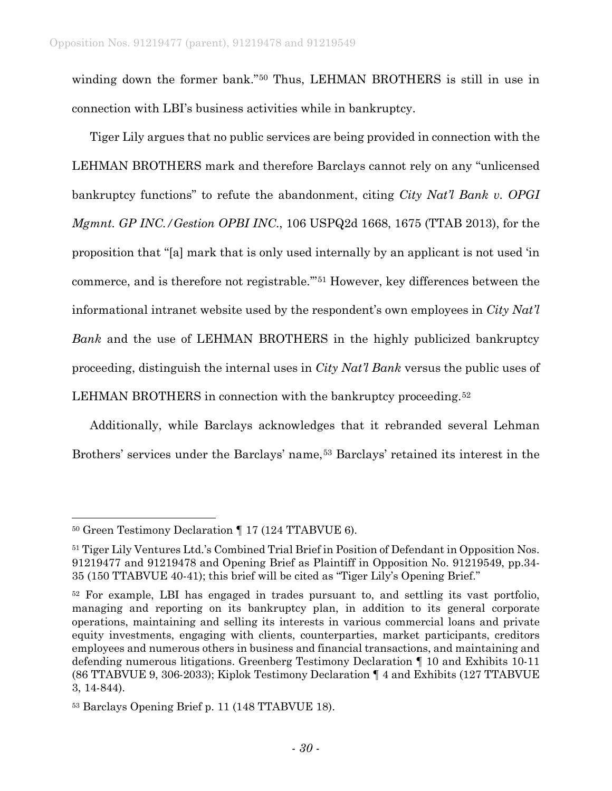winding down the former bank."[50](#page-29-0) Thus, LEHMAN BROTHERS is still in use in connection with LBI's business activities while in bankruptcy.

Tiger Lily argues that no public services are being provided in connection with the LEHMAN BROTHERS mark and therefore Barclays cannot rely on any "unlicensed bankruptcy functions" to refute the abandonment, citing *City Nat'l Bank v. OPGI Mgmnt. GP INC./Gestion OPBI INC*., 106 USPQ2d 1668, 1675 (TTAB 2013), for the proposition that "[a] mark that is only used internally by an applicant is not used 'in commerce, and is therefore not registrable.'"[51](#page-29-1) However, key differences between the informational intranet website used by the respondent's own employees in *City Nat'l Bank* and the use of LEHMAN BROTHERS in the highly publicized bankruptcy proceeding, distinguish the internal uses in *City Nat'l Bank* versus the public uses of LEHMAN BROTHERS in connection with the bankruptcy proceeding.<sup>[52](#page-29-2)</sup>

Additionally, while Barclays acknowledges that it rebranded several Lehman Brothers' services under the Barclays' name,<sup>[53](#page-29-3)</sup> Barclays' retained its interest in the

<span id="page-29-0"></span> <sup>50</sup> Green Testimony Declaration ¶ 17 (124 TTABVUE 6).

<span id="page-29-1"></span><sup>&</sup>lt;sup>51</sup> Tiger Lily Ventures Ltd.'s Combined Trial Brief in Position of Defendant in Opposition Nos. 91219477 and 91219478 and Opening Brief as Plaintiff in Opposition No. 91219549, pp.34- 35 (150 TTABVUE 40-41); this brief will be cited as "Tiger Lily's Opening Brief."

<span id="page-29-2"></span><sup>52</sup> For example, LBI has engaged in trades pursuant to, and settling its vast portfolio, managing and reporting on its bankruptcy plan, in addition to its general corporate operations, maintaining and selling its interests in various commercial loans and private equity investments, engaging with clients, counterparties, market participants, creditors employees and numerous others in business and financial transactions, and maintaining and defending numerous litigations. Greenberg Testimony Declaration ¶ 10 and Exhibits 10-11 (86 TTABVUE 9, 306-2033); Kiplok Testimony Declaration ¶ 4 and Exhibits (127 TTABVUE 3, 14-844).

<span id="page-29-3"></span><sup>53</sup> Barclays Opening Brief p. 11 (148 TTABVUE 18).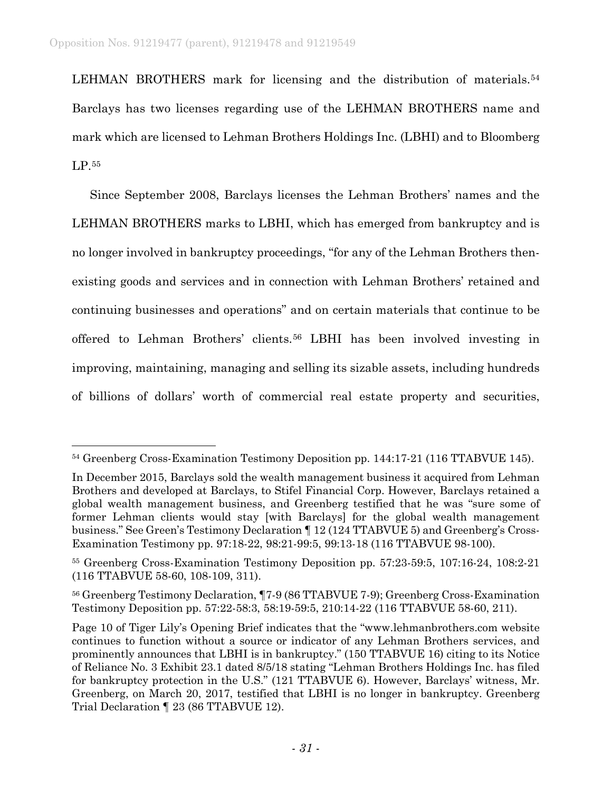LEHMAN BROTHERS mark for licensing and the distribution of materials.<sup>[54](#page-30-0)</sup> Barclays has two licenses regarding use of the LEHMAN BROTHERS name and mark which are licensed to Lehman Brothers Holdings Inc. (LBHI) and to Bloomberg LP.[55](#page-30-1)

Since September 2008, Barclays licenses the Lehman Brothers' names and the LEHMAN BROTHERS marks to LBHI, which has emerged from bankruptcy and is no longer involved in bankruptcy proceedings, "for any of the Lehman Brothers thenexisting goods and services and in connection with Lehman Brothers' retained and continuing businesses and operations" and on certain materials that continue to be offered to Lehman Brothers' clients.[56](#page-30-2) LBHI has been involved investing in improving, maintaining, managing and selling its sizable assets, including hundreds of billions of dollars' worth of commercial real estate property and securities,

<span id="page-30-0"></span> <sup>54</sup> Greenberg Cross-Examination Testimony Deposition pp. 144:17-21 (116 TTABVUE 145).

In December 2015, Barclays sold the wealth management business it acquired from Lehman Brothers and developed at Barclays, to Stifel Financial Corp. However, Barclays retained a global wealth management business, and Greenberg testified that he was "sure some of former Lehman clients would stay [with Barclays] for the global wealth management business." See Green's Testimony Declaration ¶ 12 (124 TTABVUE 5) and Greenberg's Cross-Examination Testimony pp. 97:18-22, 98:21-99:5, 99:13-18 (116 TTABVUE 98-100).

<span id="page-30-1"></span><sup>55</sup> Greenberg Cross-Examination Testimony Deposition pp. 57:23-59:5, 107:16-24, 108:2-21 (116 TTABVUE 58-60, 108-109, 311).

<span id="page-30-2"></span><sup>56</sup> Greenberg Testimony Declaration, ¶7-9 (86 TTABVUE 7-9); Greenberg Cross-Examination Testimony Deposition pp. 57:22-58:3, 58:19-59:5, 210:14-22 (116 TTABVUE 58-60, 211).

Page 10 of Tiger Lily's Opening Brief indicates that the "www.lehmanbrothers.com website continues to function without a source or indicator of any Lehman Brothers services, and prominently announces that LBHI is in bankruptcy." (150 TTABVUE 16) citing to its Notice of Reliance No. 3 Exhibit 23.1 dated 8/5/18 stating "Lehman Brothers Holdings Inc. has filed for bankruptcy protection in the U.S." (121 TTABVUE 6). However, Barclays' witness, Mr. Greenberg, on March 20, 2017, testified that LBHI is no longer in bankruptcy. Greenberg Trial Declaration ¶ 23 (86 TTABVUE 12).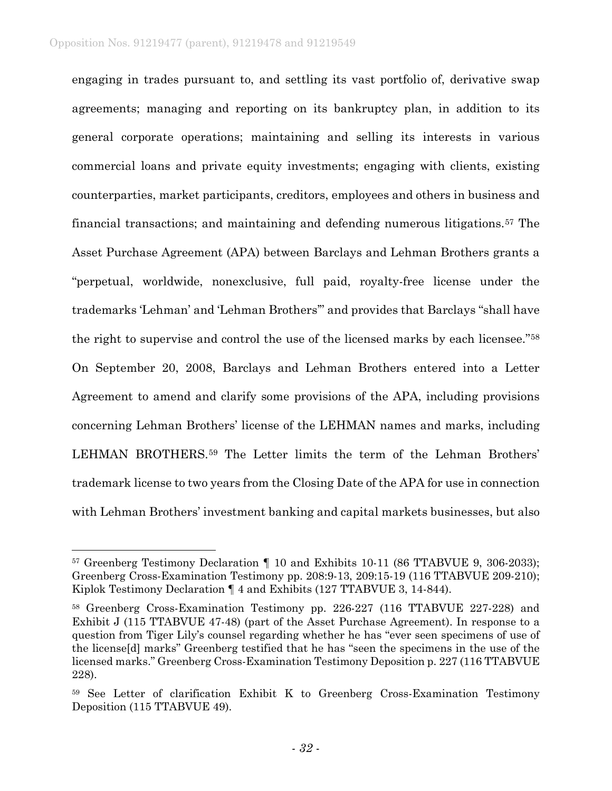engaging in trades pursuant to, and settling its vast portfolio of, derivative swap agreements; managing and reporting on its bankruptcy plan, in addition to its general corporate operations; maintaining and selling its interests in various commercial loans and private equity investments; engaging with clients, existing counterparties, market participants, creditors, employees and others in business and financial transactions; and maintaining and defending numerous litigations.[57](#page-31-0) The Asset Purchase Agreement (APA) between Barclays and Lehman Brothers grants a "perpetual, worldwide, nonexclusive, full paid, royalty-free license under the trademarks 'Lehman' and 'Lehman Brothers'" and provides that Barclays "shall have the right to supervise and control the use of the licensed marks by each licensee."[58](#page-31-1) On September 20, 2008, Barclays and Lehman Brothers entered into a Letter Agreement to amend and clarify some provisions of the APA, including provisions concerning Lehman Brothers' license of the LEHMAN names and marks, including LEHMAN BROTHERS.[59](#page-31-2) The Letter limits the term of the Lehman Brothers' trademark license to two years from the Closing Date of the APA for use in connection with Lehman Brothers' investment banking and capital markets businesses, but also

<span id="page-31-0"></span> <sup>57</sup> Greenberg Testimony Declaration ¶ 10 and Exhibits 10-11 (86 TTABVUE 9, 306-2033); Greenberg Cross-Examination Testimony pp. 208:9-13, 209:15-19 (116 TTABVUE 209-210); Kiplok Testimony Declaration ¶ 4 and Exhibits (127 TTABVUE 3, 14-844).

<span id="page-31-1"></span><sup>58</sup> Greenberg Cross-Examination Testimony pp. 226-227 (116 TTABVUE 227-228) and Exhibit J (115 TTABVUE 47-48) (part of the Asset Purchase Agreement). In response to a question from Tiger Lily's counsel regarding whether he has "ever seen specimens of use of the license[d] marks" Greenberg testified that he has "seen the specimens in the use of the licensed marks." Greenberg Cross-Examination Testimony Deposition p. 227 (116 TTABVUE 228).

<span id="page-31-2"></span><sup>59</sup> See Letter of clarification Exhibit K to Greenberg Cross-Examination Testimony Deposition (115 TTABVUE 49).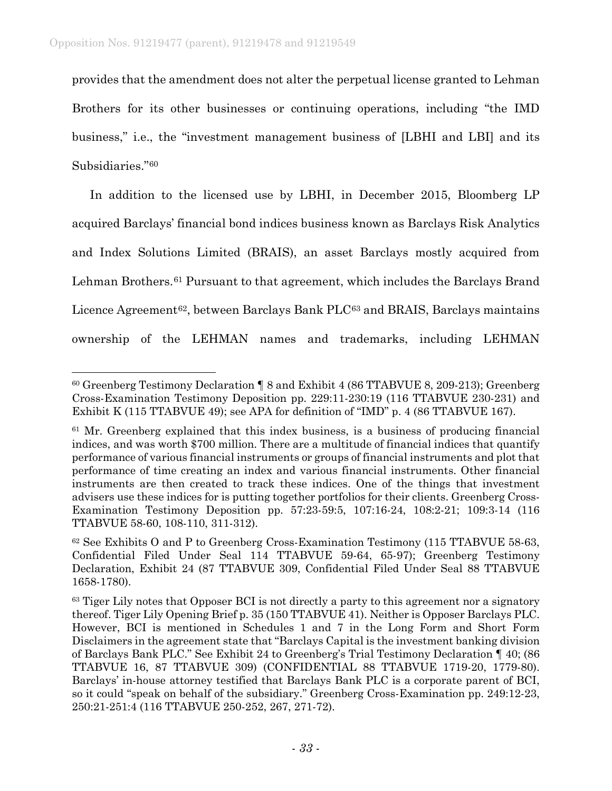provides that the amendment does not alter the perpetual license granted to Lehman Brothers for its other businesses or continuing operations, including "the IMD business," i.e., the "investment management business of [LBHI and LBI] and its Subsidiaries.["60](#page-32-0)

In addition to the licensed use by LBHI, in December 2015, Bloomberg LP acquired Barclays' financial bond indices business known as Barclays Risk Analytics and Index Solutions Limited (BRAIS), an asset Barclays mostly acquired from Lehman Brothers.<sup>[61](#page-32-1)</sup> Pursuant to that agreement, which includes the Barclays Brand Licence Agreement<sup>[62](#page-32-2)</sup>, between Barclays Bank PLC $^{63}$  $^{63}$  $^{63}$  and BRAIS, Barclays maintains ownership of the LEHMAN names and trademarks, including LEHMAN

<span id="page-32-0"></span> <sup>60</sup> Greenberg Testimony Declaration ¶ 8 and Exhibit 4 (86 TTABVUE 8, 209-213); Greenberg Cross-Examination Testimony Deposition pp. 229:11-230:19 (116 TTABVUE 230-231) and Exhibit K (115 TTABVUE 49); see APA for definition of "IMD" p. 4 (86 TTABVUE 167).

<span id="page-32-1"></span> $61$  Mr. Greenberg explained that this index business, is a business of producing financial indices, and was worth \$700 million. There are a multitude of financial indices that quantify performance of various financial instruments or groups of financial instruments and plot that performance of time creating an index and various financial instruments. Other financial instruments are then created to track these indices. One of the things that investment advisers use these indices for is putting together portfolios for their clients. Greenberg Cross-Examination Testimony Deposition pp. 57:23-59:5, 107:16-24, 108:2-21; 109:3-14 (116 TTABVUE 58-60, 108-110, 311-312).

<span id="page-32-2"></span><sup>62</sup> See Exhibits O and P to Greenberg Cross-Examination Testimony (115 TTABVUE 58-63, Confidential Filed Under Seal 114 TTABVUE 59-64, 65-97); Greenberg Testimony Declaration, Exhibit 24 (87 TTABVUE 309, Confidential Filed Under Seal 88 TTABVUE 1658-1780).

<span id="page-32-3"></span><sup>&</sup>lt;sup>63</sup> Tiger Lily notes that Opposer BCI is not directly a party to this agreement nor a signatory thereof. Tiger Lily Opening Brief p. 35 (150 TTABVUE 41). Neither is Opposer Barclays PLC. However, BCI is mentioned in Schedules 1 and 7 in the Long Form and Short Form Disclaimers in the agreement state that "Barclays Capital is the investment banking division of Barclays Bank PLC." See Exhibit 24 to Greenberg's Trial Testimony Declaration ¶ 40; (86 TTABVUE 16, 87 TTABVUE 309) (CONFIDENTIAL 88 TTABVUE 1719-20, 1779-80). Barclays' in-house attorney testified that Barclays Bank PLC is a corporate parent of BCI, so it could "speak on behalf of the subsidiary." Greenberg Cross-Examination pp. 249:12-23, 250:21-251:4 (116 TTABVUE 250-252, 267, 271-72).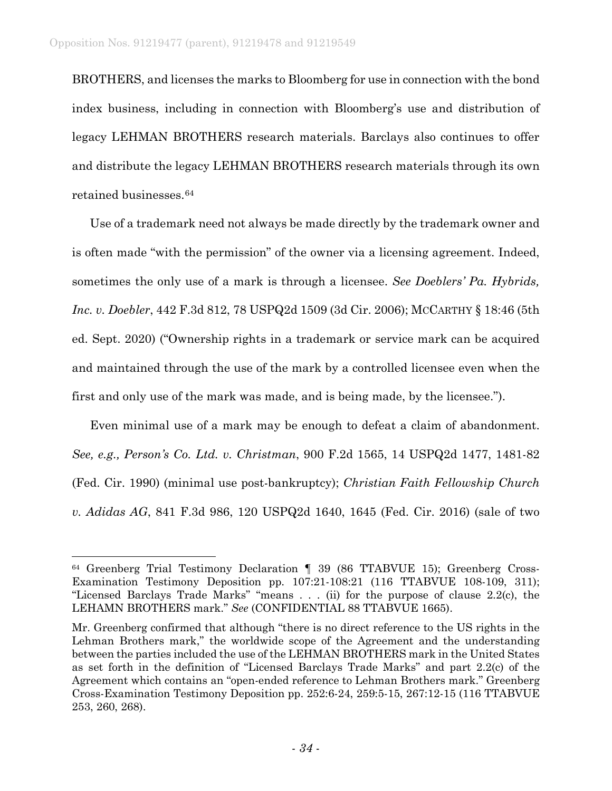BROTHERS, and licenses the marks to Bloomberg for use in connection with the bond index business, including in connection with Bloomberg's use and distribution of legacy LEHMAN BROTHERS research materials. Barclays also continues to offer and distribute the legacy LEHMAN BROTHERS research materials through its own retained businesses.[64](#page-33-0)

Use of a trademark need not always be made directly by the trademark owner and is often made "with the permission" of the owner via a licensing agreement. Indeed, sometimes the only use of a mark is through a licensee. *See Doeblers' Pa. Hybrids, Inc. v. Doebler*, 442 F.3d 812, 78 USPQ2d 1509 (3d Cir. 2006); MCCARTHY § 18:46 (5th ed. Sept. 2020) ("Ownership rights in a trademark or service mark can be acquired and maintained through the use of the mark by a controlled licensee even when the first and only use of the mark was made, and is being made, by the licensee.").

Even minimal use of a mark may be enough to defeat a claim of abandonment. *See, e.g., Person's Co. Ltd. v. Christman*, 900 F.2d 1565, 14 USPQ2d 1477, 1481-82 (Fed. Cir. 1990) (minimal use post-bankruptcy); *Christian Faith Fellowship Church v. Adidas AG*, 841 F.3d 986, 120 USPQ2d 1640, 1645 (Fed. Cir. 2016) (sale of two

<span id="page-33-0"></span> <sup>64</sup> Greenberg Trial Testimony Declaration ¶ 39 (86 TTABVUE 15); Greenberg Cross-Examination Testimony Deposition pp. 107:21-108:21 (116 TTABVUE 108-109, 311); "Licensed Barclays Trade Marks" "means . . . (ii) for the purpose of clause 2.2(c), the LEHAMN BROTHERS mark." *See* (CONFIDENTIAL 88 TTABVUE 1665).

Mr. Greenberg confirmed that although "there is no direct reference to the US rights in the Lehman Brothers mark," the worldwide scope of the Agreement and the understanding between the parties included the use of the LEHMAN BROTHERS mark in the United States as set forth in the definition of "Licensed Barclays Trade Marks" and part 2.2(c) of the Agreement which contains an "open-ended reference to Lehman Brothers mark." Greenberg Cross-Examination Testimony Deposition pp. 252:6-24, 259:5-15, 267:12-15 (116 TTABVUE 253, 260, 268).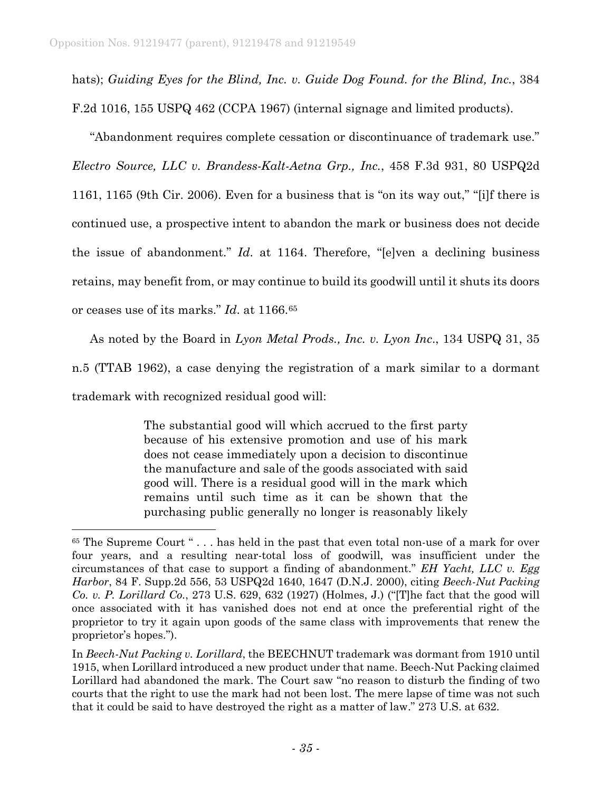hats); *Guiding Eyes for the Blind, Inc. v. Guide Dog Found. for the Blind, Inc.*, 384 F.2d 1016, 155 USPQ 462 (CCPA 1967) (internal signage and limited products).

"Abandonment requires complete cessation or discontinuance of trademark use." *Electro Source, LLC v. Brandess-Kalt-Aetna Grp., Inc.*, 458 F.3d 931, 80 USPQ2d 1161, 1165 (9th Cir. 2006). Even for a business that is "on its way out," "[i]f there is continued use, a prospective intent to abandon the mark or business does not decide the issue of abandonment." *Id*. at 1164. Therefore, "[e]ven a declining business retains, may benefit from, or may continue to build its goodwill until it shuts its doors or ceases use of its marks." *Id*. at 1166.[65](#page-34-0)

As noted by the Board in *Lyon Metal Prods., Inc. v. Lyon Inc*., 134 USPQ 31, 35 n.5 (TTAB 1962), a case denying the registration of a mark similar to a dormant trademark with recognized residual good will:

> The substantial good will which accrued to the first party because of his extensive promotion and use of his mark does not cease immediately upon a decision to discontinue the manufacture and sale of the goods associated with said good will. There is a residual good will in the mark which remains until such time as it can be shown that the purchasing public generally no longer is reasonably likely

<span id="page-34-0"></span><sup>&</sup>lt;sup>65</sup> The Supreme Court " . . . has held in the past that even total non-use of a mark for over four years, and a resulting near-total loss of goodwill, was insufficient under the circumstances of that case to support a finding of abandonment." *EH Yacht, LLC v. Egg Harbor*, 84 F. Supp.2d 556, 53 USPQ2d 1640, 1647 (D.N.J. 2000), citing *Beech-Nut Packing Co. v. P. Lorillard Co.*, 273 U.S. 629, 632 (1927) (Holmes, J.) ("[T]he fact that the good will once associated with it has vanished does not end at once the preferential right of the proprietor to try it again upon goods of the same class with improvements that renew the proprietor's hopes.").

In *Beech-Nut Packing v. Lorillard*, the BEECHNUT trademark was dormant from 1910 until 1915, when Lorillard introduced a new product under that name. Beech-Nut Packing claimed Lorillard had abandoned the mark. The Court saw "no reason to disturb the finding of two courts that the right to use the mark had not been lost. The mere lapse of time was not such that it could be said to have destroyed the right as a matter of law." 273 U.S. at 632.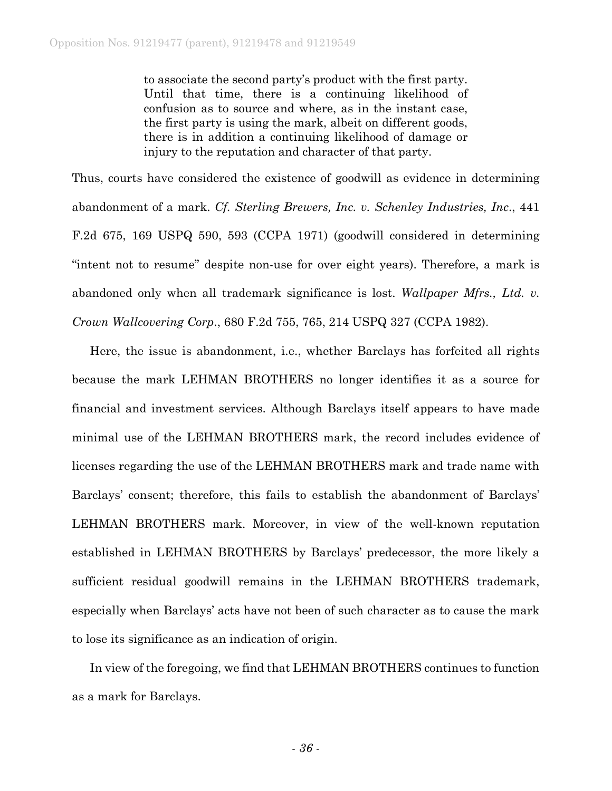to associate the second party's product with the first party. Until that time, there is a continuing likelihood of confusion as to source and where, as in the instant case, the first party is using the mark, albeit on different goods, there is in addition a continuing likelihood of damage or injury to the reputation and character of that party.

Thus, courts have considered the existence of goodwill as evidence in determining abandonment of a mark. *Cf. Sterling Brewers, Inc. v. Schenley Industries, Inc*., 441 F.2d 675, 169 USPQ 590, 593 (CCPA 1971) (goodwill considered in determining "intent not to resume" despite non-use for over eight years). Therefore, a mark is abandoned only when all trademark significance is lost. *Wallpaper Mfrs., Ltd. v. Crown Wallcovering Corp*., 680 F.2d 755, 765, 214 USPQ 327 (CCPA 1982).

Here, the issue is abandonment, i.e., whether Barclays has forfeited all rights because the mark LEHMAN BROTHERS no longer identifies it as a source for financial and investment services. Although Barclays itself appears to have made minimal use of the LEHMAN BROTHERS mark, the record includes evidence of licenses regarding the use of the LEHMAN BROTHERS mark and trade name with Barclays' consent; therefore, this fails to establish the abandonment of Barclays' LEHMAN BROTHERS mark. Moreover, in view of the well-known reputation established in LEHMAN BROTHERS by Barclays' predecessor, the more likely a sufficient residual goodwill remains in the LEHMAN BROTHERS trademark, especially when Barclays' acts have not been of such character as to cause the mark to lose its significance as an indication of origin.

In view of the foregoing, we find that LEHMAN BROTHERS continues to function as a mark for Barclays.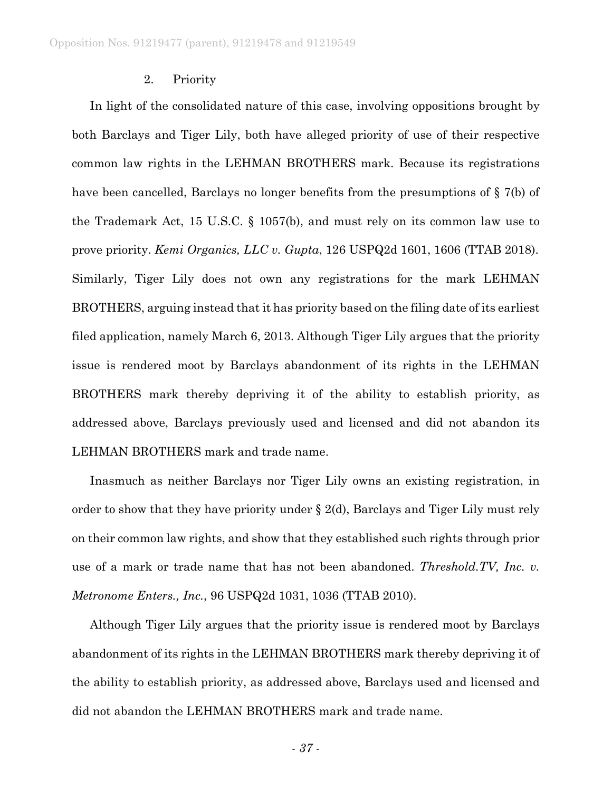### 2. Priority

In light of the consolidated nature of this case, involving oppositions brought by both Barclays and Tiger Lily, both have alleged priority of use of their respective common law rights in the LEHMAN BROTHERS mark. Because its registrations have been cancelled, Barclays no longer benefits from the presumptions of § 7(b) of the Trademark Act, 15 U.S.C. § 1057(b), and must rely on its common law use to prove priority. *Kemi Organics, LLC v. Gupta*, 126 USPQ2d 1601, 1606 (TTAB 2018). Similarly, Tiger Lily does not own any registrations for the mark LEHMAN BROTHERS, arguing instead that it has priority based on the filing date of its earliest filed application, namely March 6, 2013. Although Tiger Lily argues that the priority issue is rendered moot by Barclays abandonment of its rights in the LEHMAN BROTHERS mark thereby depriving it of the ability to establish priority, as addressed above, Barclays previously used and licensed and did not abandon its LEHMAN BROTHERS mark and trade name.

Inasmuch as neither Barclays nor Tiger Lily owns an existing registration, in order to show that they have priority under  $\S 2(d)$ , Barclays and Tiger Lily must rely on their common law rights, and show that they established such rights through prior use of a mark or trade name that has not been abandoned. *Threshold.TV, Inc. v. Metronome Enters., Inc.*, 96 USPQ2d 1031, 1036 (TTAB 2010).

Although Tiger Lily argues that the priority issue is rendered moot by Barclays abandonment of its rights in the LEHMAN BROTHERS mark thereby depriving it of the ability to establish priority, as addressed above, Barclays used and licensed and did not abandon the LEHMAN BROTHERS mark and trade name.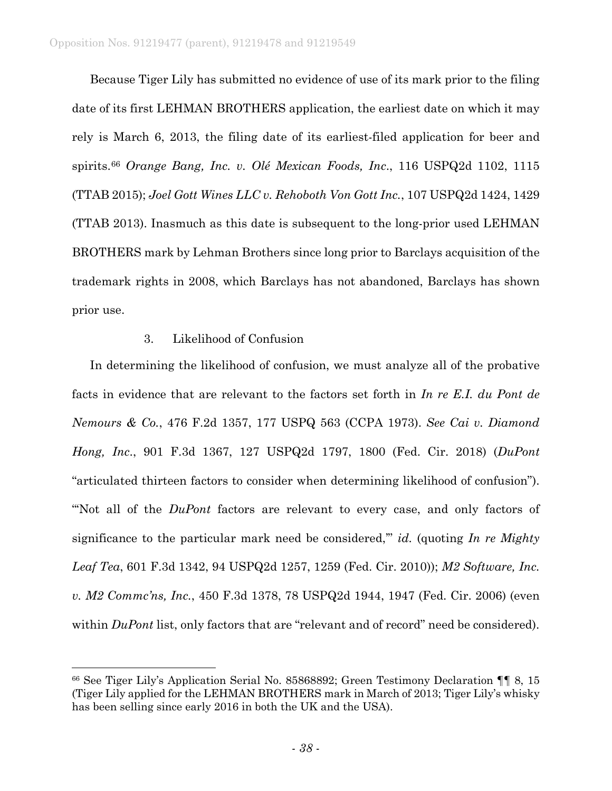Because Tiger Lily has submitted no evidence of use of its mark prior to the filing date of its first LEHMAN BROTHERS application, the earliest date on which it may rely is March 6, 2013, the filing date of its earliest-filed application for beer and spirits.[66](#page-37-0) *Orange Bang, Inc. v. Olé Mexican Foods, Inc*., 116 USPQ2d 1102, 1115 (TTAB 2015); *Joel Gott Wines LLC v. Rehoboth Von Gott Inc.*, 107 USPQ2d 1424, 1429 (TTAB 2013). Inasmuch as this date is subsequent to the long-prior used LEHMAN BROTHERS mark by Lehman Brothers since long prior to Barclays acquisition of the trademark rights in 2008, which Barclays has not abandoned, Barclays has shown prior use.

## 3. Likelihood of Confusion

In determining the likelihood of confusion, we must analyze all of the probative facts in evidence that are relevant to the factors set forth in *In re E.I. du Pont de Nemours & Co.*, 476 F.2d 1357, 177 USPQ 563 (CCPA 1973). *See Cai v. Diamond Hong, Inc*., 901 F.3d 1367, 127 USPQ2d 1797, 1800 (Fed. Cir. 2018) (*DuPont* "articulated thirteen factors to consider when determining likelihood of confusion"). "'Not all of the *DuPont* factors are relevant to every case, and only factors of significance to the particular mark need be considered,'" *id.* (quoting *In re Mighty Leaf Tea*, 601 F.3d 1342, 94 USPQ2d 1257, 1259 (Fed. Cir. 2010)); *M2 Software, Inc. v. M2 Commc'ns, Inc.*, 450 F.3d 1378, 78 USPQ2d 1944, 1947 (Fed. Cir. 2006) (even within *DuPont* list, only factors that are "relevant and of record" need be considered).

<span id="page-37-0"></span> <sup>66</sup> See Tiger Lily's Application Serial No. 85868892; Green Testimony Declaration ¶¶ 8, 15 (Tiger Lily applied for the LEHMAN BROTHERS mark in March of 2013; Tiger Lily's whisky has been selling since early 2016 in both the UK and the USA).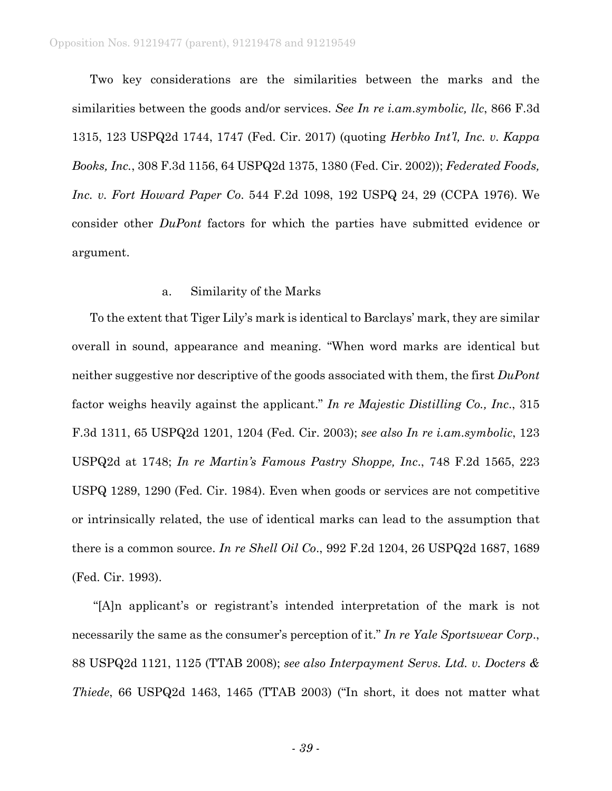Two key considerations are the similarities between the marks and the similarities between the goods and/or services. *See In re i.am.symbolic, llc*, 866 F.3d 1315, 123 USPQ2d 1744, 1747 (Fed. Cir. 2017) (quoting *Herbko Int'l, Inc. v. Kappa Books, Inc.*, 308 F.3d 1156, 64 USPQ2d 1375, 1380 (Fed. Cir. 2002)); *Federated Foods, Inc. v. Fort Howard Paper Co*. 544 F.2d 1098, 192 USPQ 24, 29 (CCPA 1976). We consider other *DuPont* factors for which the parties have submitted evidence or argument.

## a. Similarity of the Marks

To the extent that Tiger Lily's mark is identical to Barclays' mark, they are similar overall in sound, appearance and meaning. "When word marks are identical but neither suggestive nor descriptive of the goods associated with them, the first *DuPont* factor weighs heavily against the applicant." *In re Majestic Distilling Co., Inc*., 315 F.3d 1311, 65 USPQ2d 1201, 1204 (Fed. Cir. 2003); *see also In re i.am.symbolic*, 123 USPQ2d at 1748; *In re Martin's Famous Pastry Shoppe, Inc*., 748 F.2d 1565, 223 USPQ 1289, 1290 (Fed. Cir. 1984). Even when goods or services are not competitive or intrinsically related, the use of identical marks can lead to the assumption that there is a common source. *In re Shell Oil Co*., 992 F.2d 1204, 26 USPQ2d 1687, 1689 (Fed. Cir. 1993).

"[A]n applicant's or registrant's intended interpretation of the mark is not necessarily the same as the consumer's perception of it." *In re Yale Sportswear Corp*., 88 USPQ2d 1121, 1125 (TTAB 2008); *see also Interpayment Servs. Ltd. v. Docters & Thiede*, 66 USPQ2d 1463, 1465 (TTAB 2003) ("In short, it does not matter what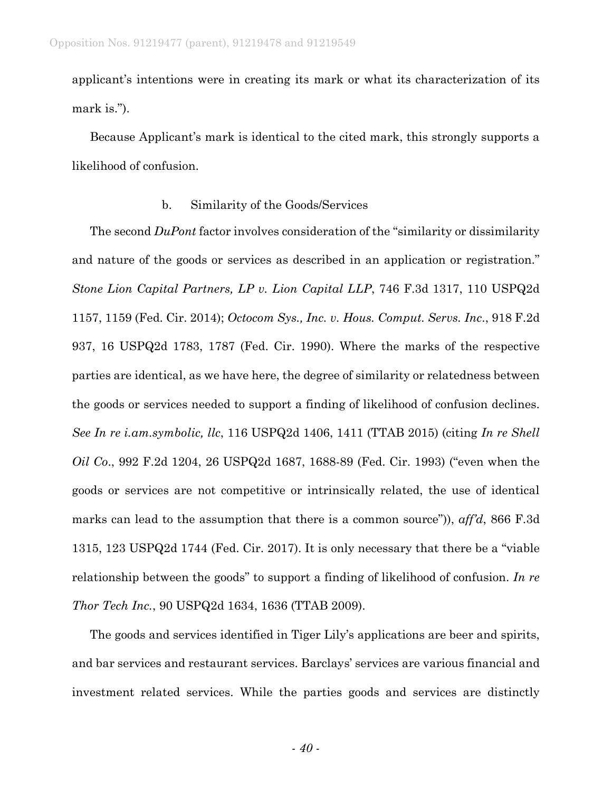applicant's intentions were in creating its mark or what its characterization of its mark is.").

Because Applicant's mark is identical to the cited mark, this strongly supports a likelihood of confusion.

## b. Similarity of the Goods/Services

The second *DuPont* factor involves consideration of the "similarity or dissimilarity and nature of the goods or services as described in an application or registration." *Stone Lion Capital Partners, LP v. Lion Capital LLP*, 746 F.3d 1317, 110 USPQ2d 1157, 1159 (Fed. Cir. 2014); *Octocom Sys., Inc. v. Hous. Comput. Servs. Inc*., 918 F.2d 937, 16 USPQ2d 1783, 1787 (Fed. Cir. 1990). Where the marks of the respective parties are identical, as we have here, the degree of similarity or relatedness between the goods or services needed to support a finding of likelihood of confusion declines. *See In re i.am.symbolic, llc*, 116 USPQ2d 1406, 1411 (TTAB 2015) (citing *In re Shell Oil Co*., 992 F.2d 1204, 26 USPQ2d 1687, 1688-89 (Fed. Cir. 1993) ("even when the goods or services are not competitive or intrinsically related, the use of identical marks can lead to the assumption that there is a common source")), *aff'd*, 866 F.3d 1315, 123 USPQ2d 1744 (Fed. Cir. 2017). It is only necessary that there be a "viable relationship between the goods" to support a finding of likelihood of confusion. *In re Thor Tech Inc.*, 90 USPQ2d 1634, 1636 (TTAB 2009).

The goods and services identified in Tiger Lily's applications are beer and spirits, and bar services and restaurant services. Barclays' services are various financial and investment related services. While the parties goods and services are distinctly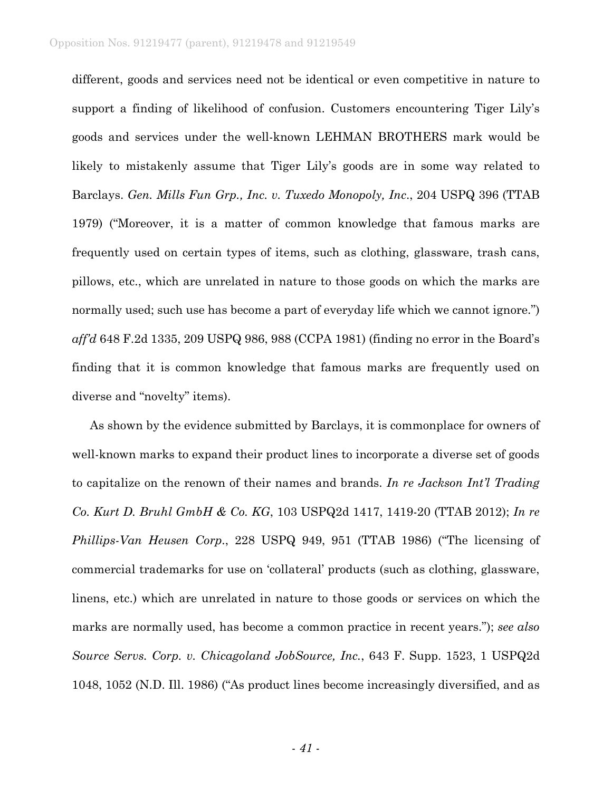different, goods and services need not be identical or even competitive in nature to support a finding of likelihood of confusion. Customers encountering Tiger Lily's goods and services under the well-known LEHMAN BROTHERS mark would be likely to mistakenly assume that Tiger Lily's goods are in some way related to Barclays. *Gen. Mills Fun Grp., Inc. v. Tuxedo Monopoly, Inc*., 204 USPQ 396 (TTAB 1979) ("Moreover, it is a matter of common knowledge that famous marks are frequently used on certain types of items, such as clothing, glassware, trash cans, pillows, etc., which are unrelated in nature to those goods on which the marks are normally used; such use has become a part of everyday life which we cannot ignore.") *aff'd* 648 F.2d 1335, 209 USPQ 986, 988 (CCPA 1981) (finding no error in the Board's finding that it is common knowledge that famous marks are frequently used on diverse and "novelty" items).

As shown by the evidence submitted by Barclays, it is commonplace for owners of well-known marks to expand their product lines to incorporate a diverse set of goods to capitalize on the renown of their names and brands. *In re Jackson Int'l Trading Co. Kurt D. Bruhl GmbH & Co. KG*, 103 USPQ2d 1417, 1419-20 (TTAB 2012); *In re Phillips-Van Heusen Corp*., 228 USPQ 949, 951 (TTAB 1986) ("The licensing of commercial trademarks for use on 'collateral' products (such as clothing, glassware, linens, etc.) which are unrelated in nature to those goods or services on which the marks are normally used, has become a common practice in recent years."); *see also Source Servs. Corp. v. Chicagoland JobSource, Inc.*, 643 F. Supp. 1523, 1 USPQ2d 1048, 1052 (N.D. Ill. 1986) ("As product lines become increasingly diversified, and as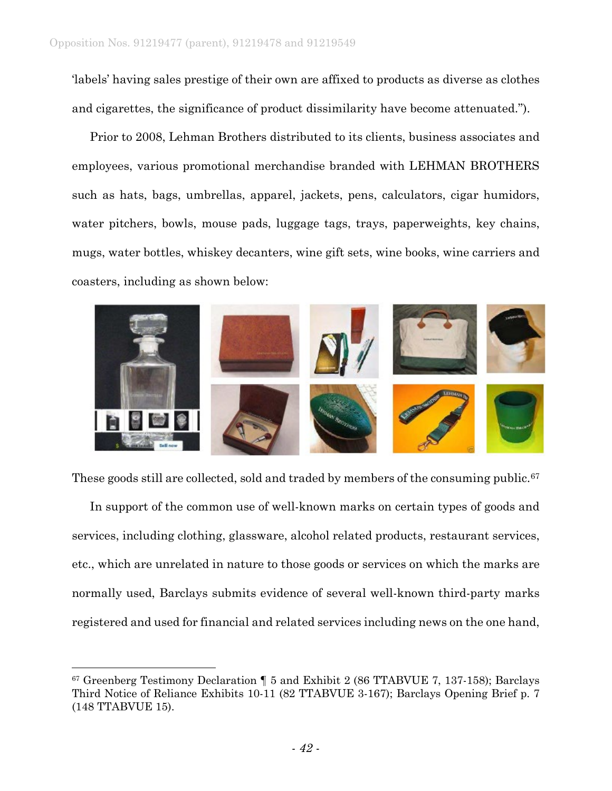'labels' having sales prestige of their own are affixed to products as diverse as clothes and cigarettes, the significance of product dissimilarity have become attenuated.").

Prior to 2008, Lehman Brothers distributed to its clients, business associates and employees, various promotional merchandise branded with LEHMAN BROTHERS such as hats, bags, umbrellas, apparel, jackets, pens, calculators, cigar humidors, water pitchers, bowls, mouse pads, luggage tags, trays, paperweights, key chains, mugs, water bottles, whiskey decanters, wine gift sets, wine books, wine carriers and coasters, including as shown below:



These goods still are collected, sold and traded by members of the consuming public.<sup>[67](#page-41-0)</sup>

In support of the common use of well-known marks on certain types of goods and services, including clothing, glassware, alcohol related products, restaurant services, etc., which are unrelated in nature to those goods or services on which the marks are normally used, Barclays submits evidence of several well-known third-party marks registered and used for financial and related services including news on the one hand,

 $\overline{a}$ 

<span id="page-41-0"></span><sup>67</sup> Greenberg Testimony Declaration ¶ 5 and Exhibit 2 (86 TTABVUE 7, 137-158); Barclays Third Notice of Reliance Exhibits 10-11 (82 TTABVUE 3-167); Barclays Opening Brief p. 7 (148 TTABVUE 15).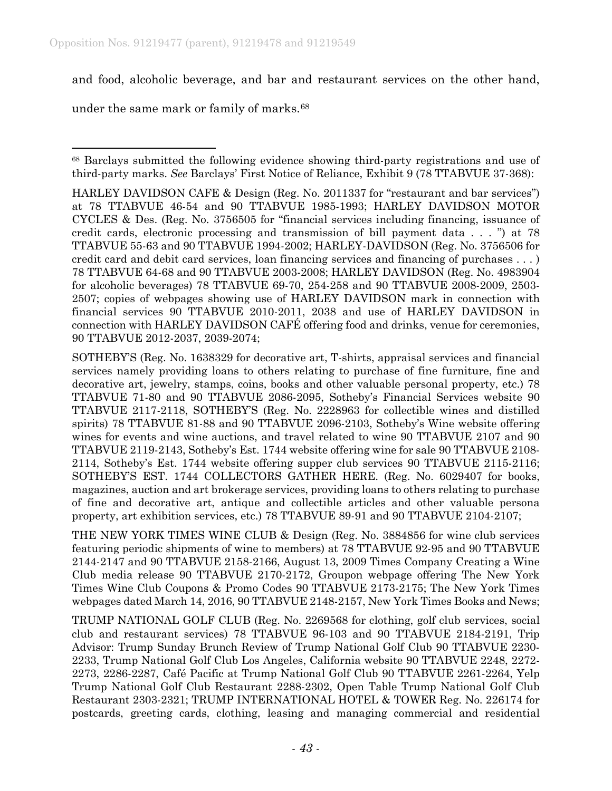and food, alcoholic beverage, and bar and restaurant services on the other hand,

under the same mark or family of marks.[68](#page-42-0)

SOTHEBY'S (Reg. No. 1638329 for decorative art, T-shirts, appraisal services and financial services namely providing loans to others relating to purchase of fine furniture, fine and decorative art, jewelry, stamps, coins, books and other valuable personal property, etc.) 78 TTABVUE 71-80 and 90 TTABVUE 2086-2095, Sotheby's Financial Services website 90 TTABVUE 2117-2118, SOTHEBY'S (Reg. No. 2228963 for collectible wines and distilled spirits) 78 TTABVUE 81-88 and 90 TTABVUE 2096-2103, Sotheby's Wine website offering wines for events and wine auctions, and travel related to wine 90 TTABVUE 2107 and 90 TTABVUE 2119-2143, Sotheby's Est. 1744 website offering wine for sale 90 TTABVUE 2108- 2114, Sotheby's Est. 1744 website offering supper club services 90 TTABVUE 2115-2116; SOTHEBY'S EST. 1744 COLLECTORS GATHER HERE. (Reg. No. 6029407 for books, magazines, auction and art brokerage services, providing loans to others relating to purchase of fine and decorative art, antique and collectible articles and other valuable persona property, art exhibition services, etc.) 78 TTABVUE 89-91 and 90 TTABVUE 2104-2107;

THE NEW YORK TIMES WINE CLUB & Design (Reg. No. 3884856 for wine club services featuring periodic shipments of wine to members) at 78 TTABVUE 92-95 and 90 TTABVUE 2144-2147 and 90 TTABVUE 2158-2166, August 13, 2009 Times Company Creating a Wine Club media release 90 TTABVUE 2170-2172, Groupon webpage offering The New York Times Wine Club Coupons & Promo Codes 90 TTABVUE 2173-2175; The New York Times webpages dated March 14, 2016, 90 TTABVUE 2148-2157, New York Times Books and News;

TRUMP NATIONAL GOLF CLUB (Reg. No. 2269568 for clothing, golf club services, social club and restaurant services) 78 TTABVUE 96-103 and 90 TTABVUE 2184-2191, Trip Advisor: Trump Sunday Brunch Review of Trump National Golf Club 90 TTABVUE 2230- 2233, Trump National Golf Club Los Angeles, California website 90 TTABVUE 2248, 2272- 2273, 2286-2287, Café Pacific at Trump National Golf Club 90 TTABVUE 2261-2264, Yelp Trump National Golf Club Restaurant 2288-2302, Open Table Trump National Golf Club Restaurant 2303-2321; TRUMP INTERNATIONAL HOTEL & TOWER Reg. No. 226174 for postcards, greeting cards, clothing, leasing and managing commercial and residential

<span id="page-42-0"></span> <sup>68</sup> Barclays submitted the following evidence showing third-party registrations and use of third-party marks. *See* Barclays' First Notice of Reliance, Exhibit 9 (78 TTABVUE 37-368):

HARLEY DAVIDSON CAFE & Design (Reg. No. 2011337 for "restaurant and bar services") at 78 TTABVUE 46-54 and 90 TTABVUE 1985-1993; HARLEY DAVIDSON MOTOR CYCLES & Des. (Reg. No. 3756505 for "financial services including financing, issuance of credit cards, electronic processing and transmission of bill payment data . . . ") at 78 TTABVUE 55-63 and 90 TTABVUE 1994-2002; HARLEY-DAVIDSON (Reg. No. 3756506 for credit card and debit card services, loan financing services and financing of purchases . . . ) 78 TTABVUE 64-68 and 90 TTABVUE 2003-2008; HARLEY DAVIDSON (Reg. No. 4983904 for alcoholic beverages) 78 TTABVUE 69-70, 254-258 and 90 TTABVUE 2008-2009, 2503- 2507; copies of webpages showing use of HARLEY DAVIDSON mark in connection with financial services 90 TTABVUE 2010-2011, 2038 and use of HARLEY DAVIDSON in connection with HARLEY DAVIDSON CAFÉ offering food and drinks, venue for ceremonies, 90 TTABVUE 2012-2037, 2039-2074;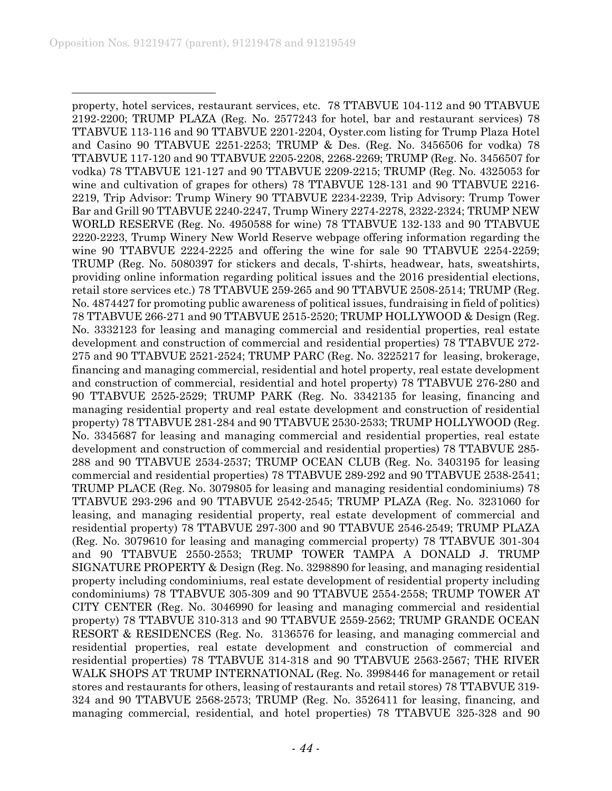$\overline{a}$ 

property, hotel services, restaurant services, etc. 78 TTABVUE 104-112 and 90 TTABVUE 2192-2200; TRUMP PLAZA (Reg. No. 2577243 for hotel, bar and restaurant services) 78 TTABVUE 113-116 and 90 TTABVUE 2201-2204, Oyster.com listing for Trump Plaza Hotel and Casino 90 TTABVUE 2251-2253; TRUMP & Des. (Reg. No. 3456506 for vodka) 78 TTABVUE 117-120 and 90 TTABVUE 2205-2208, 2268-2269; TRUMP (Reg. No. 3456507 for vodka) 78 TTABVUE 121-127 and 90 TTABVUE 2209-2215; TRUMP (Reg. No. 4325053 for wine and cultivation of grapes for others) 78 TTABVUE 128-131 and 90 TTABVUE 2216- 2219, Trip Advisor: Trump Winery 90 TTABVUE 2234-2239, Trip Advisory: Trump Tower Bar and Grill 90 TTABVUE 2240-2247, Trump Winery 2274-2278, 2322-2324; TRUMP NEW WORLD RESERVE (Reg. No. 4950588 for wine) 78 TTABVUE 132-133 and 90 TTABVUE 2220-2223, Trump Winery New World Reserve webpage offering information regarding the wine 90 TTABVUE 2224-2225 and offering the wine for sale 90 TTABVUE 2254-2259; TRUMP (Reg. No. 5080397 for stickers and decals, T-shirts, headwear, hats, sweatshirts, providing online information regarding political issues and the 2016 presidential elections, retail store services etc.) 78 TTABVUE 259-265 and 90 TTABVUE 2508-2514; TRUMP (Reg. No. 4874427 for promoting public awareness of political issues, fundraising in field of politics) 78 TTABVUE 266-271 and 90 TTABVUE 2515-2520; TRUMP HOLLYWOOD & Design (Reg. No. 3332123 for leasing and managing commercial and residential properties, real estate development and construction of commercial and residential properties) 78 TTABVUE 272- 275 and 90 TTABVUE 2521-2524; TRUMP PARC (Reg. No. 3225217 for leasing, brokerage, financing and managing commercial, residential and hotel property, real estate development and construction of commercial, residential and hotel property) 78 TTABVUE 276-280 and 90 TTABVUE 2525-2529; TRUMP PARK (Reg. No. 3342135 for leasing, financing and managing residential property and real estate development and construction of residential property) 78 TTABVUE 281-284 and 90 TTABVUE 2530-2533; TRUMP HOLLYWOOD (Reg. No. 3345687 for leasing and managing commercial and residential properties, real estate development and construction of commercial and residential properties) 78 TTABVUE 285- 288 and 90 TTABVUE 2534-2537; TRUMP OCEAN CLUB (Reg. No. 3403195 for leasing commercial and residential properties) 78 TTABVUE 289-292 and 90 TTABVUE 2538-2541; TRUMP PLACE (Reg. No. 3079805 for leasing and managing residential condominiums) 78 TTABVUE 293-296 and 90 TTABVUE 2542-2545; TRUMP PLAZA (Reg. No. 3231060 for leasing, and managing residential property, real estate development of commercial and residential property) 78 TTABVUE 297-300 and 90 TTABVUE 2546-2549; TRUMP PLAZA (Reg. No. 3079610 for leasing and managing commercial property) 78 TTABVUE 301-304 and 90 TTABVUE 2550-2553; TRUMP TOWER TAMPA A DONALD J. TRUMP SIGNATURE PROPERTY & Design (Reg. No. 3298890 for leasing, and managing residential property including condominiums, real estate development of residential property including condominiums) 78 TTABVUE 305-309 and 90 TTABVUE 2554-2558; TRUMP TOWER AT CITY CENTER (Reg. No. 3046990 for leasing and managing commercial and residential property) 78 TTABVUE 310-313 and 90 TTABVUE 2559-2562; TRUMP GRANDE OCEAN RESORT & RESIDENCES (Reg. No. 3136576 for leasing, and managing commercial and residential properties, real estate development and construction of commercial and residential properties) 78 TTABVUE 314-318 and 90 TTABVUE 2563-2567; THE RIVER WALK SHOPS AT TRUMP INTERNATIONAL (Reg. No. 3998446 for management or retail stores and restaurants for others, leasing of restaurants and retail stores) 78 TTABVUE 319- 324 and 90 TTABVUE 2568-2573; TRUMP (Reg. No. 3526411 for leasing, financing, and managing commercial, residential, and hotel properties) 78 TTABVUE 325-328 and 90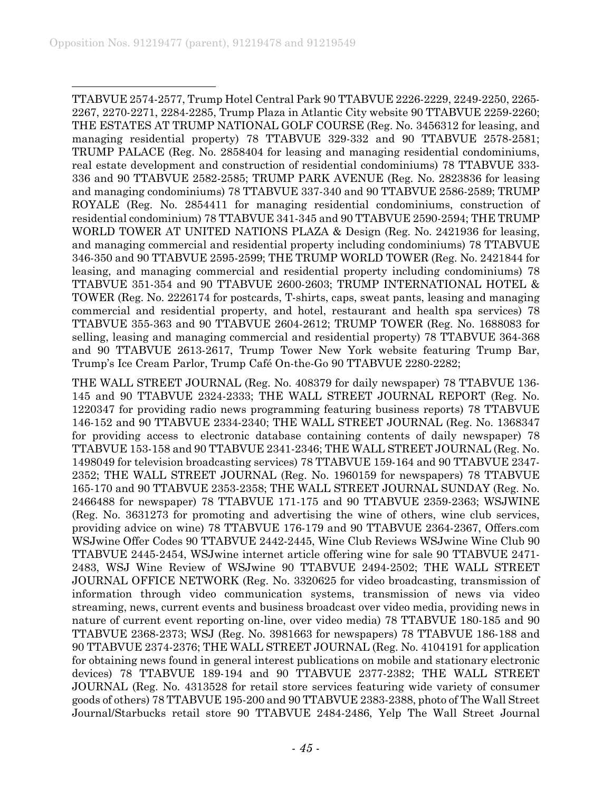$\overline{a}$ TTABVUE 2574-2577, Trump Hotel Central Park 90 TTABVUE 2226-2229, 2249-2250, 2265- 2267, 2270-2271, 2284-2285, Trump Plaza in Atlantic City website 90 TTABVUE 2259-2260; THE ESTATES AT TRUMP NATIONAL GOLF COURSE (Reg. No. 3456312 for leasing, and managing residential property) 78 TTABVUE 329-332 and 90 TTABVUE 2578-2581; TRUMP PALACE (Reg. No. 2858404 for leasing and managing residential condominiums, real estate development and construction of residential condominiums) 78 TTABVUE 333- 336 and 90 TTABVUE 2582-2585; TRUMP PARK AVENUE (Reg. No. 2823836 for leasing and managing condominiums) 78 TTABVUE 337-340 and 90 TTABVUE 2586-2589; TRUMP ROYALE (Reg. No. 2854411 for managing residential condominiums, construction of residential condominium) 78 TTABVUE 341-345 and 90 TTABVUE 2590-2594; THE TRUMP WORLD TOWER AT UNITED NATIONS PLAZA & Design (Reg. No. 2421936 for leasing, and managing commercial and residential property including condominiums) 78 TTABVUE 346-350 and 90 TTABVUE 2595-2599; THE TRUMP WORLD TOWER (Reg. No. 2421844 for leasing, and managing commercial and residential property including condominiums) 78 TTABVUE 351-354 and 90 TTABVUE 2600-2603; TRUMP INTERNATIONAL HOTEL & TOWER (Reg. No. 2226174 for postcards, T-shirts, caps, sweat pants, leasing and managing commercial and residential property, and hotel, restaurant and health spa services) 78 TTABVUE 355-363 and 90 TTABVUE 2604-2612; TRUMP TOWER (Reg. No. 1688083 for selling, leasing and managing commercial and residential property) 78 TTABVUE 364-368 and 90 TTABVUE 2613-2617, Trump Tower New York website featuring Trump Bar, Trump's Ice Cream Parlor, Trump Café On-the-Go 90 TTABVUE 2280-2282;

THE WALL STREET JOURNAL (Reg. No. 408379 for daily newspaper) 78 TTABVUE 136- 145 and 90 TTABVUE 2324-2333; THE WALL STREET JOURNAL REPORT (Reg. No. 1220347 for providing radio news programming featuring business reports) 78 TTABVUE 146-152 and 90 TTABVUE 2334-2340; THE WALL STREET JOURNAL (Reg. No. 1368347 for providing access to electronic database containing contents of daily newspaper) 78 TTABVUE 153-158 and 90 TTABVUE 2341-2346; THE WALL STREET JOURNAL (Reg. No. 1498049 for television broadcasting services) 78 TTABVUE 159-164 and 90 TTABVUE 2347- 2352; THE WALL STREET JOURNAL (Reg. No. 1960159 for newspapers) 78 TTABVUE 165-170 and 90 TTABVUE 2353-2358; THE WALL STREET JOURNAL SUNDAY (Reg. No. 2466488 for newspaper) 78 TTABVUE 171-175 and 90 TTABVUE 2359-2363; WSJWINE (Reg. No. 3631273 for promoting and advertising the wine of others, wine club services, providing advice on wine) 78 TTABVUE 176-179 and 90 TTABVUE 2364-2367, Offers.com WSJwine Offer Codes 90 TTABVUE 2442-2445, Wine Club Reviews WSJwine Wine Club 90 TTABVUE 2445-2454, WSJwine internet article offering wine for sale 90 TTABVUE 2471- 2483, WSJ Wine Review of WSJwine 90 TTABVUE 2494-2502; THE WALL STREET JOURNAL OFFICE NETWORK (Reg. No. 3320625 for video broadcasting, transmission of information through video communication systems, transmission of news via video streaming, news, current events and business broadcast over video media, providing news in nature of current event reporting on-line, over video media) 78 TTABVUE 180-185 and 90 TTABVUE 2368-2373; WSJ (Reg. No. 3981663 for newspapers) 78 TTABVUE 186-188 and 90 TTABVUE 2374-2376; THE WALL STREET JOURNAL (Reg. No. 4104191 for application for obtaining news found in general interest publications on mobile and stationary electronic devices) 78 TTABVUE 189-194 and 90 TTABVUE 2377-2382; THE WALL STREET JOURNAL (Reg. No. 4313528 for retail store services featuring wide variety of consumer goods of others) 78 TTABVUE 195-200 and 90 TTABVUE 2383-2388, photo of The Wall Street Journal/Starbucks retail store 90 TTABVUE 2484-2486, Yelp The Wall Street Journal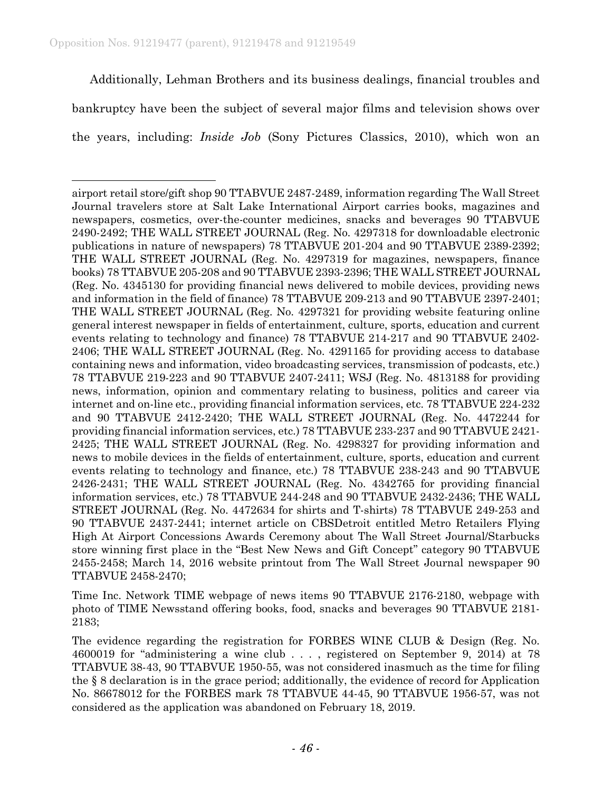Additionally, Lehman Brothers and its business dealings, financial troubles and bankruptcy have been the subject of several major films and television shows over the years, including: *Inside Job* (Sony Pictures Classics, 2010), which won an

Time Inc. Network TIME webpage of news items 90 TTABVUE 2176-2180, webpage with photo of TIME Newsstand offering books, food, snacks and beverages 90 TTABVUE 2181- 2183;

The evidence regarding the registration for FORBES WINE CLUB & Design (Reg. No. 4600019 for "administering a wine club . . . , registered on September 9, 2014) at 78 TTABVUE 38-43, 90 TTABVUE 1950-55, was not considered inasmuch as the time for filing the § 8 declaration is in the grace period; additionally, the evidence of record for Application No. 86678012 for the FORBES mark 78 TTABVUE 44-45, 90 TTABVUE 1956-57, was not considered as the application was abandoned on February 18, 2019.

 $\overline{a}$ airport retail store/gift shop 90 TTABVUE 2487-2489, information regarding The Wall Street Journal travelers store at Salt Lake International Airport carries books, magazines and newspapers, cosmetics, over-the-counter medicines, snacks and beverages 90 TTABVUE 2490-2492; THE WALL STREET JOURNAL (Reg. No. 4297318 for downloadable electronic publications in nature of newspapers) 78 TTABVUE 201-204 and 90 TTABVUE 2389-2392; THE WALL STREET JOURNAL (Reg. No. 4297319 for magazines, newspapers, finance books) 78 TTABVUE 205-208 and 90 TTABVUE 2393-2396; THE WALL STREET JOURNAL (Reg. No. 4345130 for providing financial news delivered to mobile devices, providing news and information in the field of finance) 78 TTABVUE 209-213 and 90 TTABVUE 2397-2401; THE WALL STREET JOURNAL (Reg. No. 4297321 for providing website featuring online general interest newspaper in fields of entertainment, culture, sports, education and current events relating to technology and finance) 78 TTABVUE 214-217 and 90 TTABVUE 2402- 2406; THE WALL STREET JOURNAL (Reg. No. 4291165 for providing access to database containing news and information, video broadcasting services, transmission of podcasts, etc.) 78 TTABVUE 219-223 and 90 TTABVUE 2407-2411; WSJ (Reg. No. 4813188 for providing news, information, opinion and commentary relating to business, politics and career via internet and on-line etc., providing financial information services, etc. 78 TTABVUE 224-232 and 90 TTABVUE 2412-2420; THE WALL STREET JOURNAL (Reg. No. 4472244 for providing financial information services, etc.) 78 TTABVUE 233-237 and 90 TTABVUE 2421- 2425; THE WALL STREET JOURNAL (Reg. No. 4298327 for providing information and news to mobile devices in the fields of entertainment, culture, sports, education and current events relating to technology and finance, etc.) 78 TTABVUE 238-243 and 90 TTABVUE 2426-2431; THE WALL STREET JOURNAL (Reg. No. 4342765 for providing financial information services, etc.) 78 TTABVUE 244-248 and 90 TTABVUE 2432-2436; THE WALL STREET JOURNAL (Reg. No. 4472634 for shirts and T-shirts) 78 TTABVUE 249-253 and 90 TTABVUE 2437-2441; internet article on CBSDetroit entitled Metro Retailers Flying High At Airport Concessions Awards Ceremony about The Wall Street Journal/Starbucks store winning first place in the "Best New News and Gift Concept" category 90 TTABVUE 2455-2458; March 14, 2016 website printout from The Wall Street Journal newspaper 90 TTABVUE 2458-2470;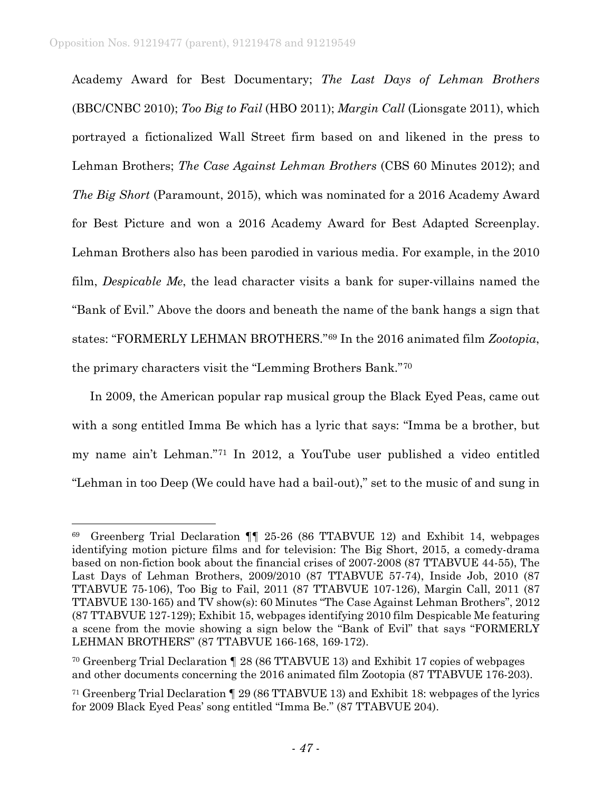Academy Award for Best Documentary; *The Last Days of Lehman Brothers*  (BBC/CNBC 2010); *Too Big to Fail* (HBO 2011); *Margin Call* (Lionsgate 2011), which portrayed a fictionalized Wall Street firm based on and likened in the press to Lehman Brothers; *The Case Against Lehman Brothers* (CBS 60 Minutes 2012); and *The Big Short* (Paramount, 2015), which was nominated for a 2016 Academy Award for Best Picture and won a 2016 Academy Award for Best Adapted Screenplay. Lehman Brothers also has been parodied in various media. For example, in the 2010 film, *Despicable Me*, the lead character visits a bank for super-villains named the "Bank of Evil." Above the doors and beneath the name of the bank hangs a sign that states: "FORMERLY LEHMAN BROTHERS."[69](#page-46-0) In the 2016 animated film *Zootopia*, the primary characters visit the "Lemming Brothers Bank."[70](#page-46-1)

In 2009, the American popular rap musical group the Black Eyed Peas, came out with a song entitled Imma Be which has a lyric that says: "Imma be a brother, but my name ain't Lehman."[71](#page-46-2) In 2012, a YouTube user published a video entitled "Lehman in too Deep (We could have had a bail-out)," set to the music of and sung in

<span id="page-46-0"></span> <sup>69</sup> Greenberg Trial Declaration ¶¶ 25-26 (86 TTABVUE 12) and Exhibit 14, webpages identifying motion picture films and for television: The Big Short, 2015, a comedy-drama based on non-fiction book about the financial crises of 2007-2008 (87 TTABVUE 44-55), The Last Days of Lehman Brothers, 2009/2010 (87 TTABVUE 57-74), Inside Job, 2010 (87 TTABVUE 75-106), Too Big to Fail, 2011 (87 TTABVUE 107-126), Margin Call, 2011 (87 TTABVUE 130-165) and TV show(s): 60 Minutes "The Case Against Lehman Brothers", 2012 (87 TTABVUE 127-129); Exhibit 15, webpages identifying 2010 film Despicable Me featuring a scene from the movie showing a sign below the "Bank of Evil" that says "FORMERLY LEHMAN BROTHERS" (87 TTABVUE 166-168, 169-172).

<span id="page-46-1"></span><sup>70</sup> Greenberg Trial Declaration ¶ 28 (86 TTABVUE 13) and Exhibit 17 copies of webpages and other documents concerning the 2016 animated film Zootopia (87 TTABVUE 176-203).

<span id="page-46-2"></span><sup>71</sup> Greenberg Trial Declaration ¶ 29 (86 TTABVUE 13) and Exhibit 18: webpages of the lyrics for 2009 Black Eyed Peas' song entitled "Imma Be." (87 TTABVUE 204).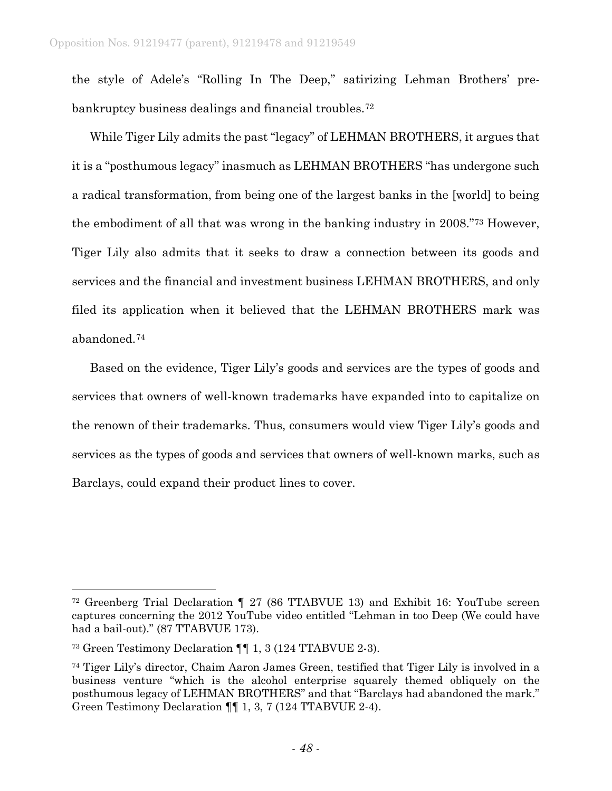the style of Adele's "Rolling In The Deep," satirizing Lehman Brothers' prebankruptcy business dealings and financial troubles.[72](#page-47-0)

While Tiger Lily admits the past "legacy" of LEHMAN BROTHERS, it argues that it is a "posthumous legacy" inasmuch as LEHMAN BROTHERS "has undergone such a radical transformation, from being one of the largest banks in the [world] to being the embodiment of all that was wrong in the banking industry in 2008."[73](#page-47-1) However, Tiger Lily also admits that it seeks to draw a connection between its goods and services and the financial and investment business LEHMAN BROTHERS, and only filed its application when it believed that the LEHMAN BROTHERS mark was abandoned.[74](#page-47-2)

Based on the evidence, Tiger Lily's goods and services are the types of goods and services that owners of well-known trademarks have expanded into to capitalize on the renown of their trademarks. Thus, consumers would view Tiger Lily's goods and services as the types of goods and services that owners of well-known marks, such as Barclays, could expand their product lines to cover.

<span id="page-47-0"></span> <sup>72</sup> Greenberg Trial Declaration ¶ 27 (86 TTABVUE 13) and Exhibit 16: YouTube screen captures concerning the 2012 YouTube video entitled "Lehman in too Deep (We could have had a bail-out)." (87 TTABVUE 173).

<span id="page-47-1"></span><sup>73</sup> Green Testimony Declaration ¶¶ 1, 3 (124 TTABVUE 2-3).

<span id="page-47-2"></span><sup>74</sup> Tiger Lily's director, Chaim Aaron James Green, testified that Tiger Lily is involved in a business venture "which is the alcohol enterprise squarely themed obliquely on the posthumous legacy of LEHMAN BROTHERS" and that "Barclays had abandoned the mark." Green Testimony Declaration  $\P\P$  1, 3, 7 (124 TTABVUE 2-4).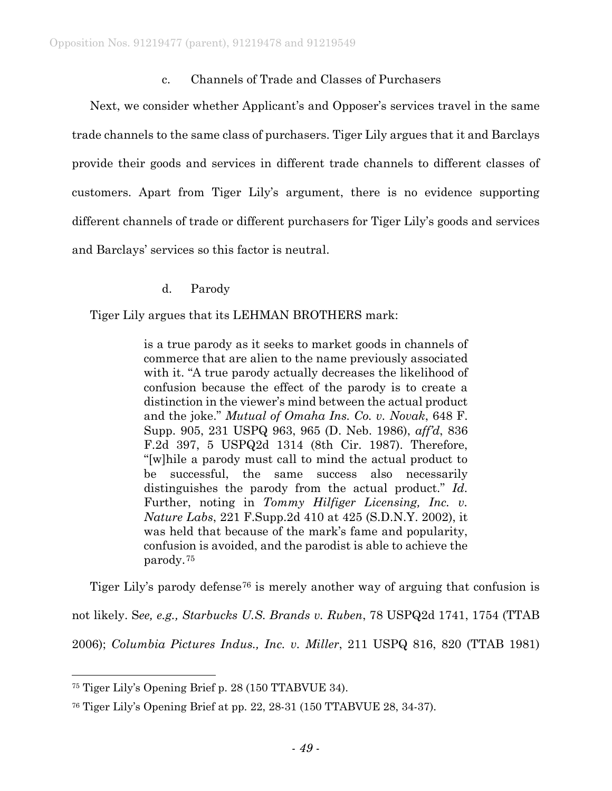# c. Channels of Trade and Classes of Purchasers

Next, we consider whether Applicant's and Opposer's services travel in the same trade channels to the same class of purchasers. Tiger Lily argues that it and Barclays provide their goods and services in different trade channels to different classes of customers. Apart from Tiger Lily's argument, there is no evidence supporting different channels of trade or different purchasers for Tiger Lily's goods and services and Barclays' services so this factor is neutral.

# d. Parody

# Tiger Lily argues that its LEHMAN BROTHERS mark:

is a true parody as it seeks to market goods in channels of commerce that are alien to the name previously associated with it. "A true parody actually decreases the likelihood of confusion because the effect of the parody is to create a distinction in the viewer's mind between the actual product and the joke." *Mutual of Omaha Ins. Co. v. Novak*, 648 F. Supp. 905, 231 USPQ 963, 965 (D. Neb. 1986), *aff'd*, 836 F.2d 397, 5 USPQ2d 1314 (8th Cir. 1987). Therefore, "[w]hile a parody must call to mind the actual product to be successful, the same success also necessarily distinguishes the parody from the actual product." *Id*. Further, noting in *Tommy Hilfiger Licensing, Inc. v. Nature Labs*, 221 F.Supp.2d 410 at 425 (S.D.N.Y. 2002), it was held that because of the mark's fame and popularity, confusion is avoided, and the parodist is able to achieve the parody.[75](#page-48-0)

Tiger Lily's parody defense<sup>[76](#page-48-1)</sup> is merely another way of arguing that confusion is

not likely. S*ee, e.g., Starbucks U.S. Brands v. Ruben*, 78 USPQ2d 1741, 1754 (TTAB 2006); *Columbia Pictures Indus., Inc. v. Miller*, 211 USPQ 816, 820 (TTAB 1981)

<span id="page-48-0"></span> <sup>75</sup> Tiger Lily's Opening Brief p. 28 (150 TTABVUE 34).

<span id="page-48-1"></span><sup>76</sup> Tiger Lily's Opening Brief at pp. 22, 28-31 (150 TTABVUE 28, 34-37).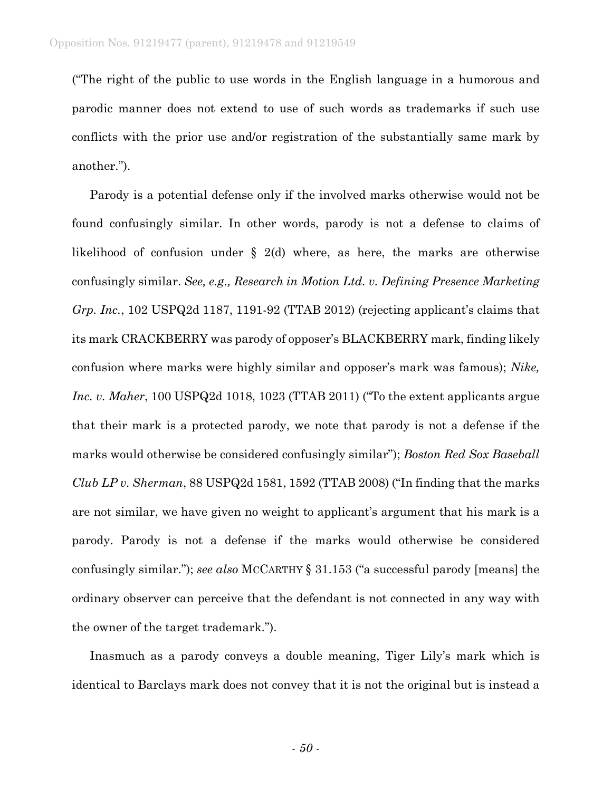("The right of the public to use words in the English language in a humorous and parodic manner does not extend to use of such words as trademarks if such use conflicts with the prior use and/or registration of the substantially same mark by another.").

Parody is a potential defense only if the involved marks otherwise would not be found confusingly similar. In other words, parody is not a defense to claims of likelihood of confusion under § 2(d) where, as here, the marks are otherwise confusingly similar. *See, e.g., Research in Motion Ltd. v. Defining Presence Marketing Grp. Inc.*, 102 USPQ2d 1187, 1191-92 (TTAB 2012) (rejecting applicant's claims that its mark CRACKBERRY was parody of opposer's BLACKBERRY mark, finding likely confusion where marks were highly similar and opposer's mark was famous); *Nike, Inc. v. Maher*, 100 USPQ2d 1018, 1023 (TTAB 2011) ("To the extent applicants argue that their mark is a protected parody, we note that parody is not a defense if the marks would otherwise be considered confusingly similar"); *Boston Red Sox Baseball Club LP v. Sherman*, 88 USPQ2d 1581, 1592 (TTAB 2008) ("In finding that the marks are not similar, we have given no weight to applicant's argument that his mark is a parody. Parody is not a defense if the marks would otherwise be considered confusingly similar."); *see also* MCCARTHY § 31.153 ("a successful parody [means] the ordinary observer can perceive that the defendant is not connected in any way with the owner of the target trademark.").

Inasmuch as a parody conveys a double meaning, Tiger Lily's mark which is identical to Barclays mark does not convey that it is not the original but is instead a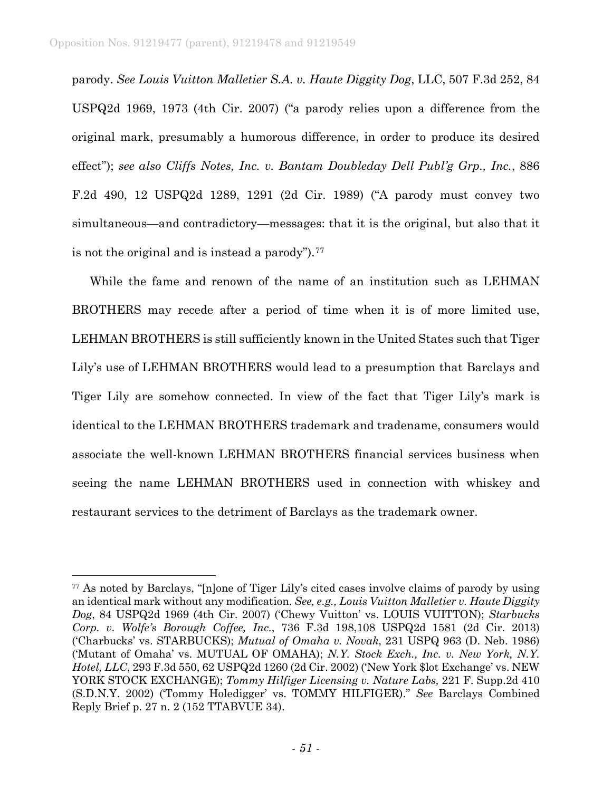parody. *See Louis Vuitton Malletier S.A. v. Haute Diggity Dog*, LLC, 507 F.3d 252, 84 USPQ2d 1969, 1973 (4th Cir. 2007) ("a parody relies upon a difference from the original mark, presumably a humorous difference, in order to produce its desired effect"); *see also Cliffs Notes, Inc. v. Bantam Doubleday Dell Publ'g Grp., Inc.*, 886 F.2d 490, 12 USPQ2d 1289, 1291 (2d Cir. 1989) ("A parody must convey two simultaneous—and contradictory—messages: that it is the original, but also that it is not the original and is instead a parody").<sup>[77](#page-50-0)</sup>

While the fame and renown of the name of an institution such as LEHMAN BROTHERS may recede after a period of time when it is of more limited use, LEHMAN BROTHERS is still sufficiently known in the United States such that Tiger Lily's use of LEHMAN BROTHERS would lead to a presumption that Barclays and Tiger Lily are somehow connected. In view of the fact that Tiger Lily's mark is identical to the LEHMAN BROTHERS trademark and tradename, consumers would associate the well-known LEHMAN BROTHERS financial services business when seeing the name LEHMAN BROTHERS used in connection with whiskey and restaurant services to the detriment of Barclays as the trademark owner.

<span id="page-50-0"></span> <sup>77</sup> As noted by Barclays, "[n]one of Tiger Lily's cited cases involve claims of parody by using an identical mark without any modification. *See, e.g., Louis Vuitton Malletier v. Haute Diggity Dog*, 84 USPQ2d 1969 (4th Cir. 2007) ('Chewy Vuitton' vs. LOUIS VUITTON); *Starbucks Corp. v. Wolfe's Borough Coffee, Inc.*, 736 F.3d 198,108 USPQ2d 1581 (2d Cir. 2013) ('Charbucks' vs. STARBUCKS); *Mutual of Omaha v. Novak*, 231 USPQ 963 (D. Neb. 1986) ('Mutant of Omaha' vs. MUTUAL OF OMAHA); *N.Y. Stock Exch., Inc. v. New York, N.Y. Hotel, LLC*, 293 F.3d 550, 62 USPQ2d 1260 (2d Cir. 2002) ('New York \$lot Exchange' vs. NEW YORK STOCK EXCHANGE); *Tommy Hilfiger Licensing v. Nature Labs,* 221 F. Supp.2d 410 (S.D.N.Y. 2002) ('Tommy Holedigger' vs. TOMMY HILFIGER)." *See* Barclays Combined Reply Brief p. 27 n. 2 (152 TTABVUE 34).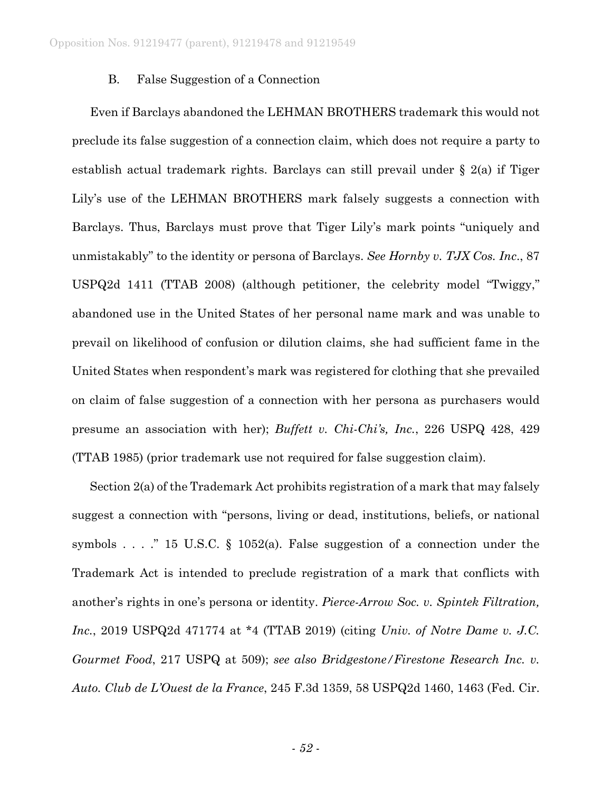#### B. False Suggestion of a Connection

Even if Barclays abandoned the LEHMAN BROTHERS trademark this would not preclude its false suggestion of a connection claim, which does not require a party to establish actual trademark rights. Barclays can still prevail under § 2(a) if Tiger Lily's use of the LEHMAN BROTHERS mark falsely suggests a connection with Barclays. Thus, Barclays must prove that Tiger Lily's mark points "uniquely and unmistakably" to the identity or persona of Barclays. *See Hornby v. TJX Cos. Inc*., 87 USPQ2d 1411 (TTAB 2008) (although petitioner, the celebrity model "Twiggy," abandoned use in the United States of her personal name mark and was unable to prevail on likelihood of confusion or dilution claims, she had sufficient fame in the United States when respondent's mark was registered for clothing that she prevailed on claim of false suggestion of a connection with her persona as purchasers would presume an association with her); *Buffett v. Chi-Chi's, Inc.*, 226 USPQ 428, 429 (TTAB 1985) (prior trademark use not required for false suggestion claim).

Section 2(a) of the Trademark Act prohibits registration of a mark that may falsely suggest a connection with "persons, living or dead, institutions, beliefs, or national symbols . . . . . . . 15 U.S.C.  $\S$  1052(a). False suggestion of a connection under the Trademark Act is intended to preclude registration of a mark that conflicts with another's rights in one's persona or identity. *Pierce-Arrow Soc. v. Spintek Filtration, Inc.*, 2019 USPQ2d 471774 at \*4 (TTAB 2019) (citing *Univ. of Notre Dame v. J.C. Gourmet Food*, 217 USPQ at 509); *see also Bridgestone/Firestone Research Inc. v. Auto. Club de L'Ouest de la France*, 245 F.3d 1359, 58 USPQ2d 1460, 1463 (Fed. Cir.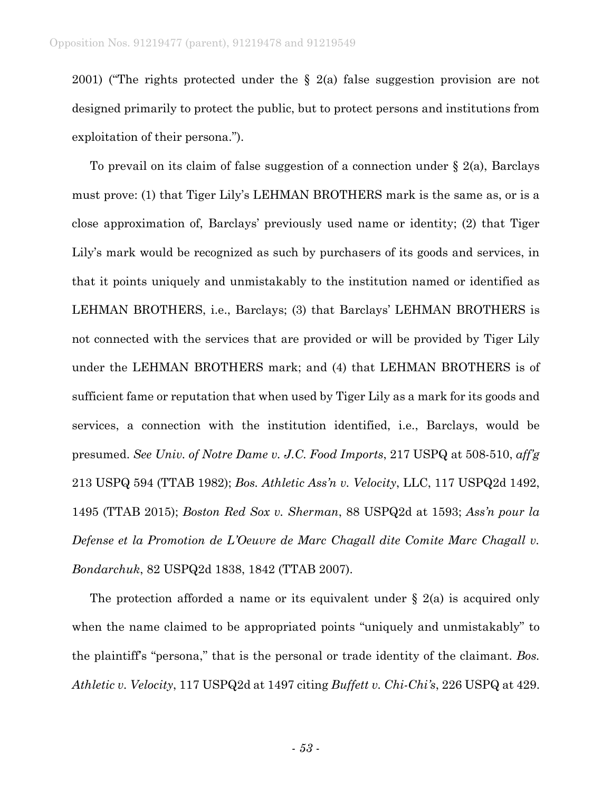2001) ("The rights protected under the § 2(a) false suggestion provision are not designed primarily to protect the public, but to protect persons and institutions from exploitation of their persona.").

To prevail on its claim of false suggestion of a connection under § 2(a), Barclays must prove: (1) that Tiger Lily's LEHMAN BROTHERS mark is the same as, or is a close approximation of, Barclays' previously used name or identity; (2) that Tiger Lily's mark would be recognized as such by purchasers of its goods and services, in that it points uniquely and unmistakably to the institution named or identified as LEHMAN BROTHERS, i.e., Barclays; (3) that Barclays' LEHMAN BROTHERS is not connected with the services that are provided or will be provided by Tiger Lily under the LEHMAN BROTHERS mark; and (4) that LEHMAN BROTHERS is of sufficient fame or reputation that when used by Tiger Lily as a mark for its goods and services, a connection with the institution identified, i.e., Barclays, would be presumed. *See Univ. of Notre Dame v. J.C. Food Imports*, 217 USPQ at 508-510, *aff'g* 213 USPQ 594 (TTAB 1982); *Bos. Athletic Ass'n v. Velocity*, LLC, 117 USPQ2d 1492, 1495 (TTAB 2015); *Boston Red Sox v. Sherman*, 88 USPQ2d at 1593; *Ass'n pour la Defense et la Promotion de L'Oeuvre de Marc Chagall dite Comite Marc Chagall v. Bondarchuk*, 82 USPQ2d 1838, 1842 (TTAB 2007).

The protection afforded a name or its equivalent under  $\S$  2(a) is acquired only when the name claimed to be appropriated points "uniquely and unmistakably" to the plaintiff's "persona," that is the personal or trade identity of the claimant. *Bos. Athletic v. Velocity*, 117 USPQ2d at 1497 citing *Buffett v. Chi-Chi's*, 226 USPQ at 429.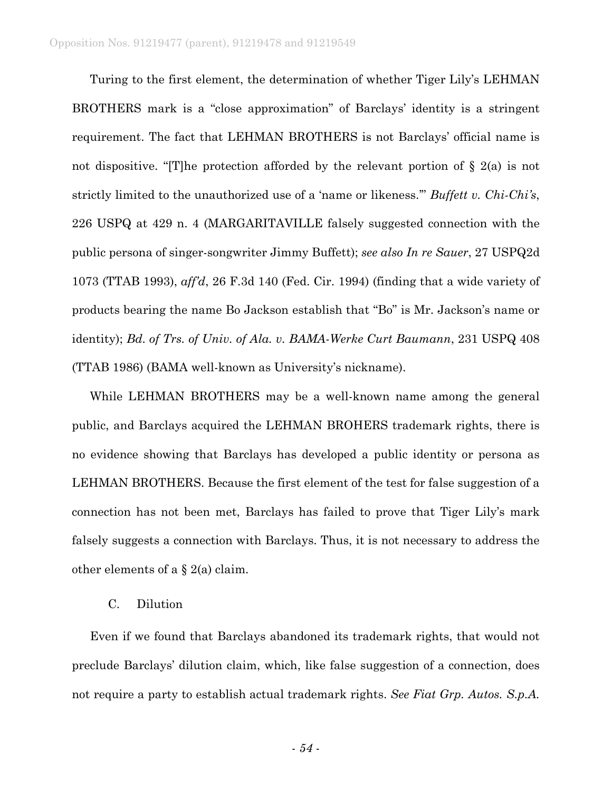Turing to the first element, the determination of whether Tiger Lily's LEHMAN BROTHERS mark is a "close approximation" of Barclays' identity is a stringent requirement. The fact that LEHMAN BROTHERS is not Barclays' official name is not dispositive. "[T]he protection afforded by the relevant portion of  $\S$  2(a) is not strictly limited to the unauthorized use of a 'name or likeness.'" *Buffett v. Chi-Chi's*, 226 USPQ at 429 n. 4 (MARGARITAVILLE falsely suggested connection with the public persona of singer-songwriter Jimmy Buffett); *see also In re Sauer*, 27 USPQ2d 1073 (TTAB 1993), *aff'd*, 26 F.3d 140 (Fed. Cir. 1994) (finding that a wide variety of products bearing the name Bo Jackson establish that "Bo" is Mr. Jackson's name or identity); *Bd. of Trs. of Univ. of Ala. v. BAMA-Werke Curt Baumann*, 231 USPQ 408 (TTAB 1986) (BAMA well-known as University's nickname).

While LEHMAN BROTHERS may be a well-known name among the general public, and Barclays acquired the LEHMAN BROHERS trademark rights, there is no evidence showing that Barclays has developed a public identity or persona as LEHMAN BROTHERS. Because the first element of the test for false suggestion of a connection has not been met, Barclays has failed to prove that Tiger Lily's mark falsely suggests a connection with Barclays. Thus, it is not necessary to address the other elements of a  $\S 2(a)$  claim.

### C. Dilution

Even if we found that Barclays abandoned its trademark rights, that would not preclude Barclays' dilution claim, which, like false suggestion of a connection, does not require a party to establish actual trademark rights. *See Fiat Grp. Autos. S.p.A.*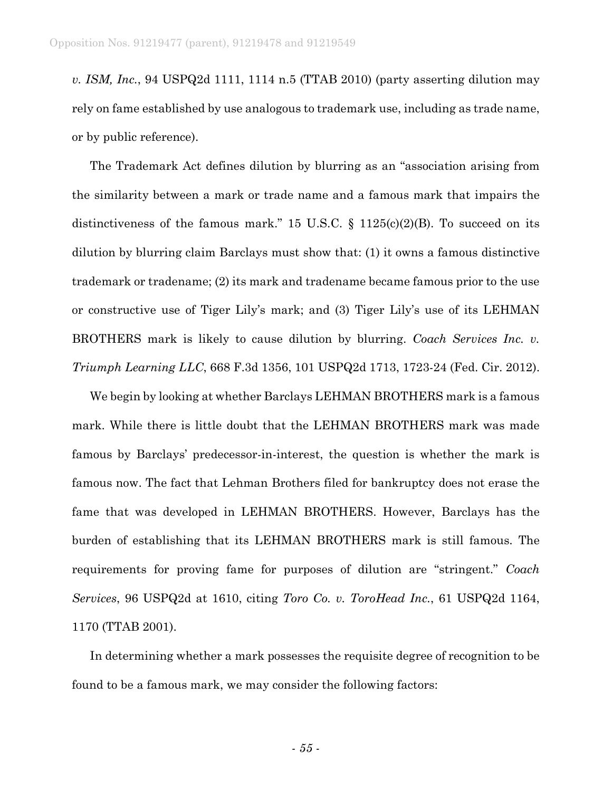*v. ISM, Inc.*, 94 USPQ2d 1111, 1114 n.5 (TTAB 2010) (party asserting dilution may rely on fame established by use analogous to trademark use, including as trade name, or by public reference).

The Trademark Act defines dilution by blurring as an "association arising from the similarity between a mark or trade name and a famous mark that impairs the distinctiveness of the famous mark." 15 U.S.C.  $\S$  1125(c)(2)(B). To succeed on its dilution by blurring claim Barclays must show that: (1) it owns a famous distinctive trademark or tradename; (2) its mark and tradename became famous prior to the use or constructive use of Tiger Lily's mark; and (3) Tiger Lily's use of its LEHMAN BROTHERS mark is likely to cause dilution by blurring. *Coach Services Inc. v. Triumph Learning LLC*, 668 F.3d 1356, 101 USPQ2d 1713, 1723-24 (Fed. Cir. 2012).

We begin by looking at whether Barclays LEHMAN BROTHERS mark is a famous mark. While there is little doubt that the LEHMAN BROTHERS mark was made famous by Barclays' predecessor-in-interest, the question is whether the mark is famous now. The fact that Lehman Brothers filed for bankruptcy does not erase the fame that was developed in LEHMAN BROTHERS. However, Barclays has the burden of establishing that its LEHMAN BROTHERS mark is still famous. The requirements for proving fame for purposes of dilution are "stringent." *Coach Services*, 96 USPQ2d at 1610, citing *Toro Co. v. ToroHead Inc.*, 61 USPQ2d 1164, 1170 (TTAB 2001).

In determining whether a mark possesses the requisite degree of recognition to be found to be a famous mark, we may consider the following factors: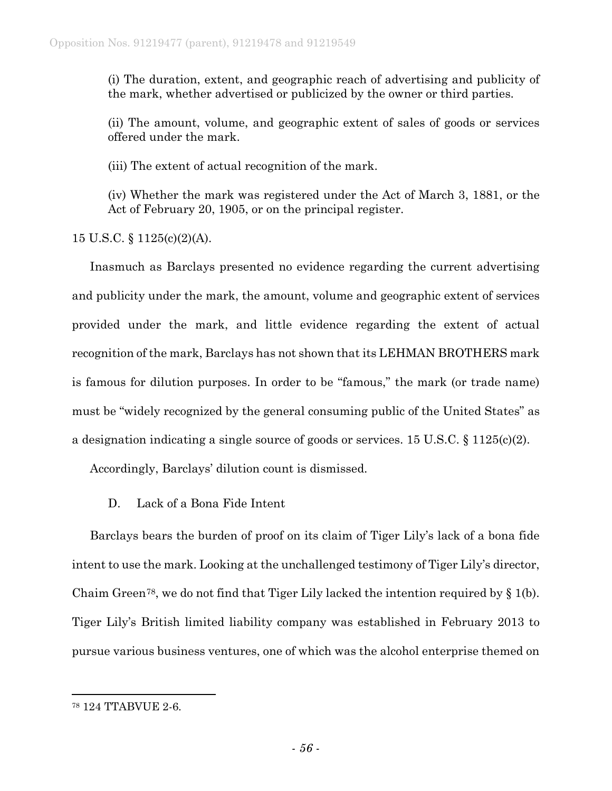(i) The duration, extent, and geographic reach of advertising and publicity of the mark, whether advertised or publicized by the owner or third parties.

(ii) The amount, volume, and geographic extent of sales of goods or services offered under the mark.

(iii) The extent of actual recognition of the mark.

(iv) Whether the mark was registered under the Act of March 3, 1881, or the Act of February 20, 1905, or on the principal register.

15 U.S.C. § 1125(c)(2)(A).

Inasmuch as Barclays presented no evidence regarding the current advertising and publicity under the mark, the amount, volume and geographic extent of services provided under the mark, and little evidence regarding the extent of actual recognition of the mark, Barclays has not shown that its LEHMAN BROTHERS mark is famous for dilution purposes. In order to be "famous," the mark (or trade name) must be "widely recognized by the general consuming public of the United States" as a designation indicating a single source of goods or services. 15 U.S.C. § 1125(c)(2).

Accordingly, Barclays' dilution count is dismissed.

D. Lack of a Bona Fide Intent

Barclays bears the burden of proof on its claim of Tiger Lily's lack of a bona fide intent to use the mark. Looking at the unchallenged testimony of Tiger Lily's director, Chaim Green<sup>78</sup>, we do not find that Tiger Lily lacked the intention required by  $\S 1(b)$ . Tiger Lily's British limited liability company was established in February 2013 to pursue various business ventures, one of which was the alcohol enterprise themed on

<span id="page-55-0"></span> <sup>78</sup> 124 TTABVUE 2-6.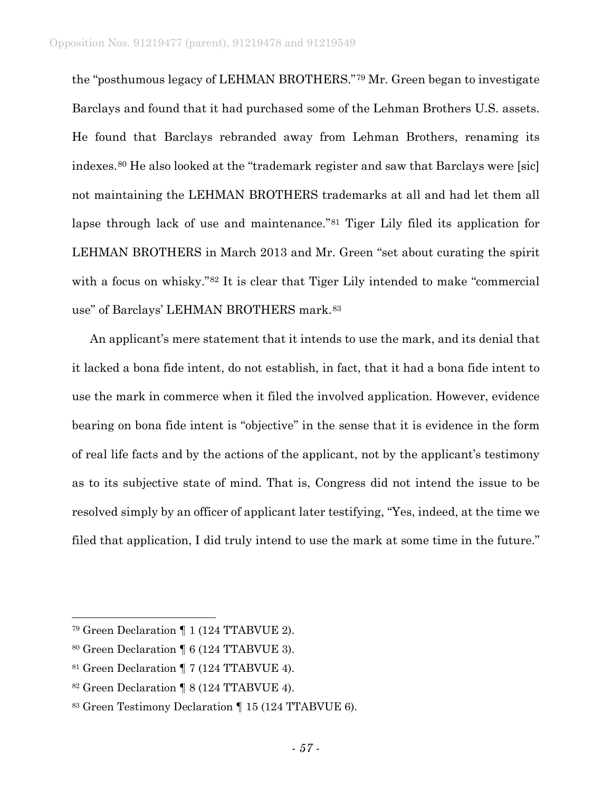the "posthumous legacy of LEHMAN BROTHERS."[79](#page-56-0) Mr. Green began to investigate Barclays and found that it had purchased some of the Lehman Brothers U.S. assets. He found that Barclays rebranded away from Lehman Brothers, renaming its indexes.[80](#page-56-1) He also looked at the "trademark register and saw that Barclays were [sic] not maintaining the LEHMAN BROTHERS trademarks at all and had let them all lapse through lack of use and maintenance."[81](#page-56-2) Tiger Lily filed its application for LEHMAN BROTHERS in March 2013 and Mr. Green "set about curating the spirit with a focus on whisky."[82](#page-56-3) It is clear that Tiger Lily intended to make "commercial use" of Barclays' LEHMAN BROTHERS mark.<sup>[83](#page-56-4)</sup>

An applicant's mere statement that it intends to use the mark, and its denial that it lacked a bona fide intent, do not establish, in fact, that it had a bona fide intent to use the mark in commerce when it filed the involved application. However, evidence bearing on bona fide intent is "objective" in the sense that it is evidence in the form of real life facts and by the actions of the applicant, not by the applicant's testimony as to its subjective state of mind. That is, Congress did not intend the issue to be resolved simply by an officer of applicant later testifying, "Yes, indeed, at the time we filed that application, I did truly intend to use the mark at some time in the future."

<span id="page-56-0"></span> <sup>79</sup> Green Declaration ¶ 1 (124 TTABVUE 2).

<span id="page-56-1"></span><sup>80</sup> Green Declaration ¶ 6 (124 TTABVUE 3).

<span id="page-56-2"></span><sup>81</sup> Green Declaration ¶ 7 (124 TTABVUE 4).

<span id="page-56-3"></span><sup>82</sup> Green Declaration ¶ 8 (124 TTABVUE 4).

<span id="page-56-4"></span><sup>83</sup> Green Testimony Declaration ¶ 15 (124 TTABVUE 6).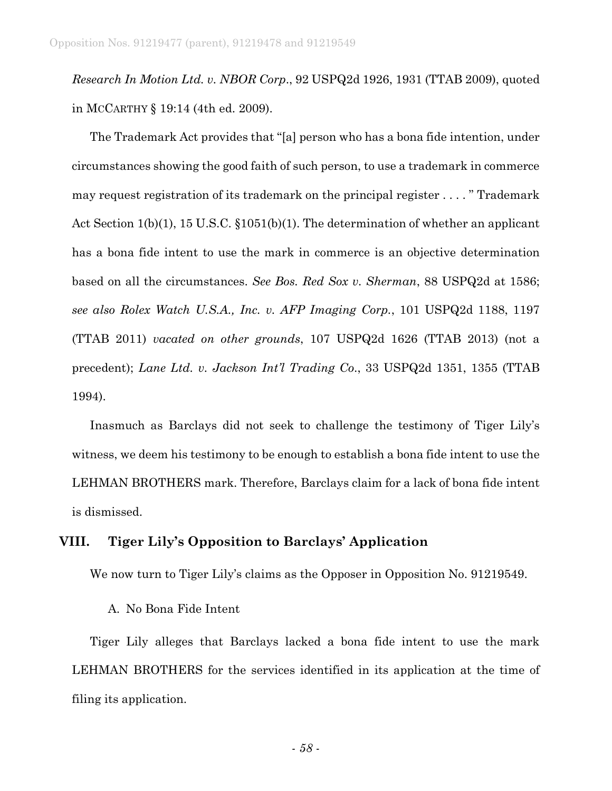*Research In Motion Ltd. v. NBOR Corp*., 92 USPQ2d 1926, 1931 (TTAB 2009), quoted in MCCARTHY § 19:14 (4th ed. 2009).

The Trademark Act provides that "[a] person who has a bona fide intention, under circumstances showing the good faith of such person, to use a trademark in commerce may request registration of its trademark on the principal register . . . . " Trademark Act Section 1(b)(1), 15 U.S.C. §1051(b)(1). The determination of whether an applicant has a bona fide intent to use the mark in commerce is an objective determination based on all the circumstances. *See Bos. Red Sox v. Sherman*, 88 USPQ2d at 1586; *see also Rolex Watch U.S.A., Inc. v. AFP Imaging Corp.*, 101 USPQ2d 1188, 1197 (TTAB 2011) *vacated on other grounds*, 107 USPQ2d 1626 (TTAB 2013) (not a precedent); *Lane Ltd. v. Jackson Int'l Trading Co*., 33 USPQ2d 1351, 1355 (TTAB 1994).

Inasmuch as Barclays did not seek to challenge the testimony of Tiger Lily's witness, we deem his testimony to be enough to establish a bona fide intent to use the LEHMAN BROTHERS mark. Therefore, Barclays claim for a lack of bona fide intent is dismissed.

## **VIII. Tiger Lily's Opposition to Barclays' Application**

We now turn to Tiger Lily's claims as the Opposer in Opposition No. 91219549.

#### A. No Bona Fide Intent

Tiger Lily alleges that Barclays lacked a bona fide intent to use the mark LEHMAN BROTHERS for the services identified in its application at the time of filing its application.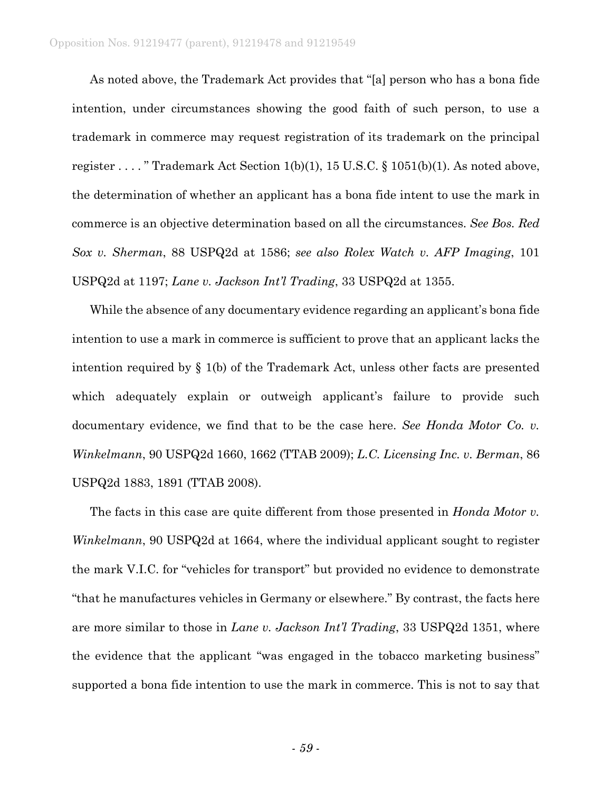As noted above, the Trademark Act provides that "[a] person who has a bona fide intention, under circumstances showing the good faith of such person, to use a trademark in commerce may request registration of its trademark on the principal register . . . . " Trademark Act Section 1(b)(1), 15 U.S.C. § 1051(b)(1). As noted above, the determination of whether an applicant has a bona fide intent to use the mark in commerce is an objective determination based on all the circumstances. *See Bos. Red Sox v. Sherman*, 88 USPQ2d at 1586; *see also Rolex Watch v. AFP Imaging*, 101 USPQ2d at 1197; *Lane v. Jackson Int'l Trading*, 33 USPQ2d at 1355.

While the absence of any documentary evidence regarding an applicant's bona fide intention to use a mark in commerce is sufficient to prove that an applicant lacks the intention required by § 1(b) of the Trademark Act, unless other facts are presented which adequately explain or outweigh applicant's failure to provide such documentary evidence, we find that to be the case here. *See Honda Motor Co. v. Winkelmann*, 90 USPQ2d 1660, 1662 (TTAB 2009); *L.C. Licensing Inc. v. Berman*, 86 USPQ2d 1883, 1891 (TTAB 2008).

The facts in this case are quite different from those presented in *Honda Motor v. Winkelmann*, 90 USPQ2d at 1664, where the individual applicant sought to register the mark V.I.C. for "vehicles for transport" but provided no evidence to demonstrate "that he manufactures vehicles in Germany or elsewhere." By contrast, the facts here are more similar to those in *Lane v. Jackson Int'l Trading*, 33 USPQ2d 1351, where the evidence that the applicant "was engaged in the tobacco marketing business" supported a bona fide intention to use the mark in commerce. This is not to say that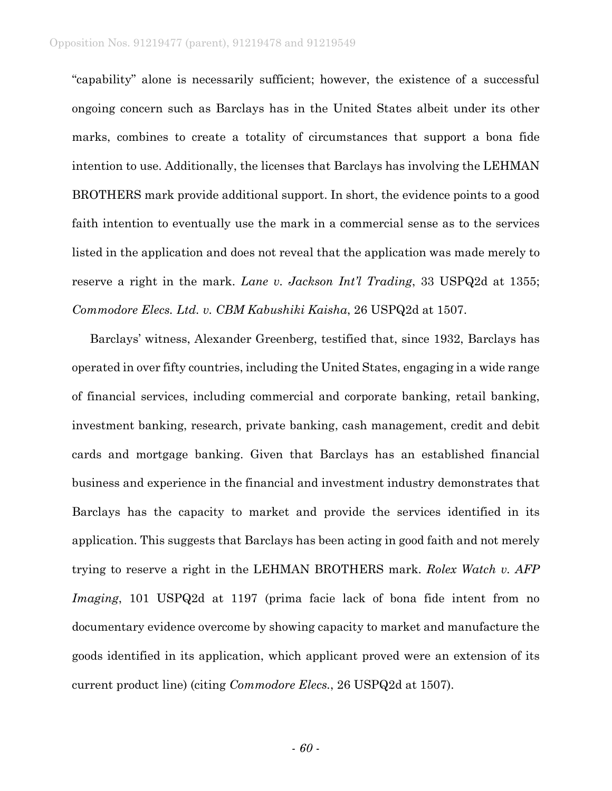"capability" alone is necessarily sufficient; however, the existence of a successful ongoing concern such as Barclays has in the United States albeit under its other marks, combines to create a totality of circumstances that support a bona fide intention to use. Additionally, the licenses that Barclays has involving the LEHMAN BROTHERS mark provide additional support. In short, the evidence points to a good faith intention to eventually use the mark in a commercial sense as to the services listed in the application and does not reveal that the application was made merely to reserve a right in the mark. *Lane v. Jackson Int'l Trading*, 33 USPQ2d at 1355; *Commodore Elecs. Ltd. v. CBM Kabushiki Kaisha*, 26 USPQ2d at 1507.

Barclays' witness, Alexander Greenberg, testified that, since 1932, Barclays has operated in over fifty countries, including the United States, engaging in a wide range of financial services, including commercial and corporate banking, retail banking, investment banking, research, private banking, cash management, credit and debit cards and mortgage banking. Given that Barclays has an established financial business and experience in the financial and investment industry demonstrates that Barclays has the capacity to market and provide the services identified in its application. This suggests that Barclays has been acting in good faith and not merely trying to reserve a right in the LEHMAN BROTHERS mark. *Rolex Watch v. AFP Imaging*, 101 USPQ2d at 1197 (prima facie lack of bona fide intent from no documentary evidence overcome by showing capacity to market and manufacture the goods identified in its application, which applicant proved were an extension of its current product line) (citing *Commodore Elecs.*, 26 USPQ2d at 1507).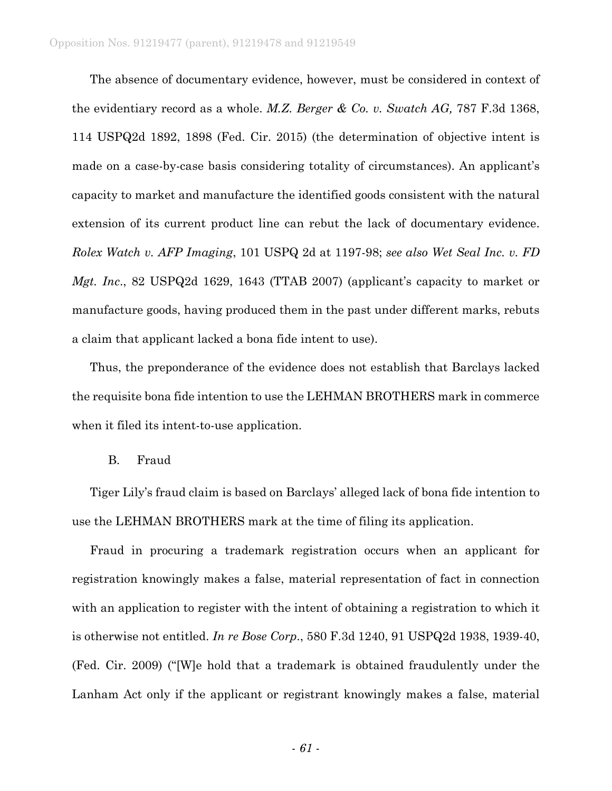The absence of documentary evidence, however, must be considered in context of the evidentiary record as a whole. *M.Z. Berger & Co. v. Swatch AG,* 787 F.3d 1368, 114 USPQ2d 1892, 1898 (Fed. Cir. 2015) (the determination of objective intent is made on a case-by-case basis considering totality of circumstances). An applicant's capacity to market and manufacture the identified goods consistent with the natural extension of its current product line can rebut the lack of documentary evidence. *Rolex Watch v. AFP Imaging*, 101 USPQ 2d at 1197-98; *see also Wet Seal Inc. v. FD Mgt. Inc*., 82 USPQ2d 1629, 1643 (TTAB 2007) (applicant's capacity to market or manufacture goods, having produced them in the past under different marks, rebuts a claim that applicant lacked a bona fide intent to use).

Thus, the preponderance of the evidence does not establish that Barclays lacked the requisite bona fide intention to use the LEHMAN BROTHERS mark in commerce when it filed its intent-to-use application.

#### B. Fraud

Tiger Lily's fraud claim is based on Barclays' alleged lack of bona fide intention to use the LEHMAN BROTHERS mark at the time of filing its application.

Fraud in procuring a trademark registration occurs when an applicant for registration knowingly makes a false, material representation of fact in connection with an application to register with the intent of obtaining a registration to which it is otherwise not entitled. *In re Bose Corp*., 580 F.3d 1240, 91 USPQ2d 1938, 1939-40, (Fed. Cir. 2009) ("[W]e hold that a trademark is obtained fraudulently under the Lanham Act only if the applicant or registrant knowingly makes a false, material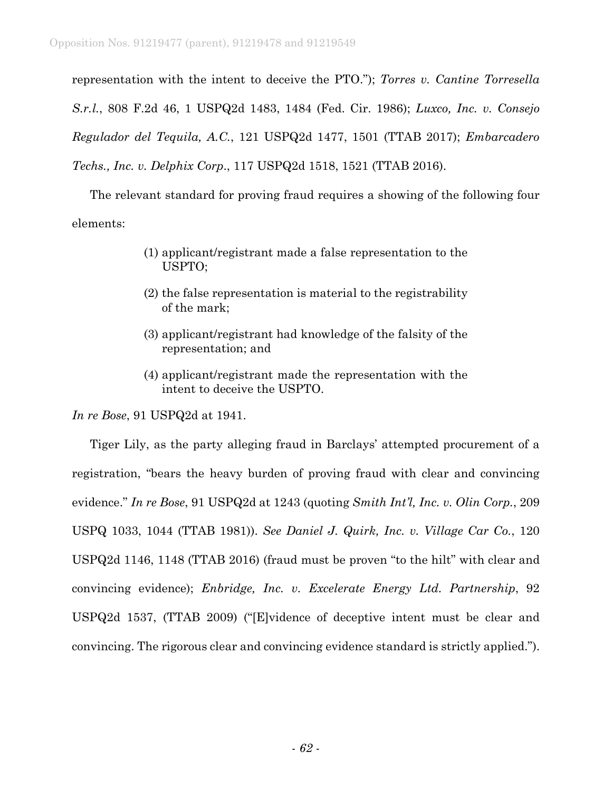representation with the intent to deceive the PTO."); *Torres v. Cantine Torresella S.r.l.*, 808 F.2d 46, 1 USPQ2d 1483, 1484 (Fed. Cir. 1986); *Luxco, Inc. v. Consejo Regulador del Tequila, A.C.*, 121 USPQ2d 1477, 1501 (TTAB 2017); *Embarcadero Techs., Inc. v. Delphix Corp*., 117 USPQ2d 1518, 1521 (TTAB 2016).

The relevant standard for proving fraud requires a showing of the following four elements:

- (1) applicant/registrant made a false representation to the USPTO;
- (2) the false representation is material to the registrability of the mark;
- (3) applicant/registrant had knowledge of the falsity of the representation; and
- (4) applicant/registrant made the representation with the intent to deceive the USPTO.

*In re Bose*, 91 USPQ2d at 1941.

Tiger Lily, as the party alleging fraud in Barclays' attempted procurement of a registration, "bears the heavy burden of proving fraud with clear and convincing evidence." *In re Bose*, 91 USPQ2d at 1243 (quoting *Smith Int'l, Inc. v. Olin Corp.*, 209 USPQ 1033, 1044 (TTAB 1981)). *See Daniel J. Quirk, Inc. v. Village Car Co.*, 120 USPQ2d 1146, 1148 (TTAB 2016) (fraud must be proven "to the hilt" with clear and convincing evidence); *Enbridge, Inc. v. Excelerate Energy Ltd. Partnership*, 92 USPQ2d 1537, (TTAB 2009) ("[E]vidence of deceptive intent must be clear and convincing. The rigorous clear and convincing evidence standard is strictly applied.").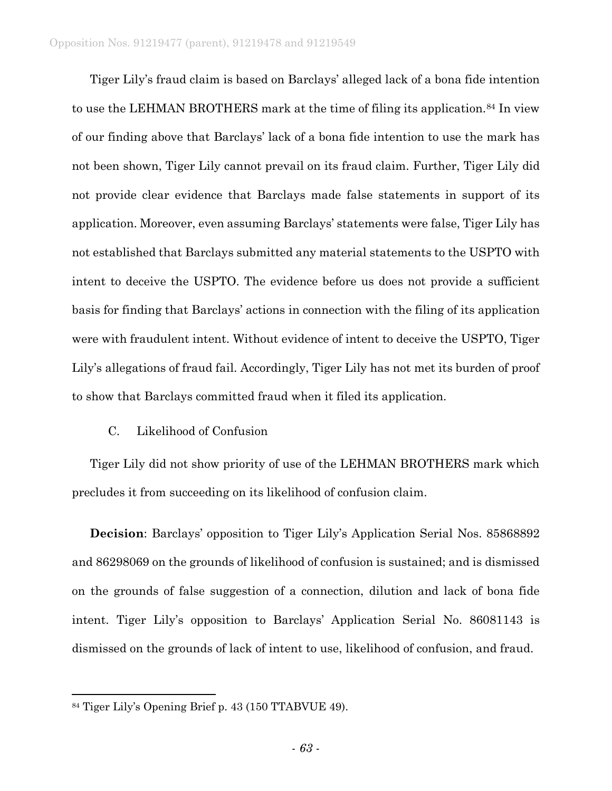#### Opposition Nos. 91219477 (parent), 91219478 and 91219549

Tiger Lily's fraud claim is based on Barclays' alleged lack of a bona fide intention to use the LEHMAN BROTHERS mark at the time of filing its application.[84](#page-62-0) In view of our finding above that Barclays' lack of a bona fide intention to use the mark has not been shown, Tiger Lily cannot prevail on its fraud claim. Further, Tiger Lily did not provide clear evidence that Barclays made false statements in support of its application. Moreover, even assuming Barclays' statements were false, Tiger Lily has not established that Barclays submitted any material statements to the USPTO with intent to deceive the USPTO. The evidence before us does not provide a sufficient basis for finding that Barclays' actions in connection with the filing of its application were with fraudulent intent. Without evidence of intent to deceive the USPTO, Tiger Lily's allegations of fraud fail. Accordingly, Tiger Lily has not met its burden of proof to show that Barclays committed fraud when it filed its application.

## C. Likelihood of Confusion

Tiger Lily did not show priority of use of the LEHMAN BROTHERS mark which precludes it from succeeding on its likelihood of confusion claim.

**Decision**: Barclays' opposition to Tiger Lily's Application Serial Nos. 85868892 and 86298069 on the grounds of likelihood of confusion is sustained; and is dismissed on the grounds of false suggestion of a connection, dilution and lack of bona fide intent. Tiger Lily's opposition to Barclays' Application Serial No. 86081143 is dismissed on the grounds of lack of intent to use, likelihood of confusion, and fraud.

<span id="page-62-0"></span> <sup>84</sup> Tiger Lily's Opening Brief p. 43 (150 TTABVUE 49).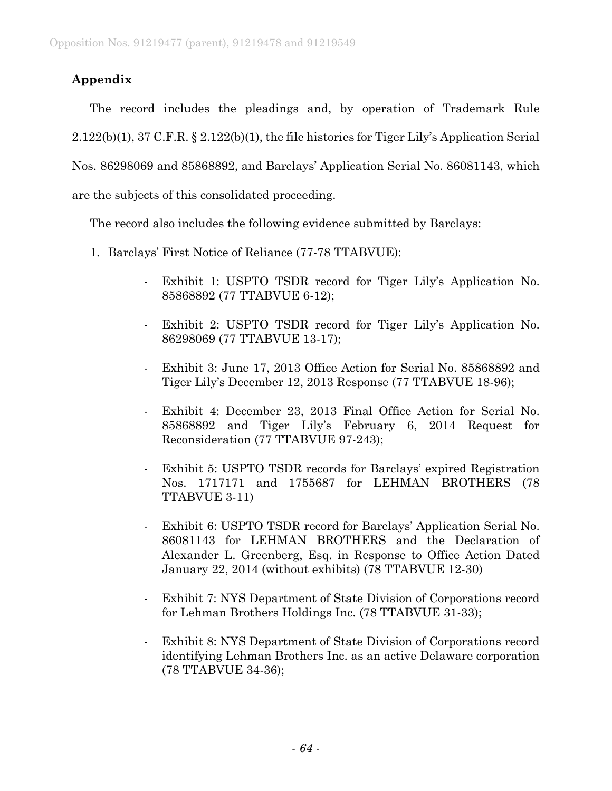# **Appendix**

The record includes the pleadings and, by operation of Trademark Rule 2.122(b)(1), 37 C.F.R. § 2.122(b)(1), the file histories for Tiger Lily's Application Serial Nos. 86298069 and 85868892, and Barclays' Application Serial No. 86081143, which are the subjects of this consolidated proceeding.

The record also includes the following evidence submitted by Barclays:

- 1. Barclays' First Notice of Reliance (77-78 TTABVUE):
	- Exhibit 1: USPTO TSDR record for Tiger Lily's Application No. 85868892 (77 TTABVUE 6-12);
	- Exhibit 2: USPTO TSDR record for Tiger Lily's Application No. 86298069 (77 TTABVUE 13-17);
	- Exhibit 3: June 17, 2013 Office Action for Serial No. 85868892 and Tiger Lily's December 12, 2013 Response (77 TTABVUE 18-96);
	- Exhibit 4: December 23, 2013 Final Office Action for Serial No. 85868892 and Tiger Lily's February 6, 2014 Request for Reconsideration (77 TTABVUE 97-243);
	- Exhibit 5: USPTO TSDR records for Barclays' expired Registration Nos. 1717171 and 1755687 for LEHMAN BROTHERS (78 TTABVUE 3-11)
	- Exhibit 6: USPTO TSDR record for Barclays' Application Serial No. 86081143 for LEHMAN BROTHERS and the Declaration of Alexander L. Greenberg, Esq. in Response to Office Action Dated January 22, 2014 (without exhibits) (78 TTABVUE 12-30)
	- Exhibit 7: NYS Department of State Division of Corporations record for Lehman Brothers Holdings Inc. (78 TTABVUE 31-33);
	- Exhibit 8: NYS Department of State Division of Corporations record identifying Lehman Brothers Inc. as an active Delaware corporation (78 TTABVUE 34-36);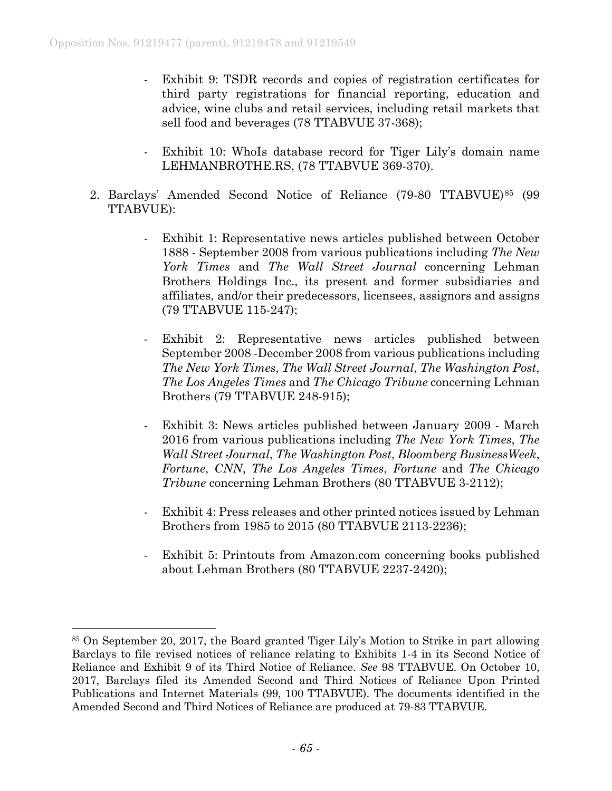- Exhibit 9: TSDR records and copies of registration certificates for third party registrations for financial reporting, education and advice, wine clubs and retail services, including retail markets that sell food and beverages (78 TTABVUE 37-368);
- Exhibit 10: WhoIs database record for Tiger Lily's domain name LEHMANBROTHE.RS, (78 TTABVUE 369-370).
- 2. Barclays' Amended Second Notice of Reliance (79-80 TTABVUE)[85](#page-64-0) (99 TTABVUE):
	- Exhibit 1: Representative news articles published between October 1888 - September 2008 from various publications including *The New York Times* and *The Wall Street Journal* concerning Lehman Brothers Holdings Inc., its present and former subsidiaries and affiliates, and/or their predecessors, licensees, assignors and assigns (79 TTABVUE 115-247);
	- Exhibit 2: Representative news articles published between September 2008 -December 2008 from various publications including *The New York Times*, *The Wall Street Journal*, *The Washington Post*, *The Los Angeles Times* and *The Chicago Tribune* concerning Lehman Brothers (79 TTABVUE 248-915);
	- Exhibit 3: News articles published between January 2009 March 2016 from various publications including *The New York Times*, *The Wall Street Journal*, *The Washington Post*, *Bloomberg BusinessWeek*, *Fortune*, *CNN*, *The Los Angeles Times*, *Fortune* and *The Chicago Tribune* concerning Lehman Brothers (80 TTABVUE 3-2112);
	- Exhibit 4: Press releases and other printed notices issued by Lehman Brothers from 1985 to 2015 (80 TTABVUE 2113-2236);
	- Exhibit 5: Printouts from Amazon.com concerning books published about Lehman Brothers (80 TTABVUE 2237-2420);

<span id="page-64-0"></span> <sup>85</sup> On September 20, 2017, the Board granted Tiger Lily's Motion to Strike in part allowing Barclays to file revised notices of reliance relating to Exhibits 1-4 in its Second Notice of Reliance and Exhibit 9 of its Third Notice of Reliance. *See* 98 TTABVUE. On October 10, 2017, Barclays filed its Amended Second and Third Notices of Reliance Upon Printed Publications and Internet Materials (99, 100 TTABVUE). The documents identified in the Amended Second and Third Notices of Reliance are produced at 79-83 TTABVUE.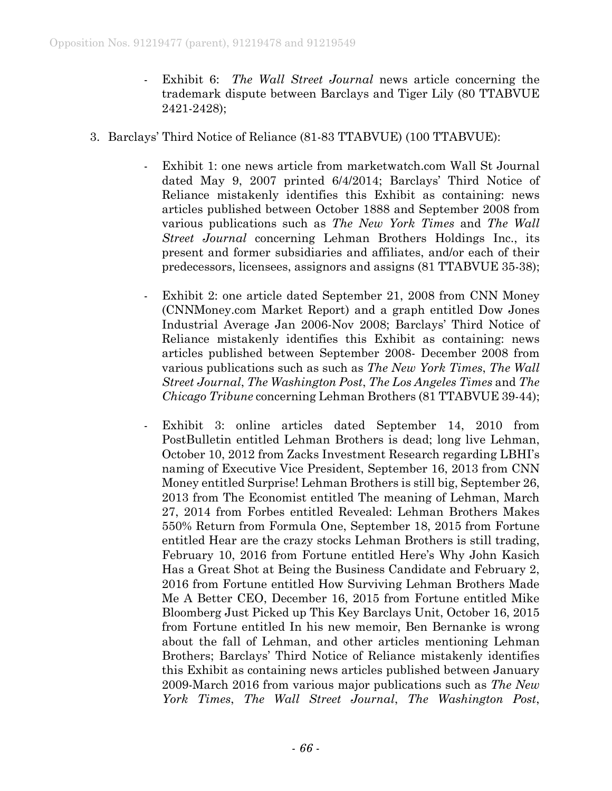- Exhibit 6: *The Wall Street Journal* news article concerning the trademark dispute between Barclays and Tiger Lily (80 TTABVUE 2421-2428);
- 3. Barclays' Third Notice of Reliance (81-83 TTABVUE) (100 TTABVUE):
	- Exhibit 1: one news article from marketwatch.com Wall St Journal dated May 9, 2007 printed 6/4/2014; Barclays' Third Notice of Reliance mistakenly identifies this Exhibit as containing: news articles published between October 1888 and September 2008 from various publications such as *The New York Times* and *The Wall Street Journal* concerning Lehman Brothers Holdings Inc., its present and former subsidiaries and affiliates, and/or each of their predecessors, licensees, assignors and assigns (81 TTABVUE 35-38);
	- Exhibit 2: one article dated September 21, 2008 from CNN Money (CNNMoney.com Market Report) and a graph entitled Dow Jones Industrial Average Jan 2006-Nov 2008; Barclays' Third Notice of Reliance mistakenly identifies this Exhibit as containing: news articles published between September 2008- December 2008 from various publications such as such as *The New York Times*, *The Wall Street Journal*, *The Washington Post*, *The Los Angeles Times* and *The Chicago Tribune* concerning Lehman Brothers (81 TTABVUE 39-44);
	- Exhibit 3: online articles dated September 14, 2010 from PostBulletin entitled Lehman Brothers is dead; long live Lehman, October 10, 2012 from Zacks Investment Research regarding LBHI's naming of Executive Vice President, September 16, 2013 from CNN Money entitled Surprise! Lehman Brothers is still big, September 26, 2013 from The Economist entitled The meaning of Lehman, March 27, 2014 from Forbes entitled Revealed: Lehman Brothers Makes 550% Return from Formula One, September 18, 2015 from Fortune entitled Hear are the crazy stocks Lehman Brothers is still trading, February 10, 2016 from Fortune entitled Here's Why John Kasich Has a Great Shot at Being the Business Candidate and February 2, 2016 from Fortune entitled How Surviving Lehman Brothers Made Me A Better CEO, December 16, 2015 from Fortune entitled Mike Bloomberg Just Picked up This Key Barclays Unit, October 16, 2015 from Fortune entitled In his new memoir, Ben Bernanke is wrong about the fall of Lehman, and other articles mentioning Lehman Brothers; Barclays' Third Notice of Reliance mistakenly identifies this Exhibit as containing news articles published between January 2009-March 2016 from various major publications such as *The New York Times*, *The Wall Street Journal*, *The Washington Post*,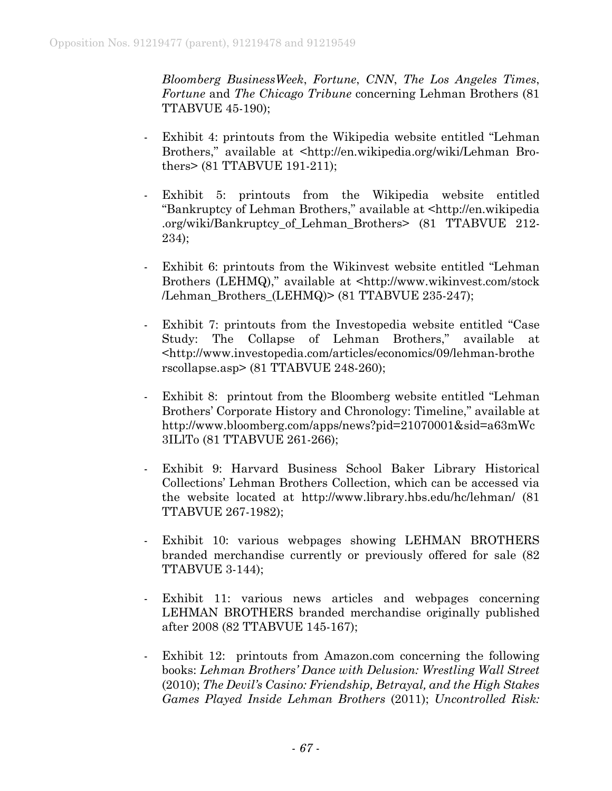*Bloomberg BusinessWeek*, *Fortune*, *CNN*, *The Los Angeles Times*, *Fortune* and *The Chicago Tribune* concerning Lehman Brothers (81 TTABVUE 45-190);

- Exhibit 4: printouts from the Wikipedia website entitled "Lehman" Brothers," available at [<http://en.wikipedia.org/wiki/Lehman Bro](http://en.wikipedia.org/wiki/Lehman%20Bro-%20thers%3e%20(81)[thers> \(81](http://en.wikipedia.org/wiki/Lehman%20Bro-%20thers%3e%20(81) TTABVUE 191-211);
- Exhibit 5: printouts from the Wikipedia website entitled "Bankruptcy of Lehman Brothers," available at [<http://en.wikipedia](http://en.wikipedia/) .org/wiki/Bankruptcy\_of\_Lehman\_Brothers> (81 TTABVUE 212- 234);
- Exhibit 6: printouts from the Wikinvest website entitled "Lehman" Brothers (LEHMQ)," available at [<http://www.wikinvest.com/](http://www.wikinvest.com/)stock /Lehman\_Brothers\_(LEHMQ)> (81 TTABVUE 235-247);
- Exhibit 7: printouts from the Investopedia website entitled "Case" Study: The Collapse of Lehman Brothers," available at [<http://www.investopedia.com/articles/economics/09/lehman-brothe](http://www.investopedia.com/articles/economics/09/lehman-brothe%20rscollapse.asp%3e%20(81)  [rscollapse.asp> \(81](http://www.investopedia.com/articles/economics/09/lehman-brothe%20rscollapse.asp%3e%20(81) TTABVUE 248-260);
- Exhibit 8: printout from the Bloomberg website entitled "Lehman Brothers' Corporate History and Chronology: Timeline," available at [http://www.bloomberg.com/apps/news?pid=21070001&sid=a63mWc](http://www.bloomberg.com/apps/news?pid=21070001&sid=a63mWc3ILlTo) [3ILlTo](http://www.bloomberg.com/apps/news?pid=21070001&sid=a63mWc3ILlTo) (81 TTABVUE 261-266);
- Exhibit 9: Harvard Business School Baker Library Historical Collections' Lehman Brothers Collection, which can be accessed via the website located at <http://www.library.hbs.edu/hc/lehman/> (81 TTABVUE 267-1982);
- Exhibit 10: various webpages showing LEHMAN BROTHERS branded merchandise currently or previously offered for sale (82 TTABVUE 3-144);
- Exhibit 11: various news articles and webpages concerning LEHMAN BROTHERS branded merchandise originally published after 2008 (82 TTABVUE 145-167);
- Exhibit 12: printouts from Amazon.com concerning the following books: *Lehman Brothers' Dance with Delusion: Wrestling Wall Street*  (2010); *The Devil's Casino: Friendship, Betrayal, and the High Stakes Games Played Inside Lehman Brothers* (2011); *Uncontrolled Risk:*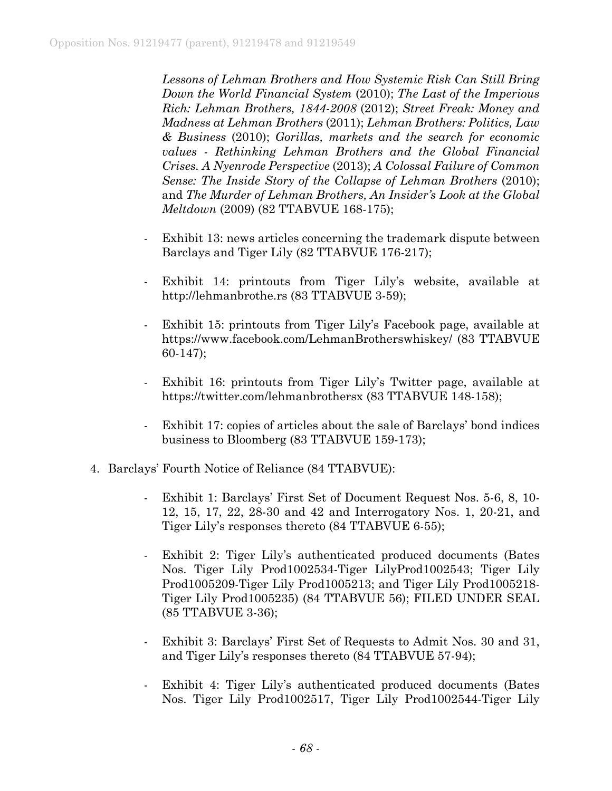*Lessons of Lehman Brothers and How Systemic Risk Can Still Bring Down the World Financial System* (2010); *The Last of the Imperious Rich: Lehman Brothers, 1844-2008* (2012); *Street Freak: Money and Madness at Lehman Brothers* (2011); *Lehman Brothers: Politics, Law & Business* (2010); *Gorillas, markets and the search for economic values - Rethinking Lehman Brothers and the Global Financial Crises. A Nyenrode Perspective* (2013); *A Colossal Failure of Common Sense: The Inside Story of the Collapse of Lehman Brothers (2010);* and *The Murder of Lehman Brothers, An Insider's Look at the Global Meltdown* (2009) (82 TTABVUE 168-175);

- Exhibit 13: news articles concerning the trademark dispute between Barclays and Tiger Lily (82 TTABVUE 176-217);
- Exhibit 14: printouts from Tiger Lily's website, available at http://lehmanbrothe.rs (83 TTABVUE 3-59);
- Exhibit 15: printouts from Tiger Lily's Facebook page, available at <https://www.facebook.com/LehmanBrotherswhiskey/> (83 TTABVUE 60-147);
- Exhibit 16: printouts from Tiger Lily's Twitter page, available at [https://twitter.com/lehmanbrothersx](https://twitter.com/lehmanbrothersx%20(81) (83 TTABVUE 148-158);
- Exhibit 17: copies of articles about the sale of Barclays' bond indices business to Bloomberg (83 TTABVUE 159-173);
- 4. Barclays' Fourth Notice of Reliance (84 TTABVUE):
	- Exhibit 1: Barclays' First Set of Document Request Nos. 5-6, 8, 10- 12, 15, 17, 22, 28-30 and 42 and Interrogatory Nos. 1, 20-21, and Tiger Lily's responses thereto (84 TTABVUE 6-55);
	- Exhibit 2: Tiger Lily's authenticated produced documents (Bates Nos. Tiger Lily Prod1002534-Tiger LilyProd1002543; Tiger Lily Prod1005209-Tiger Lily Prod1005213; and Tiger Lily Prod1005218- Tiger Lily Prod1005235) (84 TTABVUE 56); FILED UNDER SEAL (85 TTABVUE 3-36);
	- Exhibit 3: Barclays' First Set of Requests to Admit Nos. 30 and 31, and Tiger Lily's responses thereto (84 TTABVUE 57-94);
	- Exhibit 4: Tiger Lily's authenticated produced documents (Bates Nos. Tiger Lily Prod1002517, Tiger Lily Prod1002544-Tiger Lily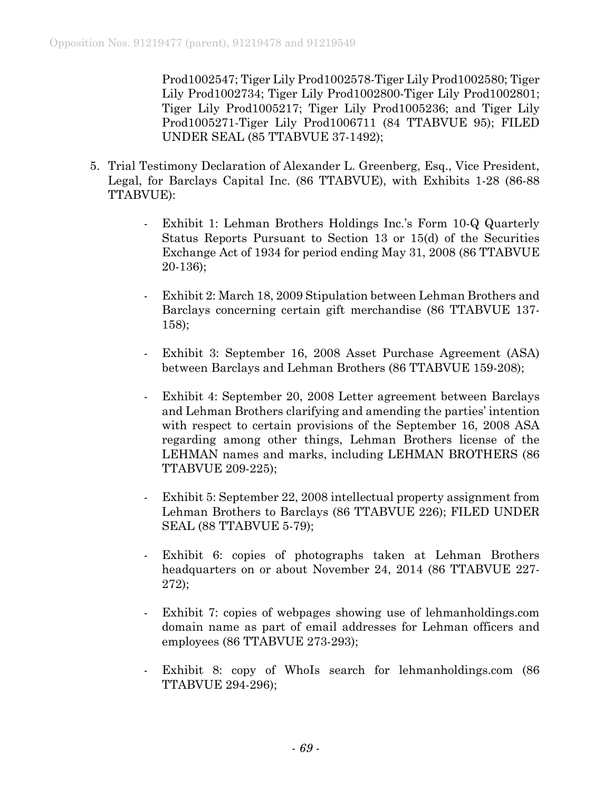Prod1002547; Tiger Lily Prod1002578-Tiger Lily Prod1002580; Tiger Lily Prod1002734; Tiger Lily Prod1002800-Tiger Lily Prod1002801; Tiger Lily Prod1005217; Tiger Lily Prod1005236; and Tiger Lily Prod1005271-Tiger Lily Prod1006711 (84 TTABVUE 95); FILED UNDER SEAL (85 TTABVUE 37-1492);

- 5. Trial Testimony Declaration of Alexander L. Greenberg, Esq., Vice President, Legal, for Barclays Capital Inc. (86 TTABVUE), with Exhibits 1-28 (86-88 TTABVUE):
	- Exhibit 1: Lehman Brothers Holdings Inc.'s Form 10-Q Quarterly Status Reports Pursuant to Section 13 or 15(d) of the Securities Exchange Act of 1934 for period ending May 31, 2008 (86 TTABVUE 20-136);
	- Exhibit 2: March 18, 2009 Stipulation between Lehman Brothers and Barclays concerning certain gift merchandise (86 TTABVUE 137- 158);
	- Exhibit 3: September 16, 2008 Asset Purchase Agreement (ASA) between Barclays and Lehman Brothers (86 TTABVUE 159-208);
	- Exhibit 4: September 20, 2008 Letter agreement between Barclays and Lehman Brothers clarifying and amending the parties' intention with respect to certain provisions of the September 16, 2008 ASA regarding among other things, Lehman Brothers license of the LEHMAN names and marks, including LEHMAN BROTHERS (86 TTABVUE 209-225);
	- Exhibit 5: September 22, 2008 intellectual property assignment from Lehman Brothers to Barclays (86 TTABVUE 226); FILED UNDER SEAL (88 TTABVUE 5-79);
	- Exhibit 6: copies of photographs taken at Lehman Brothers headquarters on or about November 24, 2014 (86 TTABVUE 227- 272);
	- Exhibit 7: copies of webpages showing use of lehmanholdings.com domain name as part of email addresses for Lehman officers and employees (86 TTABVUE 273-293);
	- Exhibit 8: copy of WhoIs search for lehmanholdings.com (86 TTABVUE 294-296);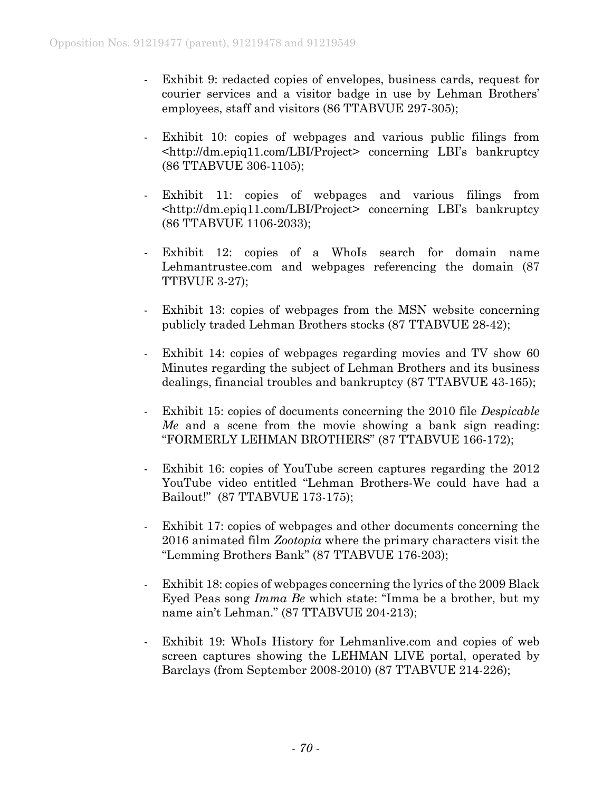- Exhibit 9: redacted copies of envelopes, business cards, request for courier services and a visitor badge in use by Lehman Brothers' employees, staff and visitors (86 TTABVUE 297-305);
- Exhibit 10: copies of webpages and various public filings from [<http://dm.epiq11.com/LBI/Project>](http://dm.epiq11.com/LBI/Project%3e%20%20%20%20concerning%20LBI%E2%80%99s%20bankruptcy) concerning LBI's bankruptcy (86 TTABVUE 306-1105);
- Exhibit 11: copies of webpages and various filings from [<http://dm.epiq11.com/LBI/Project>](http://dm.epiq11.com/LBI/Project%3e%20%20%20%20concerning%20LBI%E2%80%99s%20bankruptcy) concerning LBI's bankruptcy (86 TTABVUE 1106-2033);
- Exhibit 12: copies of a WhoIs search for domain name Lehmantrustee.com and webpages referencing the domain (87 TTBVUE 3-27);
- Exhibit 13: copies of webpages from the MSN website concerning publicly traded Lehman Brothers stocks (87 TTABVUE 28-42);
- Exhibit 14: copies of webpages regarding movies and TV show 60 Minutes regarding the subject of Lehman Brothers and its business dealings, financial troubles and bankruptcy (87 TTABVUE 43-165);
- Exhibit 15: copies of documents concerning the 2010 file *Despicable Me* and a scene from the movie showing a bank sign reading: "FORMERLY LEHMAN BROTHERS" (87 TTABVUE 166-172);
- Exhibit 16: copies of YouTube screen captures regarding the 2012 YouTube video entitled "Lehman Brothers-We could have had a Bailout!" (87 TTABVUE 173-175);
- Exhibit 17: copies of webpages and other documents concerning the 2016 animated film *Zootopia* where the primary characters visit the "Lemming Brothers Bank" (87 TTABVUE 176-203);
- Exhibit 18: copies of webpages concerning the lyrics of the 2009 Black Eyed Peas song *Imma Be* which state: "Imma be a brother, but my name ain't Lehman." (87 TTABVUE 204-213);
- Exhibit 19: WhoIs History for Lehmanlive.com and copies of web screen captures showing the LEHMAN LIVE portal, operated by Barclays (from September 2008-2010) (87 TTABVUE 214-226);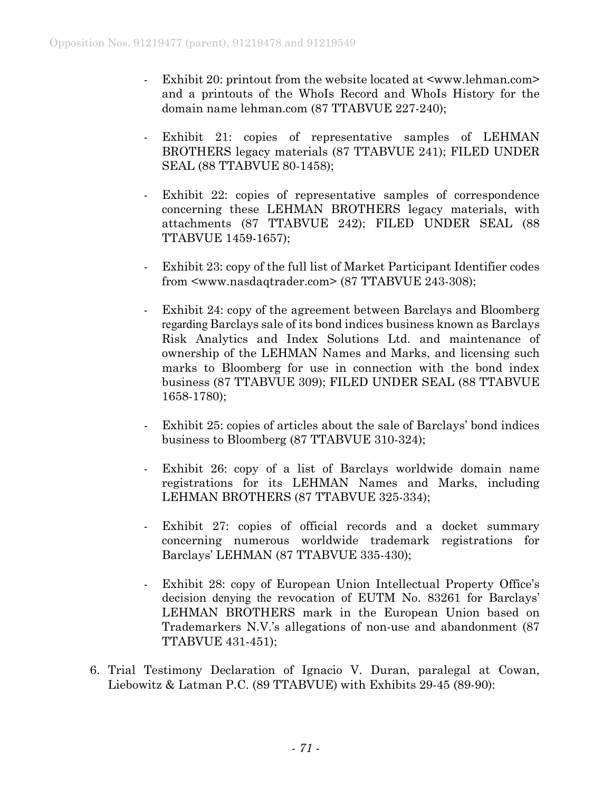- Exhibit 20: printout from the website located at <www.lehman.com> and a printouts of the WhoIs Record and WhoIs History for the domain name lehman.com (87 TTABVUE 227-240);
- Exhibit 21: copies of representative samples of LEHMAN BROTHERS legacy materials (87 TTABVUE 241); FILED UNDER SEAL (88 TTABVUE 80-1458);
- Exhibit 22: copies of representative samples of correspondence concerning these LEHMAN BROTHERS legacy materials, with attachments (87 TTABVUE 242); FILED UNDER SEAL (88 TTABVUE 1459-1657);
- Exhibit 23: copy of the full list of Market Participant Identifier codes from <www.nasdaqtrader.com> (87 TTABVUE 243-308);
- Exhibit 24: copy of the agreement between Barclays and Bloomberg regarding Barclays sale of its bond indices business known as Barclays Risk Analytics and Index Solutions Ltd. and maintenance of ownership of the LEHMAN Names and Marks, and licensing such marks to Bloomberg for use in connection with the bond index business (87 TTABVUE 309); FILED UNDER SEAL (88 TTABVUE 1658-1780);
- Exhibit 25: copies of articles about the sale of Barclays' bond indices business to Bloomberg (87 TTABVUE 310-324);
- Exhibit 26: copy of a list of Barclays worldwide domain name registrations for its LEHMAN Names and Marks, including LEHMAN BROTHERS (87 TTABVUE 325-334);
- Exhibit 27: copies of official records and a docket summary concerning numerous worldwide trademark registrations for Barclays' LEHMAN (87 TTABVUE 335-430);
- Exhibit 28: copy of European Union Intellectual Property Office's decision denying the revocation of EUTM No. 83261 for Barclays' LEHMAN BROTHERS mark in the European Union based on Trademarkers N.V.'s allegations of non-use and abandonment (87 TTABVUE 431-451);
- 6. Trial Testimony Declaration of Ignacio V. Duran, paralegal at Cowan, Liebowitz & Latman P.C. (89 TTABVUE) with Exhibits 29-45 (89-90):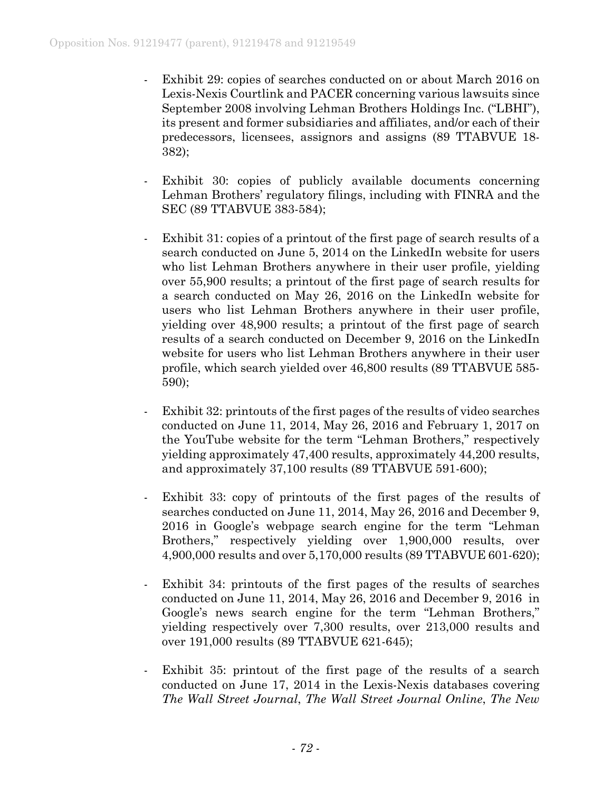- Exhibit 29: copies of searches conducted on or about March 2016 on Lexis-Nexis Courtlink and PACER concerning various lawsuits since September 2008 involving Lehman Brothers Holdings Inc. ("LBHI"), its present and former subsidiaries and affiliates, and/or each of their predecessors, licensees, assignors and assigns (89 TTABVUE 18- 382);
- Exhibit 30: copies of publicly available documents concerning Lehman Brothers' regulatory filings, including with FINRA and the SEC (89 TTABVUE 383-584);
- Exhibit 31: copies of a printout of the first page of search results of a search conducted on June 5, 2014 on the LinkedIn website for users who list Lehman Brothers anywhere in their user profile, yielding over 55,900 results; a printout of the first page of search results for a search conducted on May 26, 2016 on the LinkedIn website for users who list Lehman Brothers anywhere in their user profile, yielding over 48,900 results; a printout of the first page of search results of a search conducted on December 9, 2016 on the LinkedIn website for users who list Lehman Brothers anywhere in their user profile, which search yielded over 46,800 results (89 TTABVUE 585- 590);
- Exhibit 32: printouts of the first pages of the results of video searches conducted on June 11, 2014, May 26, 2016 and February 1, 2017 on the YouTube website for the term "Lehman Brothers," respectively yielding approximately 47,400 results, approximately 44,200 results, and approximately 37,100 results (89 TTABVUE 591-600);
- Exhibit 33: copy of printouts of the first pages of the results of searches conducted on June 11, 2014, May 26, 2016 and December 9, 2016 in Google's webpage search engine for the term "Lehman Brothers," respectively yielding over 1,900,000 results, over 4,900,000 results and over 5,170,000 results (89 TTABVUE 601-620);
- Exhibit 34: printouts of the first pages of the results of searches conducted on June 11, 2014, May 26, 2016 and December 9, 2016 in Google's news search engine for the term "Lehman Brothers," yielding respectively over 7,300 results, over 213,000 results and over 191,000 results (89 TTABVUE 621-645);
- Exhibit 35: printout of the first page of the results of a search conducted on June 17, 2014 in the Lexis-Nexis databases covering *The Wall Street Journal*, *The Wall Street Journal Online*, *The New*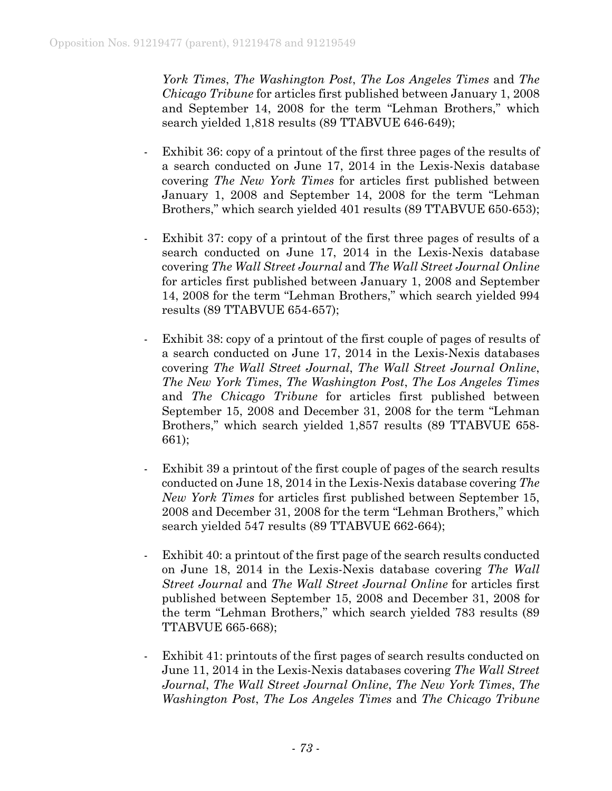*York Times*, *The Washington Post*, *The Los Angeles Times* and *The Chicago Tribune* for articles first published between January 1, 2008 and September 14, 2008 for the term "Lehman Brothers," which search yielded 1,818 results (89 TTABVUE 646-649);

- Exhibit 36: copy of a printout of the first three pages of the results of a search conducted on June 17, 2014 in the Lexis-Nexis database covering *The New York Times* for articles first published between January 1, 2008 and September 14, 2008 for the term "Lehman Brothers," which search yielded 401 results (89 TTABVUE 650-653);
- Exhibit 37: copy of a printout of the first three pages of results of a search conducted on June 17, 2014 in the Lexis-Nexis database covering *The Wall Street Journal* and *The Wall Street Journal Online*  for articles first published between January 1, 2008 and September 14, 2008 for the term "Lehman Brothers," which search yielded 994 results (89 TTABVUE 654-657);
- Exhibit 38: copy of a printout of the first couple of pages of results of a search conducted on June 17, 2014 in the Lexis-Nexis databases covering *The Wall Street Journal*, *The Wall Street Journal Online*, *The New York Times*, *The Washington Post*, *The Los Angeles Times*  and *The Chicago Tribune* for articles first published between September 15, 2008 and December 31, 2008 for the term "Lehman Brothers," which search yielded 1,857 results (89 TTABVUE 658- 661);
- Exhibit 39 a printout of the first couple of pages of the search results conducted on June 18, 2014 in the Lexis-Nexis database covering *The New York Times* for articles first published between September 15, 2008 and December 31, 2008 for the term "Lehman Brothers," which search yielded 547 results (89 TTABVUE 662-664);
- Exhibit 40: a printout of the first page of the search results conducted on June 18, 2014 in the Lexis-Nexis database covering *The Wall Street Journal* and *The Wall Street Journal Online* for articles first published between September 15, 2008 and December 31, 2008 for the term "Lehman Brothers," which search yielded 783 results (89 TTABVUE 665-668);
- Exhibit 41: printouts of the first pages of search results conducted on June 11, 2014 in the Lexis-Nexis databases covering *The Wall Street Journal*, *The Wall Street Journal Online*, *The New York Times*, *The Washington Post*, *The Los Angeles Times* and *The Chicago Tribune*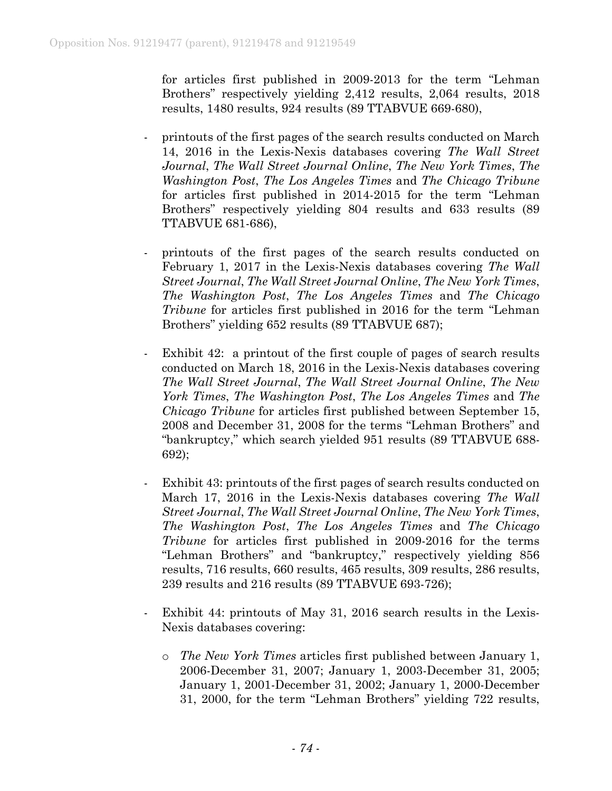for articles first published in 2009-2013 for the term "Lehman Brothers" respectively yielding 2,412 results, 2,064 results, 2018 results, 1480 results, 924 results (89 TTABVUE 669-680),

- printouts of the first pages of the search results conducted on March 14, 2016 in the Lexis-Nexis databases covering *The Wall Street Journal*, *The Wall Street Journal Online*, *The New York Times*, *The Washington Post*, *The Los Angeles Times* and *The Chicago Tribune*  for articles first published in 2014-2015 for the term "Lehman Brothers" respectively yielding 804 results and 633 results (89 TTABVUE 681-686),
- printouts of the first pages of the search results conducted on February 1, 2017 in the Lexis-Nexis databases covering *The Wall Street Journal*, *The Wall Street Journal Online*, *The New York Times*, *The Washington Post*, *The Los Angeles Times* and *The Chicago Tribune* for articles first published in 2016 for the term "Lehman" Brothers" yielding 652 results (89 TTABVUE 687);
- Exhibit 42: a printout of the first couple of pages of search results conducted on March 18, 2016 in the Lexis-Nexis databases covering *The Wall Street Journal*, *The Wall Street Journal Online*, *The New York Times*, *The Washington Post*, *The Los Angeles Times* and *The Chicago Tribune* for articles first published between September 15, 2008 and December 31, 2008 for the terms "Lehman Brothers" and "bankruptcy," which search yielded 951 results (89 TTABVUE 688- 692);
- Exhibit 43: printouts of the first pages of search results conducted on March 17, 2016 in the Lexis-Nexis databases covering *The Wall Street Journal*, *The Wall Street Journal Online*, *The New York Times*, *The Washington Post*, *The Los Angeles Times* and *The Chicago Tribune* for articles first published in 2009-2016 for the terms "Lehman Brothers" and "bankruptcy," respectively yielding 856 results, 716 results, 660 results, 465 results, 309 results, 286 results, 239 results and 216 results (89 TTABVUE 693-726);
- Exhibit 44: printouts of May 31, 2016 search results in the Lexis-Nexis databases covering:
	- o *The New York Times* articles first published between January 1, 2006-December 31, 2007; January 1, 2003-December 31, 2005; January 1, 2001-December 31, 2002; January 1, 2000-December 31, 2000, for the term "Lehman Brothers" yielding 722 results,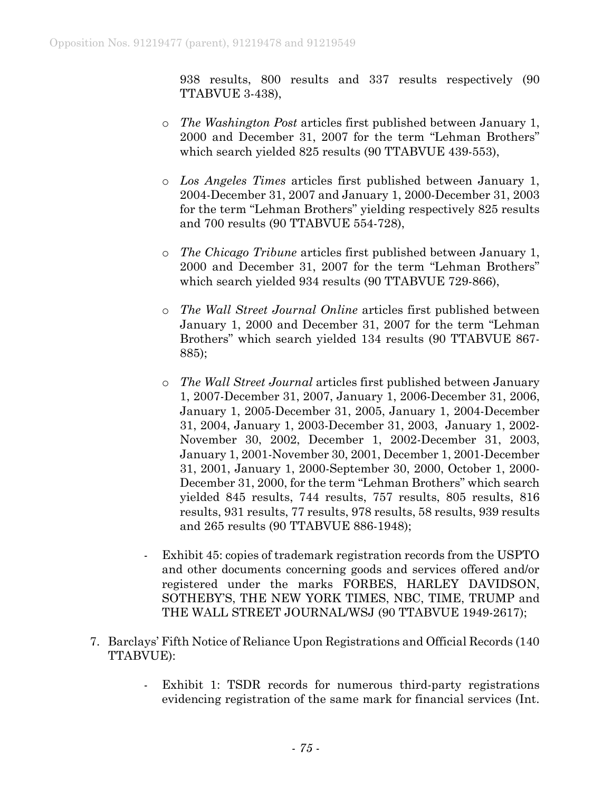938 results, 800 results and 337 results respectively (90 TTABVUE 3-438),

- The Washington Post articles first published between January 1, 2000 and December 31, 2007 for the term "Lehman Brothers" which search yielded 825 results (90 TTABVUE 439-553),
- o *Los Angeles Times* articles first published between January 1, 2004-December 31, 2007 and January 1, 2000-December 31, 2003 for the term "Lehman Brothers" yielding respectively 825 results and 700 results (90 TTABVUE 554-728),
- o *The Chicago Tribune* articles first published between January 1, 2000 and December 31, 2007 for the term "Lehman Brothers" which search yielded 934 results (90 TTABVUE 729-866),
- o *The Wall Street Journal Online* articles first published between January 1, 2000 and December 31, 2007 for the term "Lehman Brothers" which search yielded 134 results (90 TTABVUE 867- 885);
- o *The Wall Street Journal* articles first published between January 1, 2007-December 31, 2007, January 1, 2006-December 31, 2006, January 1, 2005-December 31, 2005, January 1, 2004-December 31, 2004, January 1, 2003-December 31, 2003, January 1, 2002- November 30, 2002, December 1, 2002-December 31, 2003, January 1, 2001-November 30, 2001, December 1, 2001-December 31, 2001, January 1, 2000-September 30, 2000, October 1, 2000- December 31, 2000, for the term "Lehman Brothers" which search yielded 845 results, 744 results, 757 results, 805 results, 816 results, 931 results, 77 results, 978 results, 58 results, 939 results and 265 results (90 TTABVUE 886-1948);
- Exhibit 45: copies of trademark registration records from the USPTO and other documents concerning goods and services offered and/or registered under the marks FORBES, HARLEY DAVIDSON, SOTHEBY'S, THE NEW YORK TIMES, NBC, TIME, TRUMP and THE WALL STREET JOURNAL/WSJ (90 TTABVUE 1949-2617);
- 7. Barclays' Fifth Notice of Reliance Upon Registrations and Official Records (140 TTABVUE):
	- Exhibit 1: TSDR records for numerous third-party registrations evidencing registration of the same mark for financial services (Int.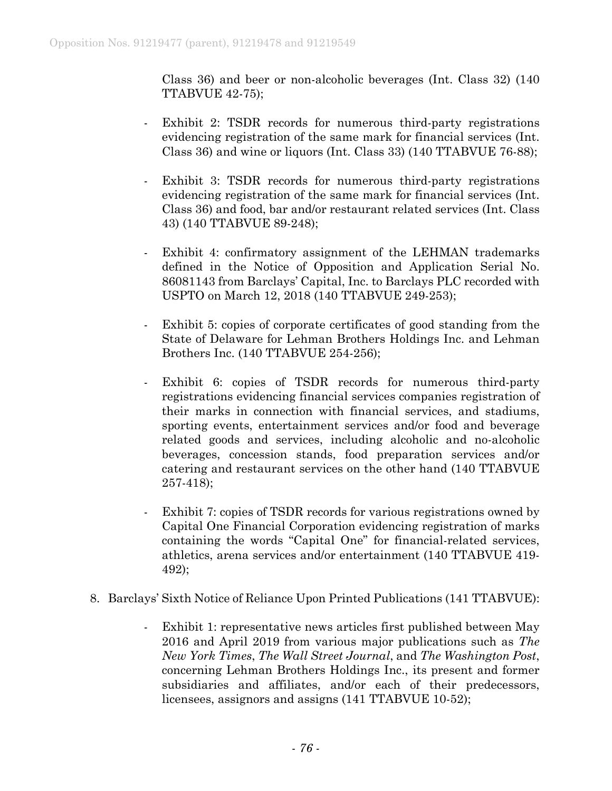Class 36) and beer or non-alcoholic beverages (Int. Class 32) (140 TTABVUE 42-75);

- Exhibit 2: TSDR records for numerous third-party registrations evidencing registration of the same mark for financial services (Int. Class 36) and wine or liquors (Int. Class 33) (140 TTABVUE 76-88);
- Exhibit 3: TSDR records for numerous third-party registrations evidencing registration of the same mark for financial services (Int. Class 36) and food, bar and/or restaurant related services (Int. Class 43) (140 TTABVUE 89-248);
- Exhibit 4: confirmatory assignment of the LEHMAN trademarks defined in the Notice of Opposition and Application Serial No. 86081143 from Barclays' Capital, Inc. to Barclays PLC recorded with USPTO on March 12, 2018 (140 TTABVUE 249-253);
- Exhibit 5: copies of corporate certificates of good standing from the State of Delaware for Lehman Brothers Holdings Inc. and Lehman Brothers Inc. (140 TTABVUE 254-256);
- Exhibit 6: copies of TSDR records for numerous third-party registrations evidencing financial services companies registration of their marks in connection with financial services, and stadiums, sporting events, entertainment services and/or food and beverage related goods and services, including alcoholic and no-alcoholic beverages, concession stands, food preparation services and/or catering and restaurant services on the other hand (140 TTABVUE 257-418);
- Exhibit 7: copies of TSDR records for various registrations owned by Capital One Financial Corporation evidencing registration of marks containing the words "Capital One" for financial-related services, athletics, arena services and/or entertainment (140 TTABVUE 419- 492);
- 8. Barclays' Sixth Notice of Reliance Upon Printed Publications (141 TTABVUE):
	- Exhibit 1: representative news articles first published between May 2016 and April 2019 from various major publications such as *The New York Times*, *The Wall Street Journal*, and *The Washington Post*, concerning Lehman Brothers Holdings Inc., its present and former subsidiaries and affiliates, and/or each of their predecessors, licensees, assignors and assigns (141 TTABVUE 10-52);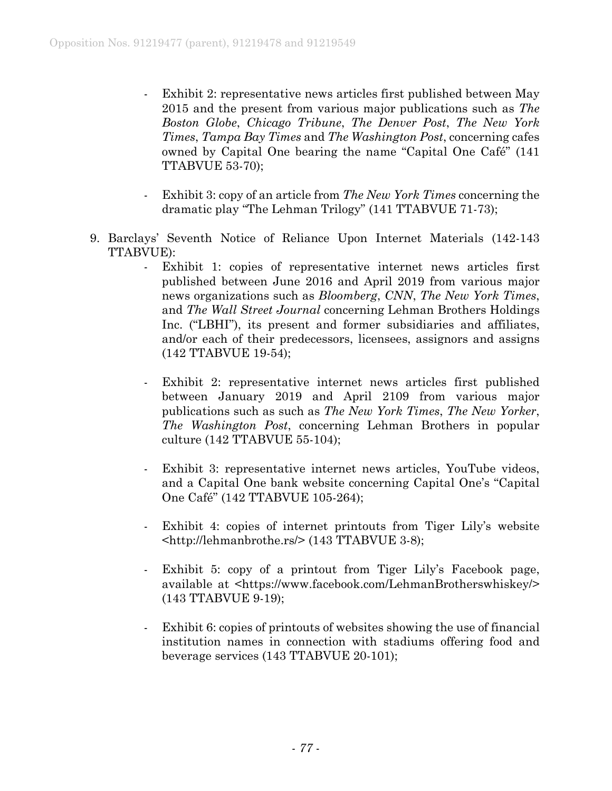- Exhibit 2: representative news articles first published between May 2015 and the present from various major publications such as *The Boston Globe*, *Chicago Tribune*, *The Denver Post*, *The New York Times*, *Tampa Bay Times* and *The Washington Post*, concerning cafes owned by Capital One bearing the name "Capital One Café" (141 TTABVUE 53-70);
- Exhibit 3: copy of an article from *The New York Times* concerning the dramatic play "The Lehman Trilogy" (141 TTABVUE 71-73);
- 9. Barclays' Seventh Notice of Reliance Upon Internet Materials (142-143 TTABVUE):
	- Exhibit 1: copies of representative internet news articles first published between June 2016 and April 2019 from various major news organizations such as *Bloomberg*, *CNN*, *The New York Times*, and *The Wall Street Journal* concerning Lehman Brothers Holdings Inc. ("LBHI"), its present and former subsidiaries and affiliates, and/or each of their predecessors, licensees, assignors and assigns (142 TTABVUE 19-54);
	- Exhibit 2: representative internet news articles first published between January 2019 and April 2109 from various major publications such as such as *The New York Times*, *The New Yorker*, *The Washington Post*, concerning Lehman Brothers in popular culture (142 TTABVUE 55-104);
	- Exhibit 3: representative internet news articles, YouTube videos, and a Capital One bank website concerning Capital One's "Capital One Café" (142 TTABVUE 105-264);
	- Exhibit 4: copies of internet printouts from Tiger Lily's website [<http://lehmanbrothe.rs/>](http://lehmanbrothe.rs/) (143 TTABVUE 3-8);
	- Exhibit 5: copy of a printout from Tiger Lily's Facebook page, available at [<https://www.facebook.com/LehmanBrotherswhiskey/>](https://www.facebook.com/LehmanBrotherswhiskey/) (143 TTABVUE 9-19);
	- Exhibit 6: copies of printouts of websites showing the use of financial institution names in connection with stadiums offering food and beverage services (143 TTABVUE 20-101);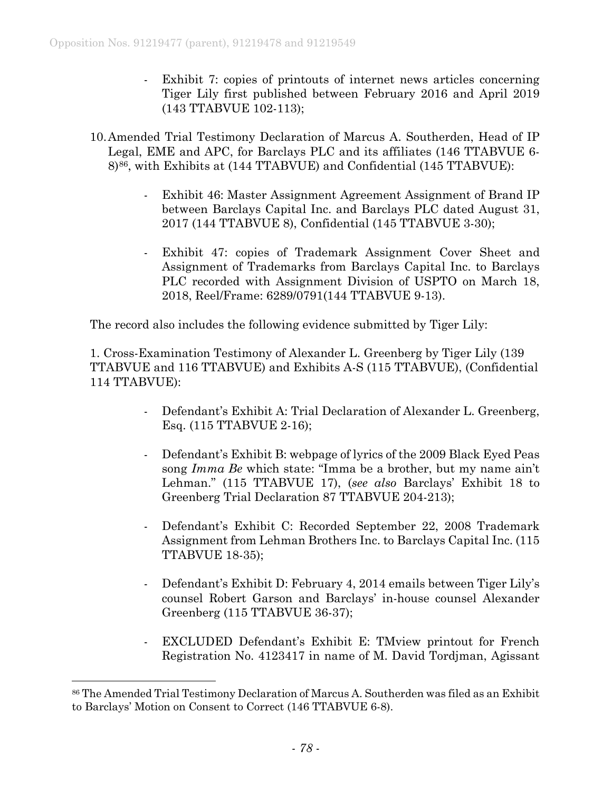- Exhibit 7: copies of printouts of internet news articles concerning Tiger Lily first published between February 2016 and April 2019 (143 TTABVUE 102-113);
- 10.Amended Trial Testimony Declaration of Marcus A. Southerden, Head of IP Legal, EME and APC, for Barclays PLC and its affiliates (146 TTABVUE 6- 8)[86](#page-77-0), with Exhibits at (144 TTABVUE) and Confidential (145 TTABVUE):
	- Exhibit 46: Master Assignment Agreement Assignment of Brand IP between Barclays Capital Inc. and Barclays PLC dated August 31, 2017 (144 TTABVUE 8), Confidential (145 TTABVUE 3-30);
	- Exhibit 47: copies of Trademark Assignment Cover Sheet and Assignment of Trademarks from Barclays Capital Inc. to Barclays PLC recorded with Assignment Division of USPTO on March 18, 2018, Reel/Frame: 6289/0791(144 TTABVUE 9-13).

The record also includes the following evidence submitted by Tiger Lily:

1. Cross-Examination Testimony of Alexander L. Greenberg by Tiger Lily (139 TTABVUE and 116 TTABVUE) and Exhibits A-S (115 TTABVUE), (Confidential 114 TTABVUE):

- Defendant's Exhibit A: Trial Declaration of Alexander L. Greenberg, Esq. (115 TTABVUE 2-16);
- Defendant's Exhibit B: webpage of lyrics of the 2009 Black Eyed Peas song *Imma Be* which state: "Imma be a brother, but my name ain't Lehman." (115 TTABVUE 17), (*see also* Barclays' Exhibit 18 to Greenberg Trial Declaration 87 TTABVUE 204-213);
- Defendant's Exhibit C: Recorded September 22, 2008 Trademark Assignment from Lehman Brothers Inc. to Barclays Capital Inc. (115 TTABVUE 18-35);
- Defendant's Exhibit D: February 4, 2014 emails between Tiger Lily's counsel Robert Garson and Barclays' in-house counsel Alexander Greenberg (115 TTABVUE 36-37);
- EXCLUDED Defendant's Exhibit E: TMview printout for French Registration No. 4123417 in name of M. David Tordjman, Agissant

<span id="page-77-0"></span> <sup>86</sup> The Amended Trial Testimony Declaration of Marcus A. Southerden was filed as an Exhibit to Barclays' Motion on Consent to Correct (146 TTABVUE 6-8).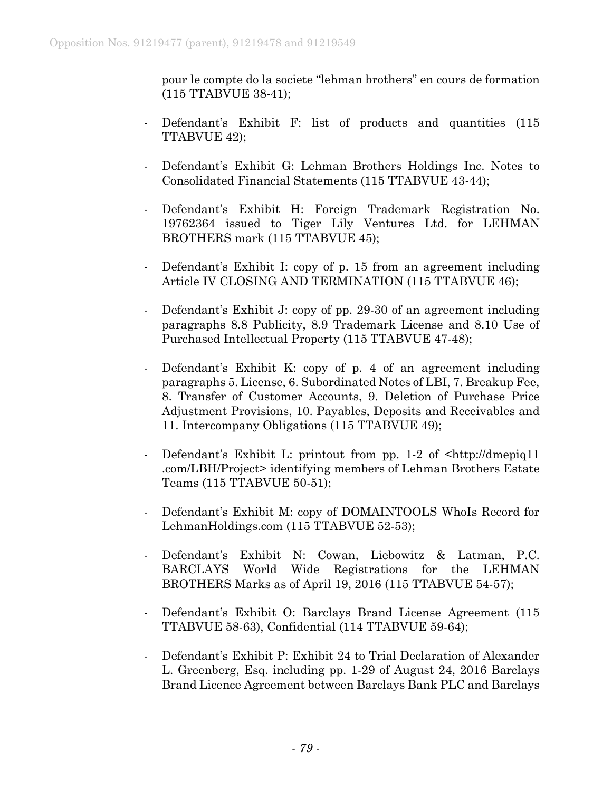pour le compte do la societe "lehman brothers" en cours de formation (115 TTABVUE 38-41);

- Defendant's Exhibit F: list of products and quantities (115 TTABVUE 42);
- Defendant's Exhibit G: Lehman Brothers Holdings Inc. Notes to Consolidated Financial Statements (115 TTABVUE 43-44);
- Defendant's Exhibit H: Foreign Trademark Registration No. 19762364 issued to Tiger Lily Ventures Ltd. for LEHMAN BROTHERS mark (115 TTABVUE 45);
- Defendant's Exhibit I: copy of p. 15 from an agreement including Article IV CLOSING AND TERMINATION (115 TTABVUE 46);
- Defendant's Exhibit J: copy of pp. 29-30 of an agreement including paragraphs 8.8 Publicity, 8.9 Trademark License and 8.10 Use of Purchased Intellectual Property (115 TTABVUE 47-48);
- Defendant's Exhibit K: copy of p. 4 of an agreement including paragraphs 5. License, 6. Subordinated Notes of LBI, 7. Breakup Fee, 8. Transfer of Customer Accounts, 9. Deletion of Purchase Price Adjustment Provisions, 10. Payables, Deposits and Receivables and 11. Intercompany Obligations (115 TTABVUE 49);
- Defendant's Exhibit L: printout from pp. 1-2 of  $\text{thttp:}/\text{ldmepiq11}$ .com/LBH/Project> identifying members of Lehman Brothers Estate Teams (115 TTABVUE 50-51);
- Defendant's Exhibit M: copy of DOMAINTOOLS WhoIs Record for LehmanHoldings.com (115 TTABVUE 52-53);
- Defendant's Exhibit N: Cowan, Liebowitz & Latman, P.C. BARCLAYS World Wide Registrations for the LEHMAN BROTHERS Marks as of April 19, 2016 (115 TTABVUE 54-57);
- Defendant's Exhibit O: Barclays Brand License Agreement (115 TTABVUE 58-63), Confidential (114 TTABVUE 59-64);
- Defendant's Exhibit P: Exhibit 24 to Trial Declaration of Alexander L. Greenberg, Esq. including pp. 1-29 of August 24, 2016 Barclays Brand Licence Agreement between Barclays Bank PLC and Barclays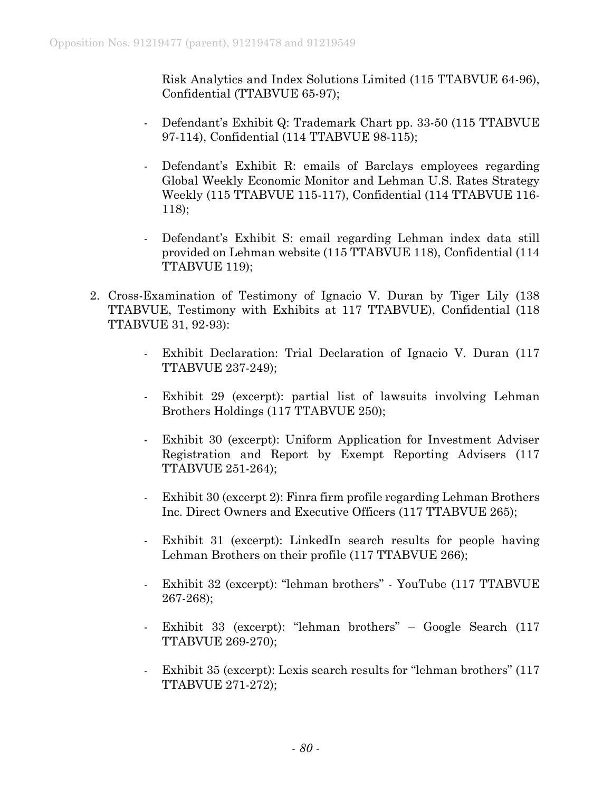Risk Analytics and Index Solutions Limited (115 TTABVUE 64-96), Confidential (TTABVUE 65-97);

- Defendant's Exhibit Q: Trademark Chart pp. 33-50 (115 TTABVUE 97-114), Confidential (114 TTABVUE 98-115);
- Defendant's Exhibit R: emails of Barclays employees regarding Global Weekly Economic Monitor and Lehman U.S. Rates Strategy Weekly (115 TTABVUE 115-117), Confidential (114 TTABVUE 116- 118);
- Defendant's Exhibit S: email regarding Lehman index data still provided on Lehman website (115 TTABVUE 118), Confidential (114 TTABVUE 119);
- 2. Cross-Examination of Testimony of Ignacio V. Duran by Tiger Lily (138 TTABVUE, Testimony with Exhibits at 117 TTABVUE), Confidential (118 TTABVUE 31, 92-93):
	- Exhibit Declaration: Trial Declaration of Ignacio V. Duran (117 TTABVUE 237-249);
	- Exhibit 29 (excerpt): partial list of lawsuits involving Lehman Brothers Holdings (117 TTABVUE 250);
	- Exhibit 30 (excerpt): Uniform Application for Investment Adviser Registration and Report by Exempt Reporting Advisers (117 TTABVUE 251-264);
	- Exhibit 30 (excerpt 2): Finra firm profile regarding Lehman Brothers Inc. Direct Owners and Executive Officers (117 TTABVUE 265);
	- Exhibit 31 (excerpt): LinkedIn search results for people having Lehman Brothers on their profile (117 TTABVUE 266);
	- Exhibit 32 (excerpt): "lehman brothers" YouTube (117 TTABVUE 267-268);
	- Exhibit 33 (excerpt): "lehman brothers" Google Search (117 TTABVUE 269-270);
	- Exhibit 35 (excerpt): Lexis search results for "lehman brothers" (117 TTABVUE 271-272);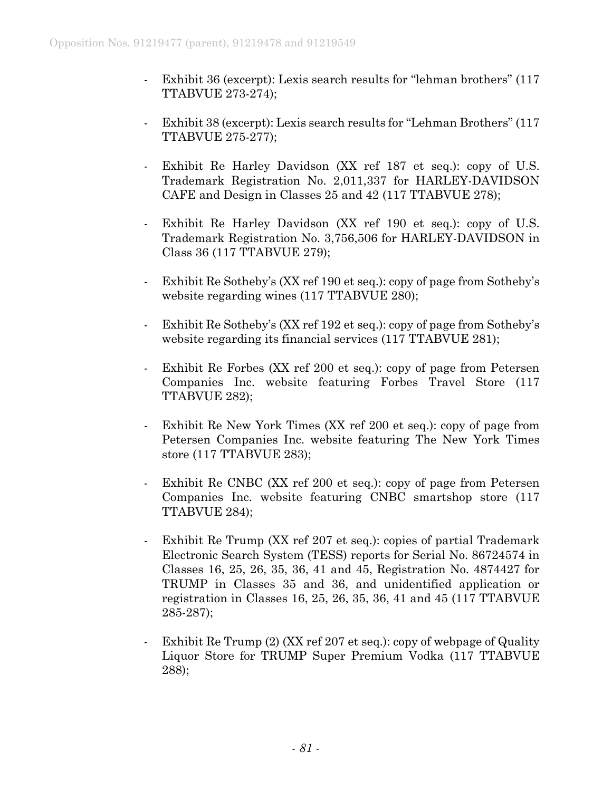- Exhibit 36 (excerpt): Lexis search results for "lehman brothers" (117 TTABVUE 273-274);
- Exhibit 38 (excerpt): Lexis search results for "Lehman Brothers" (117 TTABVUE 275-277);
- Exhibit Re Harley Davidson (XX ref 187 et seq.): copy of U.S. Trademark Registration No. 2,011,337 for HARLEY-DAVIDSON CAFE and Design in Classes 25 and 42 (117 TTABVUE 278);
- Exhibit Re Harley Davidson (XX ref 190 et seq.): copy of U.S. Trademark Registration No. 3,756,506 for HARLEY-DAVIDSON in Class 36 (117 TTABVUE 279);
- Exhibit Re Sotheby's (XX ref 190 et seq.): copy of page from Sotheby's website regarding wines  $(117$  TTABVUE 280);
- Exhibit Re Sotheby's (XX ref 192 et seq.): copy of page from Sotheby's website regarding its financial services (117 TTABVUE 281);
- Exhibit Re Forbes (XX ref 200 et seq.): copy of page from Petersen Companies Inc. website featuring Forbes Travel Store (117 TTABVUE 282);
- Exhibit Re New York Times (XX ref 200 et seq.): copy of page from Petersen Companies Inc. website featuring The New York Times store (117 TTABVUE 283);
- Exhibit Re CNBC (XX ref 200 et seq.): copy of page from Petersen Companies Inc. website featuring CNBC smartshop store (117 TTABVUE 284);
- Exhibit Re Trump (XX ref 207 et seq.): copies of partial Trademark Electronic Search System (TESS) reports for Serial No. 86724574 in Classes 16, 25, 26, 35, 36, 41 and 45, Registration No. 4874427 for TRUMP in Classes 35 and 36, and unidentified application or registration in Classes 16, 25, 26, 35, 36, 41 and 45 (117 TTABVUE 285-287);
- Exhibit Re Trump (2) (XX ref 207 et seq.): copy of webpage of Quality Liquor Store for TRUMP Super Premium Vodka (117 TTABVUE 288);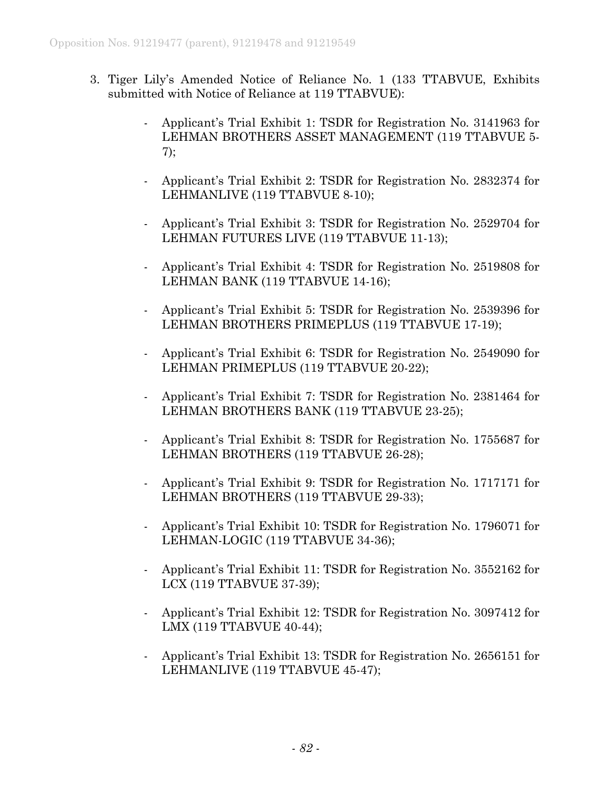- 3. Tiger Lily's Amended Notice of Reliance No. 1 (133 TTABVUE, Exhibits submitted with Notice of Reliance at 119 TTABVUE):
	- Applicant's Trial Exhibit 1: TSDR for Registration No. 3141963 for LEHMAN BROTHERS ASSET MANAGEMENT (119 TTABVUE 5- 7);
	- Applicant's Trial Exhibit 2: TSDR for Registration No. 2832374 for LEHMANLIVE (119 TTABVUE 8-10);
	- Applicant's Trial Exhibit 3: TSDR for Registration No. 2529704 for LEHMAN FUTURES LIVE (119 TTABVUE 11-13);
	- Applicant's Trial Exhibit 4: TSDR for Registration No. 2519808 for LEHMAN BANK (119 TTABVUE 14-16);
	- Applicant's Trial Exhibit 5: TSDR for Registration No. 2539396 for LEHMAN BROTHERS PRIMEPLUS (119 TTABVUE 17-19);
	- Applicant's Trial Exhibit 6: TSDR for Registration No. 2549090 for LEHMAN PRIMEPLUS (119 TTABVUE 20-22);
	- Applicant's Trial Exhibit 7: TSDR for Registration No. 2381464 for LEHMAN BROTHERS BANK (119 TTABVUE 23-25);
	- Applicant's Trial Exhibit 8: TSDR for Registration No. 1755687 for LEHMAN BROTHERS (119 TTABVUE 26-28);
	- Applicant's Trial Exhibit 9: TSDR for Registration No. 1717171 for LEHMAN BROTHERS (119 TTABVUE 29-33);
	- Applicant's Trial Exhibit 10: TSDR for Registration No. 1796071 for LEHMAN-LOGIC (119 TTABVUE 34-36);
	- Applicant's Trial Exhibit 11: TSDR for Registration No. 3552162 for LCX (119 TTABVUE 37-39);
	- Applicant's Trial Exhibit 12: TSDR for Registration No. 3097412 for LMX (119 TTABVUE 40-44);
	- Applicant's Trial Exhibit 13: TSDR for Registration No. 2656151 for LEHMANLIVE (119 TTABVUE 45-47);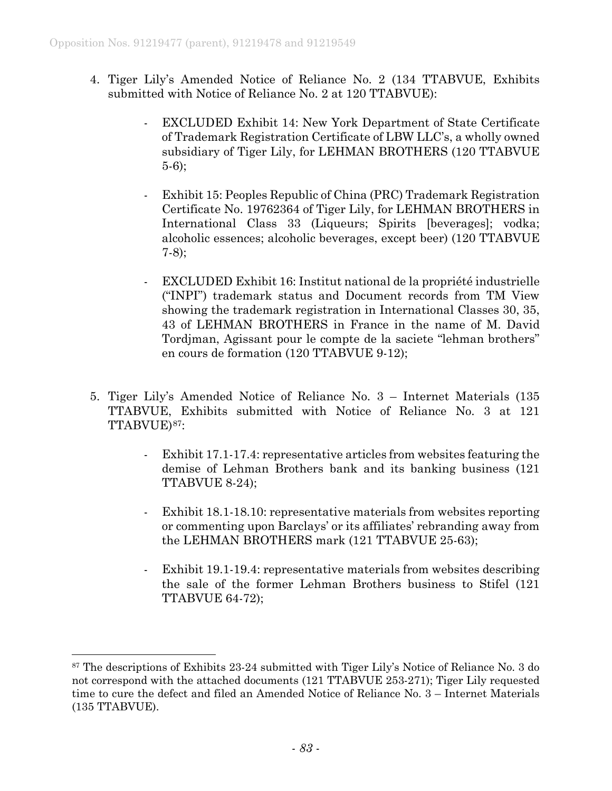- 4. Tiger Lily's Amended Notice of Reliance No. 2 (134 TTABVUE, Exhibits submitted with Notice of Reliance No. 2 at 120 TTABVUE):
	- EXCLUDED Exhibit 14: New York Department of State Certificate of Trademark Registration Certificate of LBW LLC's, a wholly owned subsidiary of Tiger Lily, for LEHMAN BROTHERS (120 TTABVUE 5-6);
	- Exhibit 15: Peoples Republic of China (PRC) Trademark Registration Certificate No. 19762364 of Tiger Lily, for LEHMAN BROTHERS in International Class 33 (Liqueurs; Spirits [beverages]; vodka; alcoholic essences; alcoholic beverages, except beer) (120 TTABVUE 7-8);
	- EXCLUDED Exhibit 16: Institut national de la propriété industrielle ("INPI") trademark status and Document records from TM View showing the trademark registration in International Classes 30, 35, 43 of LEHMAN BROTHERS in France in the name of M. David Tordjman, Agissant pour le compte de la saciete "lehman brothers" en cours de formation (120 TTABVUE 9-12);
- 5. Tiger Lily's Amended Notice of Reliance No. 3 Internet Materials (135 TTABVUE, Exhibits submitted with Notice of Reliance No. 3 at 121 TTABVUE)<sup>87</sup>:
	- Exhibit 17.1-17.4: representative articles from websites featuring the demise of Lehman Brothers bank and its banking business (121 TTABVUE 8-24);
	- Exhibit 18.1-18.10: representative materials from websites reporting or commenting upon Barclays' or its affiliates' rebranding away from the LEHMAN BROTHERS mark (121 TTABVUE 25-63);
	- Exhibit 19.1-19.4: representative materials from websites describing the sale of the former Lehman Brothers business to Stifel (121 TTABVUE 64-72);

<span id="page-82-0"></span> <sup>87</sup> The descriptions of Exhibits 23-24 submitted with Tiger Lily's Notice of Reliance No. 3 do not correspond with the attached documents (121 TTABVUE 253-271); Tiger Lily requested time to cure the defect and filed an Amended Notice of Reliance No. 3 – Internet Materials (135 TTABVUE).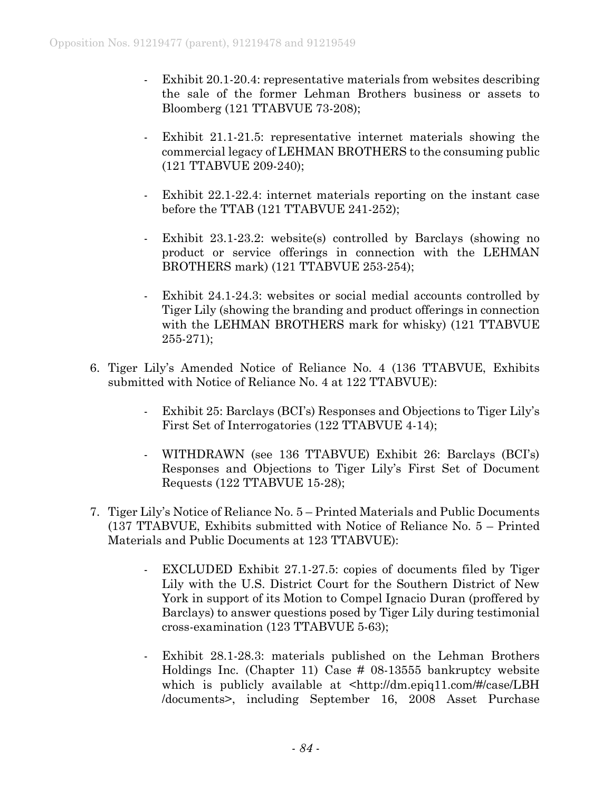- Exhibit 20.1-20.4: representative materials from websites describing the sale of the former Lehman Brothers business or assets to Bloomberg (121 TTABVUE 73-208);
- Exhibit 21.1-21.5: representative internet materials showing the commercial legacy of LEHMAN BROTHERS to the consuming public (121 TTABVUE 209-240);
- Exhibit 22.1-22.4: internet materials reporting on the instant case before the TTAB (121 TTABVUE 241-252);
- Exhibit 23.1-23.2: website(s) controlled by Barclays (showing no product or service offerings in connection with the LEHMAN BROTHERS mark) (121 TTABVUE 253-254);
- Exhibit 24.1-24.3: websites or social medial accounts controlled by Tiger Lily (showing the branding and product offerings in connection with the LEHMAN BROTHERS mark for whisky) (121 TTABVUE 255-271);
- 6. Tiger Lily's Amended Notice of Reliance No. 4 (136 TTABVUE, Exhibits submitted with Notice of Reliance No. 4 at 122 TTABVUE):
	- Exhibit 25: Barclays (BCI's) Responses and Objections to Tiger Lily's First Set of Interrogatories (122 TTABVUE 4-14);
	- WITHDRAWN (see 136 TTABVUE) Exhibit 26: Barclays (BCI's) Responses and Objections to Tiger Lily's First Set of Document Requests (122 TTABVUE 15-28);
- 7. Tiger Lily's Notice of Reliance No. 5 Printed Materials and Public Documents (137 TTABVUE, Exhibits submitted with Notice of Reliance No. 5 – Printed Materials and Public Documents at 123 TTABVUE):
	- EXCLUDED Exhibit 27.1-27.5: copies of documents filed by Tiger Lily with the U.S. District Court for the Southern District of New York in support of its Motion to Compel Ignacio Duran (proffered by Barclays) to answer questions posed by Tiger Lily during testimonial cross-examination (123 TTABVUE 5-63);
	- Exhibit 28.1-28.3: materials published on the Lehman Brothers Holdings Inc. (Chapter 11) Case # 08-13555 bankruptcy website which is publicly available at [<http://dm.epiq11.com/#/case/LBH](http://dm.epiq11.com/#/case/LBH%20/documents)  [/documents>](http://dm.epiq11.com/#/case/LBH%20/documents), including September 16, 2008 Asset Purchase